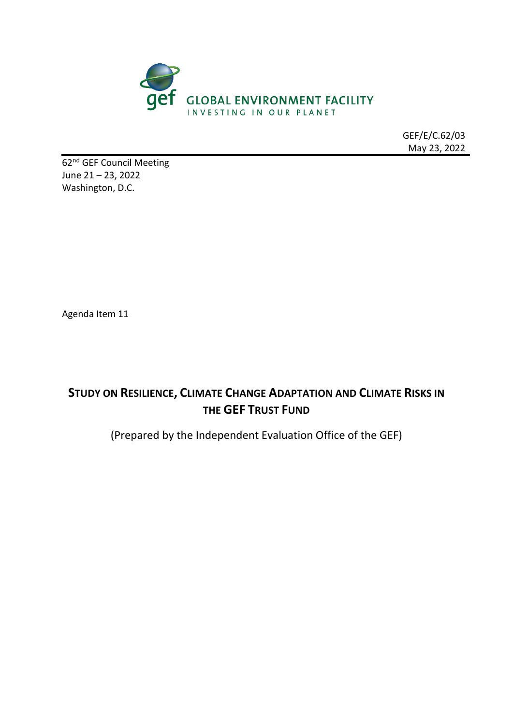

GEF/E/C.62/03 May 23, 2022

62<sup>nd</sup> GEF Council Meeting June 21 – 23, 2022 Washington, D.C.

Agenda Item 11

# **STUDY ON RESILIENCE, CLIMATE CHANGE ADAPTATION AND CLIMATE RISKS IN THE GEF TRUST FUND**

(Prepared by the Independent Evaluation Office of the GEF)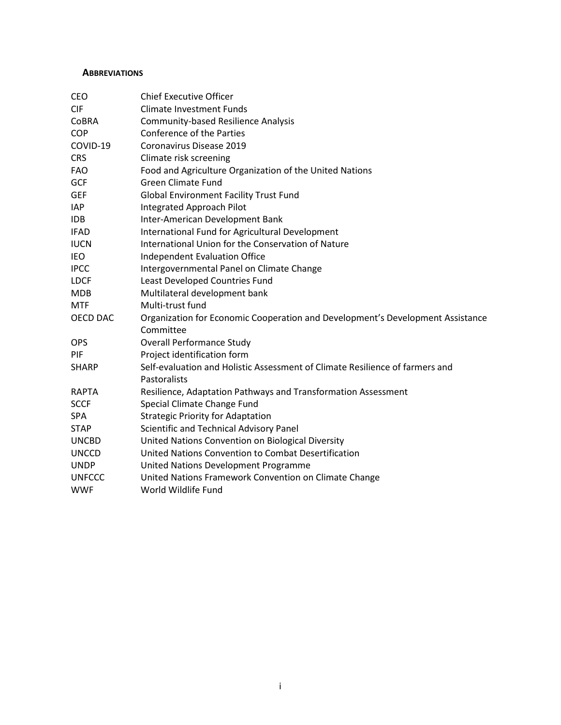#### <span id="page-1-0"></span>**ABBREVIATIONS**

| CEO             | <b>Chief Executive Officer</b>                                                 |
|-----------------|--------------------------------------------------------------------------------|
| <b>CIF</b>      | <b>Climate Investment Funds</b>                                                |
| CoBRA           | <b>Community-based Resilience Analysis</b>                                     |
| COP             | Conference of the Parties                                                      |
| COVID-19        | Coronavirus Disease 2019                                                       |
| <b>CRS</b>      | Climate risk screening                                                         |
| <b>FAO</b>      | Food and Agriculture Organization of the United Nations                        |
| <b>GCF</b>      | <b>Green Climate Fund</b>                                                      |
| <b>GEF</b>      | <b>Global Environment Facility Trust Fund</b>                                  |
| <b>IAP</b>      | Integrated Approach Pilot                                                      |
| <b>IDB</b>      | Inter-American Development Bank                                                |
| <b>IFAD</b>     | International Fund for Agricultural Development                                |
| <b>IUCN</b>     | International Union for the Conservation of Nature                             |
| IEO             | Independent Evaluation Office                                                  |
| <b>IPCC</b>     | Intergovernmental Panel on Climate Change                                      |
| <b>LDCF</b>     | Least Developed Countries Fund                                                 |
| <b>MDB</b>      | Multilateral development bank                                                  |
| <b>MTF</b>      | Multi-trust fund                                                               |
| <b>OECD DAC</b> | Organization for Economic Cooperation and Development's Development Assistance |
|                 | Committee                                                                      |
| <b>OPS</b>      | <b>Overall Performance Study</b>                                               |
| PIF             | Project identification form                                                    |
| <b>SHARP</b>    | Self-evaluation and Holistic Assessment of Climate Resilience of farmers and   |
|                 | Pastoralists                                                                   |
| <b>RAPTA</b>    | Resilience, Adaptation Pathways and Transformation Assessment                  |
| <b>SCCF</b>     | Special Climate Change Fund                                                    |
| SPA             | <b>Strategic Priority for Adaptation</b>                                       |
| <b>STAP</b>     | Scientific and Technical Advisory Panel                                        |
| <b>UNCBD</b>    | United Nations Convention on Biological Diversity                              |
| <b>UNCCD</b>    | United Nations Convention to Combat Desertification                            |
| <b>UNDP</b>     | United Nations Development Programme                                           |
| <b>UNFCCC</b>   | United Nations Framework Convention on Climate Change                          |
| <b>WWF</b>      | World Wildlife Fund                                                            |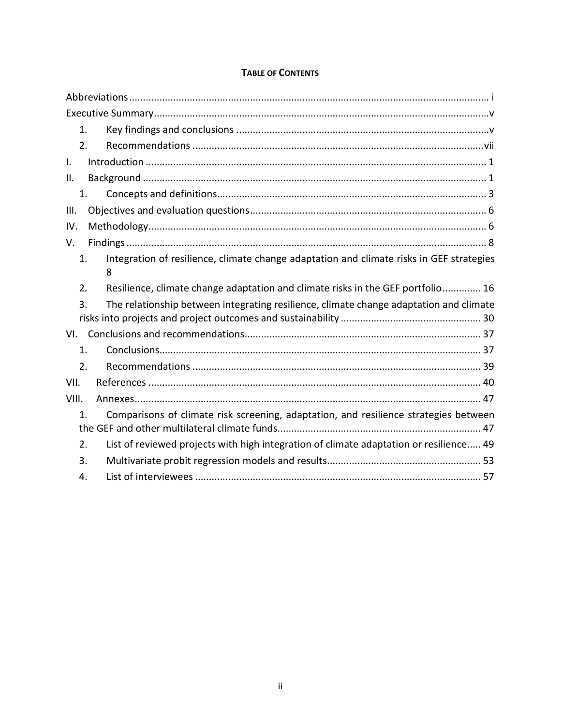| $\mathbf{1}$ .                                                                                         |  |
|--------------------------------------------------------------------------------------------------------|--|
| 2.                                                                                                     |  |
| I.                                                                                                     |  |
| Н.                                                                                                     |  |
| 1.                                                                                                     |  |
| Ш.                                                                                                     |  |
| IV.                                                                                                    |  |
| V.                                                                                                     |  |
| Integration of resilience, climate change adaptation and climate risks in GEF strategies<br>1.<br>8    |  |
| Resilience, climate change adaptation and climate risks in the GEF portfolio 16<br>2.                  |  |
| The relationship between integrating resilience, climate change adaptation and climate<br>3.           |  |
| VI.                                                                                                    |  |
| $\mathbf{1}$ .                                                                                         |  |
| 2.                                                                                                     |  |
| VII.                                                                                                   |  |
| VIII.                                                                                                  |  |
| Comparisons of climate risk screening, adaptation, and resilience strategies between<br>$\mathbf{1}$ . |  |
| List of reviewed projects with high integration of climate adaptation or resilience 49<br>2.           |  |
| 3.                                                                                                     |  |
| 4.                                                                                                     |  |

## **TABLE OF CONTENTS**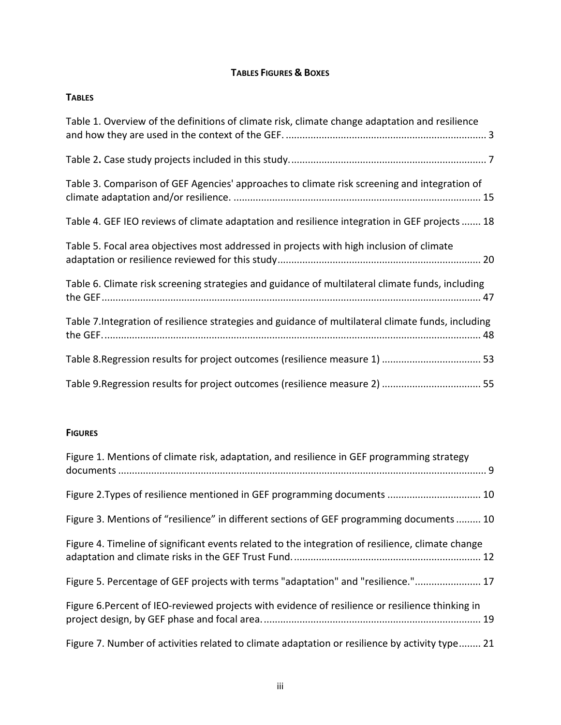## **TABLES FIGURES & BOXES**

| <b>TABLES</b>                                                                                       |
|-----------------------------------------------------------------------------------------------------|
| Table 1. Overview of the definitions of climate risk, climate change adaptation and resilience      |
|                                                                                                     |
| Table 3. Comparison of GEF Agencies' approaches to climate risk screening and integration of        |
| Table 4. GEF IEO reviews of climate adaptation and resilience integration in GEF projects  18       |
| Table 5. Focal area objectives most addressed in projects with high inclusion of climate            |
| Table 6. Climate risk screening strategies and guidance of multilateral climate funds, including    |
| Table 7. Integration of resilience strategies and guidance of multilateral climate funds, including |
|                                                                                                     |
|                                                                                                     |

#### **FIGURES**

| Figure 1. Mentions of climate risk, adaptation, and resilience in GEF programming strategy        |
|---------------------------------------------------------------------------------------------------|
|                                                                                                   |
| Figure 3. Mentions of "resilience" in different sections of GEF programming documents  10         |
| Figure 4. Timeline of significant events related to the integration of resilience, climate change |
| Figure 5. Percentage of GEF projects with terms "adaptation" and "resilience." 17                 |
| Figure 6. Percent of IEO-reviewed projects with evidence of resilience or resilience thinking in  |
| Figure 7. Number of activities related to climate adaptation or resilience by activity type 21    |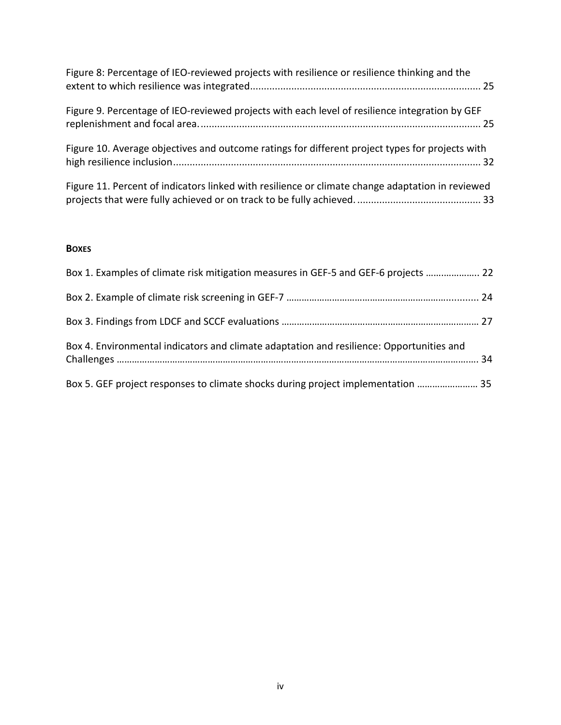| Figure 8: Percentage of IEO-reviewed projects with resilience or resilience thinking and the     |
|--------------------------------------------------------------------------------------------------|
| Figure 9. Percentage of IEO-reviewed projects with each level of resilience integration by GEF   |
| Figure 10. Average objectives and outcome ratings for different project types for projects with  |
| Figure 11. Percent of indicators linked with resilience or climate change adaptation in reviewed |

### **BOXES**

| Box 1. Examples of climate risk mitigation measures in GEF-5 and GEF-6 projects  22      |  |
|------------------------------------------------------------------------------------------|--|
|                                                                                          |  |
|                                                                                          |  |
| Box 4. Environmental indicators and climate adaptation and resilience: Opportunities and |  |
| Box 5. GEF project responses to climate shocks during project implementation  35         |  |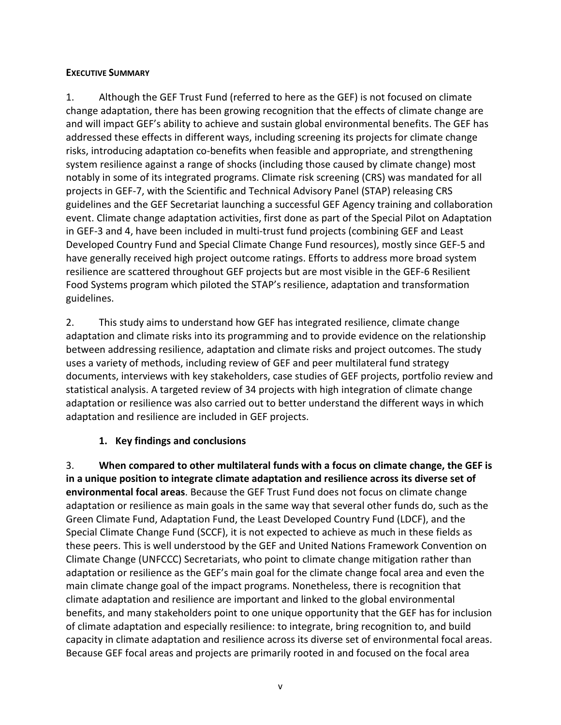### <span id="page-5-0"></span>**EXECUTIVE SUMMARY**

1. Although the GEF Trust Fund (referred to here as the GEF) is not focused on climate change adaptation, there has been growing recognition that the effects of climate change are and will impact GEF's ability to achieve and sustain global environmental benefits. The GEF has addressed these effects in different ways, including screening its projects for climate change risks, introducing adaptation co-benefits when feasible and appropriate, and strengthening system resilience against a range of shocks (including those caused by climate change) most notably in some of its integrated programs. Climate risk screening (CRS) was mandated for all projects in GEF-7, with the Scientific and Technical Advisory Panel (STAP) releasing CRS guidelines and the GEF Secretariat launching a successful GEF Agency training and collaboration event. Climate change adaptation activities, first done as part of the Special Pilot on Adaptation in GEF-3 and 4, have been included in multi-trust fund projects (combining GEF and Least Developed Country Fund and Special Climate Change Fund resources), mostly since GEF-5 and have generally received high project outcome ratings. Efforts to address more broad system resilience are scattered throughout GEF projects but are most visible in the GEF-6 Resilient Food Systems program which piloted the STAP's resilience, adaptation and transformation guidelines.

2. This study aims to understand how GEF has integrated resilience, climate change adaptation and climate risks into its programming and to provide evidence on the relationship between addressing resilience, adaptation and climate risks and project outcomes. The study uses a variety of methods, including review of GEF and peer multilateral fund strategy documents, interviews with key stakeholders, case studies of GEF projects, portfolio review and statistical analysis. A targeted review of 34 projects with high integration of climate change adaptation or resilience was also carried out to better understand the different ways in which adaptation and resilience are included in GEF projects.

## **1. Key findings and conclusions**

<span id="page-5-1"></span>3. **When compared to other multilateral funds with a focus on climate change, the GEF is in a unique position to integrate climate adaptation and resilience across its diverse set of environmental focal areas**. Because the GEF Trust Fund does not focus on climate change adaptation or resilience as main goals in the same way that several other funds do, such as the Green Climate Fund, Adaptation Fund, the Least Developed Country Fund (LDCF), and the Special Climate Change Fund (SCCF), it is not expected to achieve as much in these fields as these peers. This is well understood by the GEF and United Nations Framework Convention on Climate Change (UNFCCC) Secretariats, who point to climate change mitigation rather than adaptation or resilience as the GEF's main goal for the climate change focal area and even the main climate change goal of the impact programs. Nonetheless, there is recognition that climate adaptation and resilience are important and linked to the global environmental benefits, and many stakeholders point to one unique opportunity that the GEF has for inclusion of climate adaptation and especially resilience: to integrate, bring recognition to, and build capacity in climate adaptation and resilience across its diverse set of environmental focal areas. Because GEF focal areas and projects are primarily rooted in and focused on the focal area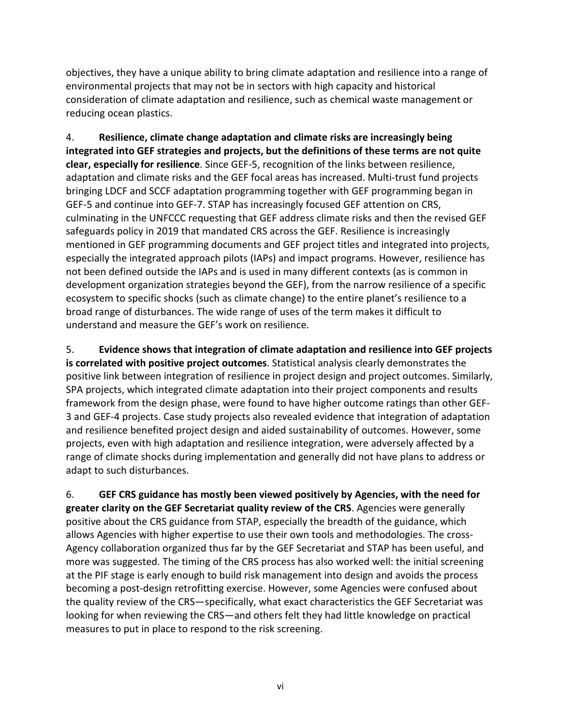objectives, they have a unique ability to bring climate adaptation and resilience into a range of environmental projects that may not be in sectors with high capacity and historical consideration of climate adaptation and resilience, such as chemical waste management or reducing ocean plastics.

4. **Resilience, climate change adaptation and climate risks are increasingly being integrated into GEF strategies and projects, but the definitions of these terms are not quite clear, especially for resilience**. Since GEF-5, recognition of the links between resilience, adaptation and climate risks and the GEF focal areas has increased. Multi-trust fund projects bringing LDCF and SCCF adaptation programming together with GEF programming began in GEF-5 and continue into GEF-7. STAP has increasingly focused GEF attention on CRS, culminating in the UNFCCC requesting that GEF address climate risks and then the revised GEF safeguards policy in 2019 that mandated CRS across the GEF. Resilience is increasingly mentioned in GEF programming documents and GEF project titles and integrated into projects, especially the integrated approach pilots (IAPs) and impact programs. However, resilience has not been defined outside the IAPs and is used in many different contexts (as is common in development organization strategies beyond the GEF), from the narrow resilience of a specific ecosystem to specific shocks (such as climate change) to the entire planet's resilience to a broad range of disturbances. The wide range of uses of the term makes it difficult to understand and measure the GEF's work on resilience.

<span id="page-6-0"></span>5. **Evidence shows that integration of climate adaptation and resilience into GEF projects is correlated with positive project outcomes**. Statistical analysis clearly demonstrates the positive link between integration of resilience in project design and project outcomes. Similarly, SPA projects, which integrated climate adaptation into their project components and results framework from the design phase, were found to have higher outcome ratings than other GEF-3 and GEF-4 projects. Case study projects also revealed evidence that integration of adaptation and resilience benefited project design and aided sustainability of outcomes. However, some projects, even with high adaptation and resilience integration, were adversely affected by a range of climate shocks during implementation and generally did not have plans to address or adapt to such disturbances.

6. **GEF CRS guidance has mostly been viewed positively by Agencies, with the need for greater clarity on the GEF Secretariat quality review of the CRS**. Agencies were generally positive about the CRS guidance from STAP, especially the breadth of the guidance, which allows Agencies with higher expertise to use their own tools and methodologies. The cross-Agency collaboration organized thus far by the GEF Secretariat and STAP has been useful, and more was suggested. The timing of the CRS process has also worked well: the initial screening at the PIF stage is early enough to build risk management into design and avoids the process becoming a post-design retrofitting exercise. However, some Agencies were confused about the quality review of the CRS—specifically, what exact characteristics the GEF Secretariat was looking for when reviewing the CRS—and others felt they had little knowledge on practical measures to put in place to respond to the risk screening.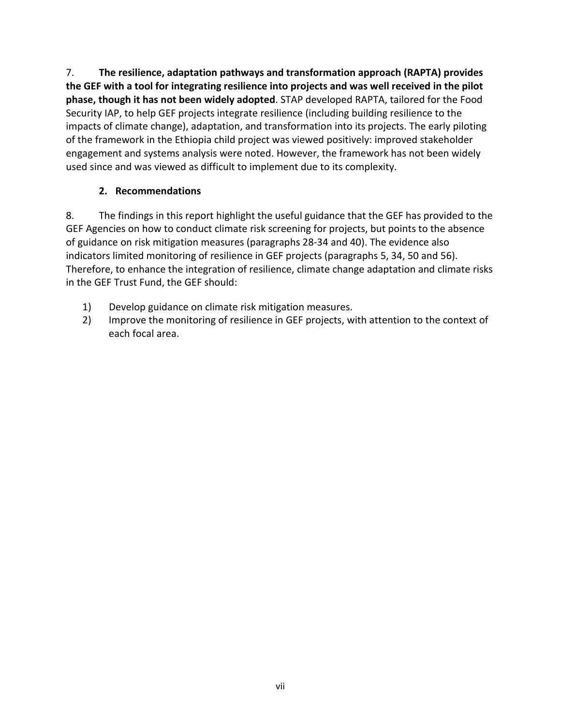7. **The resilience, adaptation pathways and transformation approach (RAPTA) provides the GEF with a tool for integrating resilience into projects and was well received in the pilot phase, though it has not been widely adopted**. STAP developed RAPTA, tailored for the Food Security IAP, to help GEF projects integrate resilience (including building resilience to the impacts of climate change), adaptation, and transformation into its projects. The early piloting of the framework in the Ethiopia child project was viewed positively: improved stakeholder engagement and systems analysis were noted. However, the framework has not been widely used since and was viewed as difficult to implement due to its complexity.

## **2. Recommendations**

<span id="page-7-0"></span>8. The findings in this report highlight the useful guidance that the GEF has provided to the GEF Agencies on how to conduct climate risk screening for projects, but points to the absence of guidance on risk mitigation measures (paragraphs [28-](#page-20-0)[34](#page-23-1) and [40\)](#page-28-1). The evidence also indicators limited monitoring of resilience in GEF projects (paragraphs [5,](#page-6-0) [34,](#page-23-1) [50](#page-35-0) and [56\)](#page-37-1). Therefore, to enhance the integration of resilience, climate change adaptation and climate risks in the GEF Trust Fund, the GEF should:

- 1) Develop guidance on climate risk mitigation measures.
- 2) Improve the monitoring of resilience in GEF projects, with attention to the context of each focal area.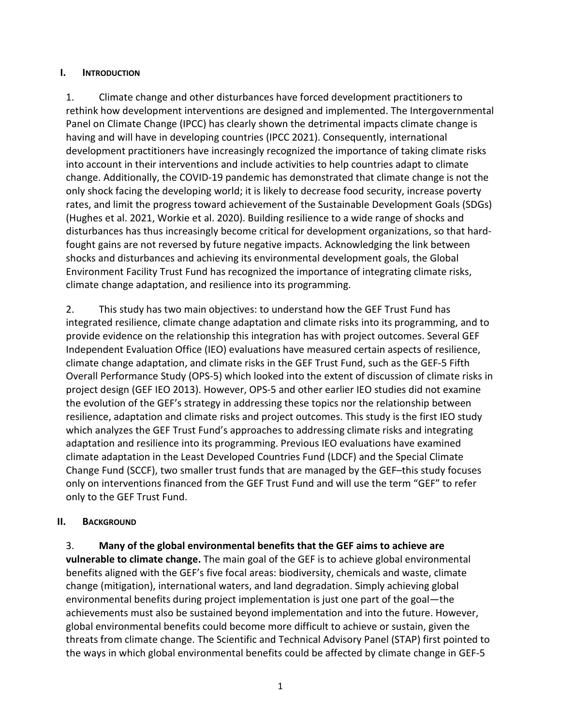### <span id="page-8-0"></span>**I. INTRODUCTION**

1. Climate change and other disturbances have forced development practitioners to rethink how development interventions are designed and implemented. The Intergovernmental Panel on Climate Change (IPCC) has clearly shown the detrimental impacts climate change is having and will have in developing countries (IPCC 2021). Consequently, international development practitioners have increasingly recognized the importance of taking climate risks into account in their interventions and include activities to help countries adapt to climate change. Additionally, the COVID-19 pandemic has demonstrated that climate change is not the only shock facing the developing world; it is likely to decrease food security, increase poverty rates, and limit the progress toward achievement of the Sustainable Development Goals (SDGs) (Hughes et al. 2021, Workie et al. 2020). Building resilience to a wide range of shocks and disturbances has thus increasingly become critical for development organizations, so that hardfought gains are not reversed by future negative impacts. Acknowledging the link between shocks and disturbances and achieving its environmental development goals, the Global Environment Facility Trust Fund has recognized the importance of integrating climate risks, climate change adaptation, and resilience into its programming.

2. This study has two main objectives: to understand how the GEF Trust Fund has integrated resilience, climate change adaptation and climate risks into its programming, and to provide evidence on the relationship this integration has with project outcomes. Several GEF Independent Evaluation Office (IEO) evaluations have measured certain aspects of resilience, climate change adaptation, and climate risks in the GEF Trust Fund, such as the GEF-5 Fifth Overall Performance Study (OPS-5) which looked into the extent of discussion of climate risks in project design (GEF IEO 2013). However, OPS-5 and other earlier IEO studies did not examine the evolution of the GEF's strategy in addressing these topics nor the relationship between resilience, adaptation and climate risks and project outcomes. This study is the first IEO study which analyzes the GEF Trust Fund's approaches to addressing climate risks and integrating adaptation and resilience into its programming. Previous IEO evaluations have examined climate adaptation in the Least Developed Countries Fund (LDCF) and the Special Climate Change Fund (SCCF), two smaller trust funds that are managed by the GEF–this study focuses only on interventions financed from the GEF Trust Fund and will use the term "GEF" to refer only to the GEF Trust Fund.

### <span id="page-8-1"></span>**II. BACKGROUND**

3. **Many of the global environmental benefits that the GEF aims to achieve are vulnerable to climate change.** The main goal of the GEF is to achieve global environmental benefits aligned with the GEF's five focal areas: biodiversity, chemicals and waste, climate change (mitigation), international waters, and land degradation. Simply achieving global environmental benefits during project implementation is just one part of the goal—the achievements must also be sustained beyond implementation and into the future. However, global environmental benefits could become more difficult to achieve or sustain, given the threats from climate change. The Scientific and Technical Advisory Panel (STAP) first pointed to the ways in which global environmental benefits could be affected by climate change in GEF-5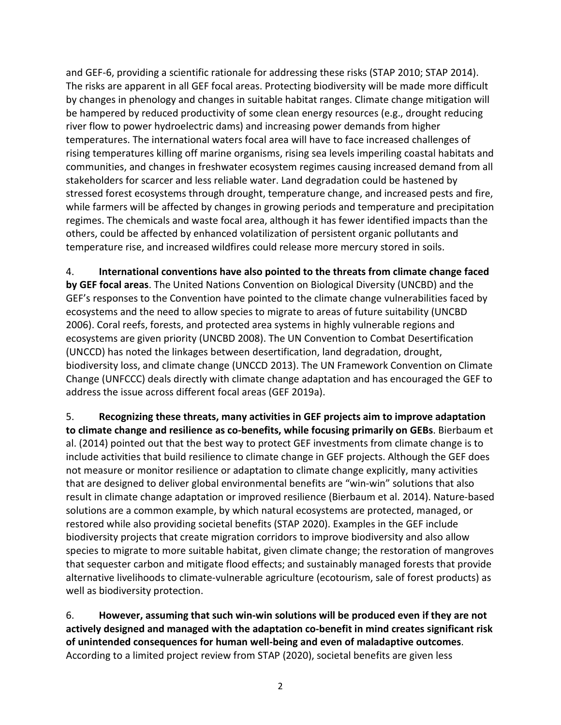and GEF-6, providing a scientific rationale for addressing these risks (STAP 2010; STAP 2014). The risks are apparent in all GEF focal areas. Protecting biodiversity will be made more difficult by changes in phenology and changes in suitable habitat ranges. Climate change mitigation will be hampered by reduced productivity of some clean energy resources (e.g., drought reducing river flow to power hydroelectric dams) and increasing power demands from higher temperatures. The international waters focal area will have to face increased challenges of rising temperatures killing off marine organisms, rising sea levels imperiling coastal habitats and communities, and changes in freshwater ecosystem regimes causing increased demand from all stakeholders for scarcer and less reliable water. Land degradation could be hastened by stressed forest ecosystems through drought, temperature change, and increased pests and fire, while farmers will be affected by changes in growing periods and temperature and precipitation regimes. The chemicals and waste focal area, although it has fewer identified impacts than the others, could be affected by enhanced volatilization of persistent organic pollutants and temperature rise, and increased wildfires could release more mercury stored in soils.

4. **International conventions have also pointed to the threats from climate change faced by GEF focal areas**. The United Nations Convention on Biological Diversity (UNCBD) and the GEF's responses to the Convention have pointed to the climate change vulnerabilities faced by ecosystems and the need to allow species to migrate to areas of future suitability (UNCBD 2006). Coral reefs, forests, and protected area systems in highly vulnerable regions and ecosystems are given priority (UNCBD 2008). The UN Convention to Combat Desertification (UNCCD) has noted the linkages between desertification, land degradation, drought, biodiversity loss, and climate change (UNCCD 2013). The UN Framework Convention on Climate Change (UNFCCC) deals directly with climate change adaptation and has encouraged the GEF to address the issue across different focal areas (GEF 2019a).

5. **Recognizing these threats, many activities in GEF projects aim to improve adaptation to climate change and resilience as co-benefits, while focusing primarily on GEBs**. Bierbaum et al. (2014) pointed out that the best way to protect GEF investments from climate change is to include activities that build resilience to climate change in GEF projects. Although the GEF does not measure or monitor resilience or adaptation to climate change explicitly, many activities that are designed to deliver global environmental benefits are "win-win" solutions that also result in climate change adaptation or improved resilience (Bierbaum et al. 2014). Nature-based solutions are a common example, by which natural ecosystems are protected, managed, or restored while also providing societal benefits (STAP 2020). Examples in the GEF include biodiversity projects that create migration corridors to improve biodiversity and also allow species to migrate to more suitable habitat, given climate change; the restoration of mangroves that sequester carbon and mitigate flood effects; and sustainably managed forests that provide alternative livelihoods to climate-vulnerable agriculture (ecotourism, sale of forest products) as well as biodiversity protection.

6. **However, assuming that such win-win solutions will be produced even if they are not actively designed and managed with the adaptation co-benefit in mind creates significant risk of unintended consequences for human well-being and even of maladaptive outcomes**. According to a limited project review from STAP (2020), societal benefits are given less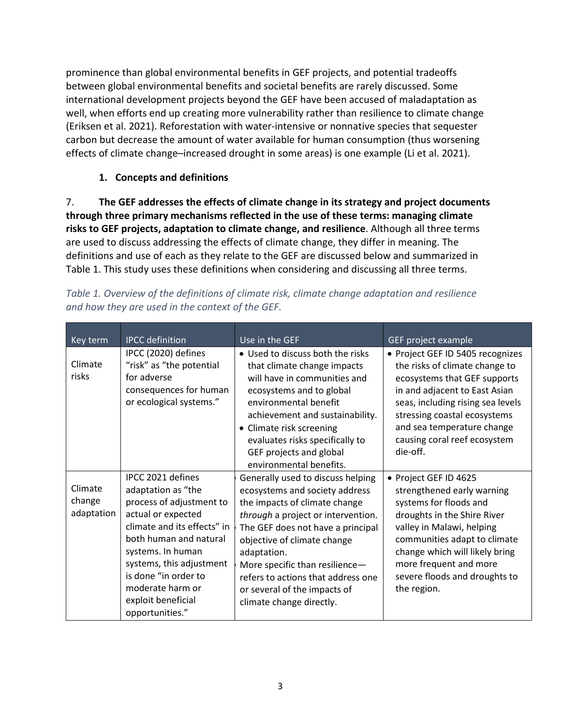prominence than global environmental benefits in GEF projects, and potential tradeoffs between global environmental benefits and societal benefits are rarely discussed. Some international development projects beyond the GEF have been accused of maladaptation as well, when efforts end up creating more vulnerability rather than resilience to climate change (Eriksen et al. 2021). Reforestation with water-intensive or nonnative species that sequester carbon but decrease the amount of water available for human consumption (thus worsening effects of climate change–increased drought in some areas) is one example (Li et al. 2021).

## **1. Concepts and definitions**

<span id="page-10-0"></span>7. **The GEF addresses the effects of climate change in its strategy and project documents through three primary mechanisms reflected in the use of these terms: managing climate risks to GEF projects, adaptation to climate change, and resilience**. Although all three terms are used to discuss addressing the effects of climate change, they differ in meaning. The definitions and use of each as they relate to the GEF are discussed below and summarized in [Table 1.](#page-10-1) This study uses these definitions when considering and discussing all three terms.

| Key term                        | <b>IPCC</b> definition                                                                                                                                                                                                                                                                   | Use in the GEF                                                                                                                                                                                                                                                                                                                                                    | GEF project example                                                                                                                                                                                                                                                                   |
|---------------------------------|------------------------------------------------------------------------------------------------------------------------------------------------------------------------------------------------------------------------------------------------------------------------------------------|-------------------------------------------------------------------------------------------------------------------------------------------------------------------------------------------------------------------------------------------------------------------------------------------------------------------------------------------------------------------|---------------------------------------------------------------------------------------------------------------------------------------------------------------------------------------------------------------------------------------------------------------------------------------|
| Climate<br>risks                | IPCC (2020) defines<br>"risk" as "the potential<br>for adverse<br>consequences for human<br>or ecological systems."                                                                                                                                                                      | • Used to discuss both the risks<br>that climate change impacts<br>will have in communities and<br>ecosystems and to global<br>environmental benefit<br>achievement and sustainability.<br>• Climate risk screening<br>evaluates risks specifically to<br>GEF projects and global<br>environmental benefits.                                                      | • Project GEF ID 5405 recognizes<br>the risks of climate change to<br>ecosystems that GEF supports<br>in and adjacent to East Asian<br>seas, including rising sea levels<br>stressing coastal ecosystems<br>and sea temperature change<br>causing coral reef ecosystem<br>die-off.    |
| Climate<br>change<br>adaptation | IPCC 2021 defines<br>adaptation as "the<br>process of adjustment to<br>actual or expected<br>climate and its effects" in<br>both human and natural<br>systems. In human<br>systems, this adjustment<br>is done "in order to<br>moderate harm or<br>exploit beneficial<br>opportunities." | Generally used to discuss helping<br>ecosystems and society address<br>the impacts of climate change<br>through a project or intervention.<br>The GEF does not have a principal<br>objective of climate change<br>adaptation.<br>More specific than resilience-<br>refers to actions that address one<br>or several of the impacts of<br>climate change directly. | • Project GEF ID 4625<br>strengthened early warning<br>systems for floods and<br>droughts in the Shire River<br>valley in Malawi, helping<br>communities adapt to climate<br>change which will likely bring<br>more frequent and more<br>severe floods and droughts to<br>the region. |

<span id="page-10-1"></span>

|  | Table 1. Overview of the definitions of climate risk, climate change adaptation and resilience |  |  |  |  |
|--|------------------------------------------------------------------------------------------------|--|--|--|--|
|  | and how they are used in the context of the GEF.                                               |  |  |  |  |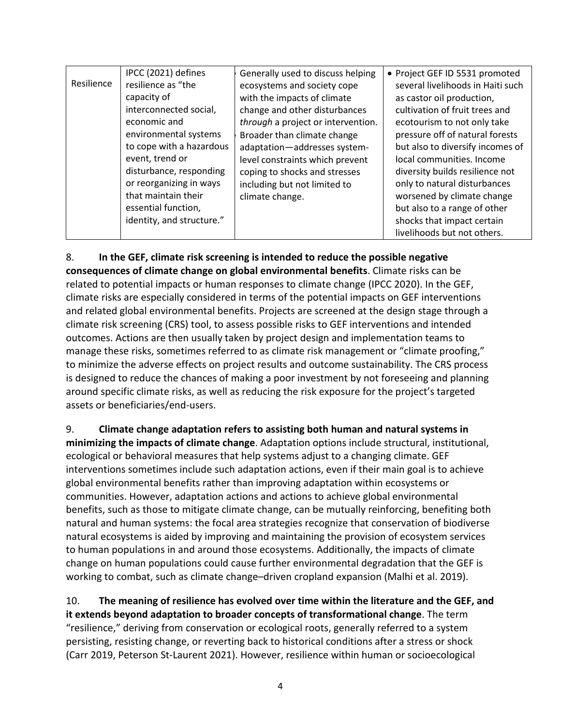|            | IPCC (2021) defines       | Generally used to discuss helping  | • Project GEF ID 5531 promoted    |
|------------|---------------------------|------------------------------------|-----------------------------------|
| Resilience | resilience as "the        | ecosystems and society cope        | several livelihoods in Haiti such |
|            | capacity of               | with the impacts of climate        | as castor oil production,         |
|            | interconnected social,    | change and other disturbances      | cultivation of fruit trees and    |
|            | economic and              | through a project or intervention. | ecotourism to not only take       |
|            | environmental systems     | Broader than climate change        | pressure off of natural forests   |
|            | to cope with a hazardous  | adaptation-addresses system-       | but also to diversify incomes of  |
|            | event, trend or           | level constraints which prevent    | local communities. Income         |
|            | disturbance, responding   | coping to shocks and stresses      | diversity builds resilience not   |
|            | or reorganizing in ways   | including but not limited to       | only to natural disturbances      |
|            | that maintain their       | climate change.                    | worsened by climate change        |
|            | essential function,       |                                    | but also to a range of other      |
|            | identity, and structure." |                                    | shocks that impact certain        |
|            |                           |                                    | livelihoods but not others.       |

8. **In the GEF, climate risk screening is intended to reduce the possible negative consequences of climate change on global environmental benefits**. Climate risks can be related to potential impacts or human responses to climate change (IPCC 2020). In the GEF, climate risks are especially considered in terms of the potential impacts on GEF interventions and related global environmental benefits. Projects are screened at the design stage through a climate risk screening (CRS) tool, to assess possible risks to GEF interventions and intended outcomes. Actions are then usually taken by project design and implementation teams to manage these risks, sometimes referred to as climate risk management or "climate proofing," to minimize the adverse effects on project results and outcome sustainability. The CRS process is designed to reduce the chances of making a poor investment by not foreseeing and planning around specific climate risks, as well as reducing the risk exposure for the project's targeted assets or beneficiaries/end-users.

9. **Climate change adaptation refers to assisting both human and natural systems in minimizing the impacts of climate change**. Adaptation options include structural, institutional, ecological or behavioral measures that help systems adjust to a changing climate. GEF interventions sometimes include such adaptation actions, even if their main goal is to achieve global environmental benefits rather than improving adaptation within ecosystems or communities. However, adaptation actions and actions to achieve global environmental benefits, such as those to mitigate climate change, can be mutually reinforcing, benefiting both natural and human systems: the focal area strategies recognize that conservation of biodiverse natural ecosystems is aided by improving and maintaining the provision of ecosystem services to human populations in and around those ecosystems. Additionally, the impacts of climate change on human populations could cause further environmental degradation that the GEF is working to combat, such as climate change–driven cropland expansion (Malhi et al. 2019).

10. **The meaning of resilience has evolved over time within the literature and the GEF, and it extends beyond adaptation to broader concepts of transformational change**. The term "resilience," deriving from conservation or ecological roots, generally referred to a system persisting, resisting change, or reverting back to historical conditions after a stress or shock (Carr 2019, Peterson St-Laurent 2021). However, resilience within human or socioecological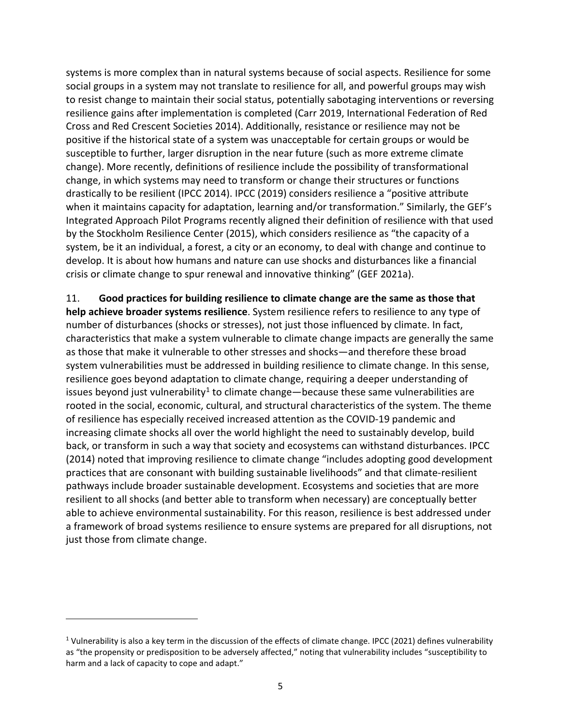systems is more complex than in natural systems because of social aspects. Resilience for some social groups in a system may not translate to resilience for all, and powerful groups may wish to resist change to maintain their social status, potentially sabotaging interventions or reversing resilience gains after implementation is completed (Carr 2019, International Federation of Red Cross and Red Crescent Societies 2014). Additionally, resistance or resilience may not be positive if the historical state of a system was unacceptable for certain groups or would be susceptible to further, larger disruption in the near future (such as more extreme climate change). More recently, definitions of resilience include the possibility of transformational change, in which systems may need to transform or change their structures or functions drastically to be resilient (IPCC 2014). IPCC (2019) considers resilience a "positive attribute when it maintains capacity for adaptation, learning and/or transformation." Similarly, the GEF's Integrated Approach Pilot Programs recently aligned their definition of resilience with that used by the Stockholm Resilience Center (2015), which considers resilience as "the capacity of a system, be it an individual, a forest, a city or an economy, to deal with change and continue to develop. It is about how humans and nature can use shocks and disturbances like a financial crisis or climate change to spur renewal and innovative thinking" (GEF 2021a).

11. **Good practices for building resilience to climate change are the same as those that help achieve broader systems resilience**. System resilience refers to resilience to any type of number of disturbances (shocks or stresses), not just those influenced by climate. In fact, characteristics that make a system vulnerable to climate change impacts are generally the same as those that make it vulnerable to other stresses and shocks—and therefore these broad system vulnerabilities must be addressed in building resilience to climate change. In this sense, resilience goes beyond adaptation to climate change, requiring a deeper understanding of issues beyond just vulnerability<sup>[1](#page-12-0)</sup> to climate change—because these same vulnerabilities are rooted in the social, economic, cultural, and structural characteristics of the system. The theme of resilience has especially received increased attention as the COVID-19 pandemic and increasing climate shocks all over the world highlight the need to sustainably develop, build back, or transform in such a way that society and ecosystems can withstand disturbances. IPCC (2014) noted that improving resilience to climate change "includes adopting good development practices that are consonant with building sustainable livelihoods" and that climate-resilient pathways include broader sustainable development. Ecosystems and societies that are more resilient to all shocks (and better able to transform when necessary) are conceptually better able to achieve environmental sustainability. For this reason, resilience is best addressed under a framework of broad systems resilience to ensure systems are prepared for all disruptions, not just those from climate change.

<span id="page-12-0"></span><sup>&</sup>lt;sup>1</sup> Vulnerability is also a key term in the discussion of the effects of climate change. IPCC (2021) defines vulnerability as "the propensity or predisposition to be adversely affected," noting that vulnerability includes "susceptibility to harm and a lack of capacity to cope and adapt."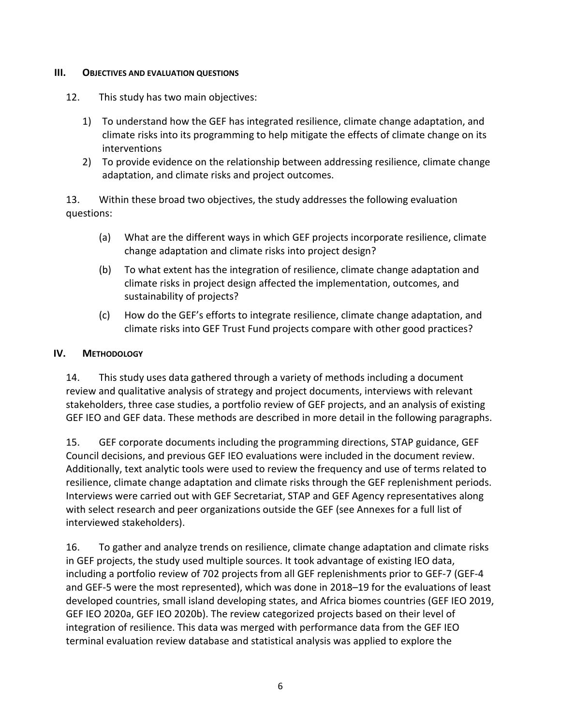#### <span id="page-13-0"></span>**III. OBJECTIVES AND EVALUATION QUESTIONS**

- 12. This study has two main objectives:
	- 1) To understand how the GEF has integrated resilience, climate change adaptation, and climate risks into its programming to help mitigate the effects of climate change on its interventions
	- 2) To provide evidence on the relationship between addressing resilience, climate change adaptation, and climate risks and project outcomes.

13. Within these broad two objectives, the study addresses the following evaluation questions:

- (a) What are the different ways in which GEF projects incorporate resilience, climate change adaptation and climate risks into project design?
- (b) To what extent has the integration of resilience, climate change adaptation and climate risks in project design affected the implementation, outcomes, and sustainability of projects?
- (c) How do the GEF's efforts to integrate resilience, climate change adaptation, and climate risks into GEF Trust Fund projects compare with other good practices?

### <span id="page-13-1"></span>**IV. METHODOLOGY**

14. This study uses data gathered through a variety of methods including a document review and qualitative analysis of strategy and project documents, interviews with relevant stakeholders, three case studies, a portfolio review of GEF projects, and an analysis of existing GEF IEO and GEF data. These methods are described in more detail in the following paragraphs.

15. GEF corporate documents including the programming directions, STAP guidance, GEF Council decisions, and previous GEF IEO evaluations were included in the document review. Additionally, text analytic tools were used to review the frequency and use of terms related to resilience, climate change adaptation and climate risks through the GEF replenishment periods. Interviews were carried out with GEF Secretariat, STAP and GEF Agency representatives along with select research and peer organizations outside the GEF (see Annexes for a full list of interviewed stakeholders).

16. To gather and analyze trends on resilience, climate change adaptation and climate risks in GEF projects, the study used multiple sources. It took advantage of existing IEO data, including a portfolio review of 702 projects from all GEF replenishments prior to GEF-7 (GEF-4 and GEF-5 were the most represented), which was done in 2018–19 for the evaluations of least developed countries, small island developing states, and Africa biomes countries (GEF IEO 2019, GEF IEO 2020a, GEF IEO 2020b). The review categorized projects based on their level of integration of resilience. This data was merged with performance data from the GEF IEO terminal evaluation review database and statistical analysis was applied to explore the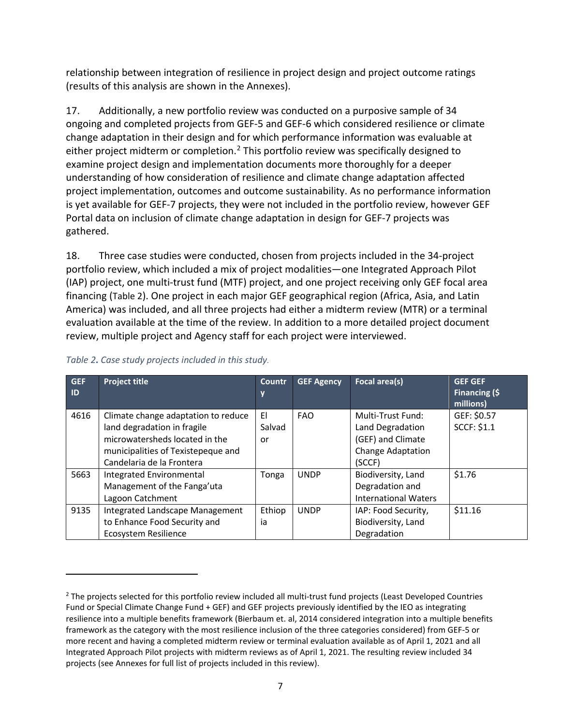relationship between integration of resilience in project design and project outcome ratings (results of this analysis are shown in the Annexes).

17. Additionally, a new portfolio review was conducted on a purposive sample of 34 ongoing and completed projects from GEF-5 and GEF-6 which considered resilience or climate change adaptation in their design and for which performance information was evaluable at either project midterm or completion.<sup>[2](#page-14-1)</sup> This portfolio review was specifically designed to examine project design and implementation documents more thoroughly for a deeper understanding of how consideration of resilience and climate change adaptation affected project implementation, outcomes and outcome sustainability. As no performance information is yet available for GEF-7 projects, they were not included in the portfolio review, however GEF Portal data on inclusion of climate change adaptation in design for GEF-7 projects was gathered.

18. Three case studies were conducted, chosen from projects included in the 34-project portfolio review, which included a mix of project modalities—one Integrated Approach Pilot (IAP) project, one multi-trust fund (MTF) project, and one project receiving only GEF focal area financing [\(Table 2\)](#page-14-0). One project in each major GEF geographical region (Africa, Asia, and Latin America) was included, and all three projects had either a midterm review (MTR) or a terminal evaluation available at the time of the review. In addition to a more detailed project document review, multiple project and Agency staff for each project were interviewed.

| <b>GEF</b><br>ID | <b>Project title</b>                                               | <b>Countr</b><br>y | <b>GEF Agency</b> | Focal area(s)                         | <b>GEF GEF</b><br>Financing (\$<br>millions) |
|------------------|--------------------------------------------------------------------|--------------------|-------------------|---------------------------------------|----------------------------------------------|
| 4616             | Climate change adaptation to reduce<br>land degradation in fragile | EI<br>Salvad       | <b>FAO</b>        | Multi-Trust Fund:<br>Land Degradation | GEF: \$0.57<br><b>SCCF: \$1.1</b>            |
|                  | microwatersheds located in the                                     | or                 |                   | (GEF) and Climate                     |                                              |
|                  | municipalities of Texistepeque and                                 |                    |                   | <b>Change Adaptation</b>              |                                              |
|                  | Candelaria de la Frontera                                          |                    |                   | (SCCF)                                |                                              |
| 5663             | Integrated Environmental                                           | Tonga              | <b>UNDP</b>       | Biodiversity, Land                    | \$1.76                                       |
|                  | Management of the Fanga'uta                                        |                    |                   | Degradation and                       |                                              |
|                  | Lagoon Catchment                                                   |                    |                   | <b>International Waters</b>           |                                              |
| 9135             | Integrated Landscape Management                                    | Ethiop             | <b>UNDP</b>       | IAP: Food Security,                   | \$11.16                                      |
|                  | to Enhance Food Security and                                       | ia                 |                   | Biodiversity, Land                    |                                              |
|                  | Ecosystem Resilience                                               |                    |                   | Degradation                           |                                              |

### <span id="page-14-0"></span>*Table 2***.** *Case study projects included in this study.*

<span id="page-14-1"></span><sup>&</sup>lt;sup>2</sup> The projects selected for this portfolio review included all multi-trust fund projects (Least Developed Countries Fund or Special Climate Change Fund + GEF) and GEF projects previously identified by the IEO as integrating resilience into a multiple benefits framework (Bierbaum et. al, 2014 considered integration into a multiple benefits framework as the category with the most resilience inclusion of the three categories considered) from GEF-5 or more recent and having a completed midterm review or terminal evaluation available as of April 1, 2021 and all Integrated Approach Pilot projects with midterm reviews as of April 1, 2021. The resulting review included 34 projects (see Annexes for full list of projects included in this review).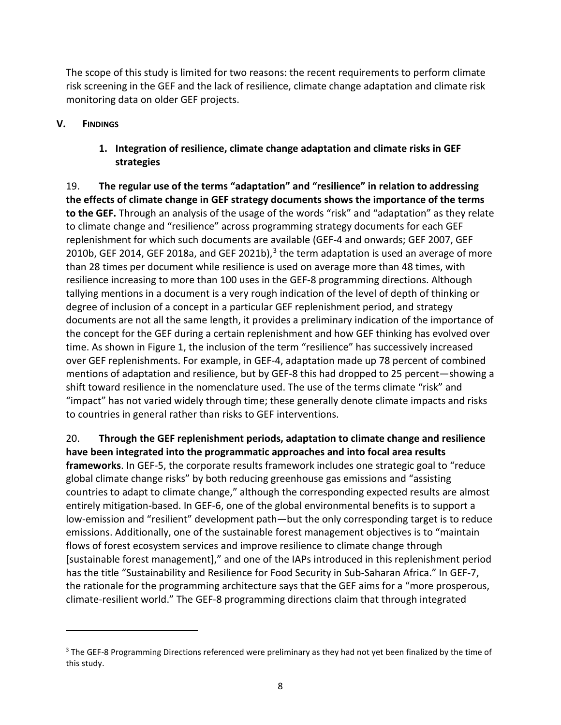The scope of this study is limited for two reasons: the recent requirements to perform climate risk screening in the GEF and the lack of resilience, climate change adaptation and climate risk monitoring data on older GEF projects.

### <span id="page-15-1"></span><span id="page-15-0"></span>**V. FINDINGS**

## **1. Integration of resilience, climate change adaptation and climate risks in GEF strategies**

19. **The regular use of the terms "adaptation" and "resilience" in relation to addressing the effects of climate change in GEF strategy documents shows the importance of the terms to the GEF.** Through an analysis of the usage of the words "risk" and "adaptation" as they relate to climate change and "resilience" across programming strategy documents for each GEF replenishment for which such documents are available (GEF-4 and onwards; GEF 2007, GEF 2010b, GEF 2014, GEF 2018a, and GEF 2021b), $3$  the term adaptation is used an average of more than 28 times per document while resilience is used on average more than 48 times, with resilience increasing to more than 100 uses in the GEF-8 programming directions. Although tallying mentions in a document is a very rough indication of the level of depth of thinking or degree of inclusion of a concept in a particular GEF replenishment period, and strategy documents are not all the same length, it provides a preliminary indication of the importance of the concept for the GEF during a certain replenishment and how GEF thinking has evolved over time. As shown in [Figure 1,](#page-16-0) the inclusion of the term "resilience" has successively increased over GEF replenishments. For example, in GEF-4, adaptation made up 78 percent of combined mentions of adaptation and resilience, but by GEF-8 this had dropped to 25 percent—showing a shift toward resilience in the nomenclature used. The use of the terms climate "risk" and "impact" has not varied widely through time; these generally denote climate impacts and risks to countries in general rather than risks to GEF interventions.

20. **Through the GEF replenishment periods, adaptation to climate change and resilience have been integrated into the programmatic approaches and into focal area results frameworks**. In GEF-5, the corporate results framework includes one strategic goal to "reduce global climate change risks" by both reducing greenhouse gas emissions and "assisting countries to adapt to climate change," although the corresponding expected results are almost entirely mitigation-based. In GEF-6, one of the global environmental benefits is to support a low-emission and "resilient" development path—but the only corresponding target is to reduce emissions. Additionally, one of the sustainable forest management objectives is to "maintain flows of forest ecosystem services and improve resilience to climate change through [sustainable forest management]," and one of the IAPs introduced in this replenishment period has the title "Sustainability and Resilience for Food Security in Sub-Saharan Africa." In GEF-7, the rationale for the programming architecture says that the GEF aims for a "more prosperous, climate-resilient world." The GEF-8 programming directions claim that through integrated

<span id="page-15-2"></span><sup>&</sup>lt;sup>3</sup> The GEF-8 Programming Directions referenced were preliminary as they had not yet been finalized by the time of this study.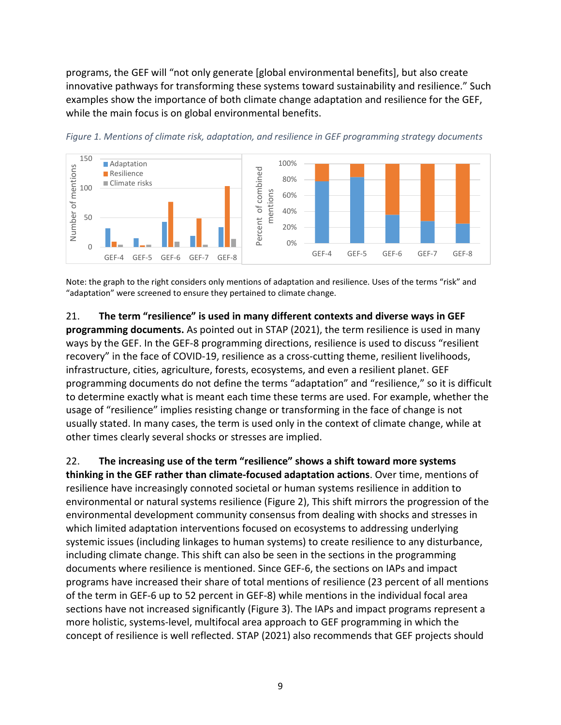programs, the GEF will "not only generate [global environmental benefits], but also create innovative pathways for transforming these systems toward sustainability and resilience." Such examples show the importance of both climate change adaptation and resilience for the GEF, while the main focus is on global environmental benefits.



<span id="page-16-0"></span>*Figure 1. Mentions of climate risk, adaptation, and resilience in GEF programming strategy documents*

Note: the graph to the right considers only mentions of adaptation and resilience. Uses of the terms "risk" and "adaptation" were screened to ensure they pertained to climate change.

21. **The term "resilience" is used in many different contexts and diverse ways in GEF**

**programming documents.** As pointed out in STAP (2021), the term resilience is used in many ways by the GEF. In the GEF-8 programming directions, resilience is used to discuss "resilient recovery" in the face of COVID-19, resilience as a cross-cutting theme, resilient livelihoods, infrastructure, cities, agriculture, forests, ecosystems, and even a resilient planet. GEF programming documents do not define the terms "adaptation" and "resilience," so it is difficult to determine exactly what is meant each time these terms are used. For example, whether the usage of "resilience" implies resisting change or transforming in the face of change is not usually stated. In many cases, the term is used only in the context of climate change, while at other times clearly several shocks or stresses are implied.

22. **The increasing use of the term "resilience" shows a shift toward more systems thinking in the GEF rather than climate-focused adaptation actions**. Over time, mentions of resilience have increasingly connoted societal or human systems resilience in addition to environmental or natural systems resilience [\(Figure 2\)](#page-17-0), This shift mirrors the progression of the environmental development community consensus from dealing with shocks and stresses in which limited adaptation interventions focused on ecosystems to addressing underlying systemic issues (including linkages to human systems) to create resilience to any disturbance, including climate change. This shift can also be seen in the sections in the programming documents where resilience is mentioned. Since GEF-6, the sections on IAPs and impact programs have increased their share of total mentions of resilience (23 percent of all mentions of the term in GEF-6 up to 52 percent in GEF-8) while mentions in the individual focal area sections have not increased significantly [\(Figure 3\)](#page-17-1). The IAPs and impact programs represent a more holistic, systems-level, multifocal area approach to GEF programming in which the concept of resilience is well reflected. STAP (2021) also recommends that GEF projects should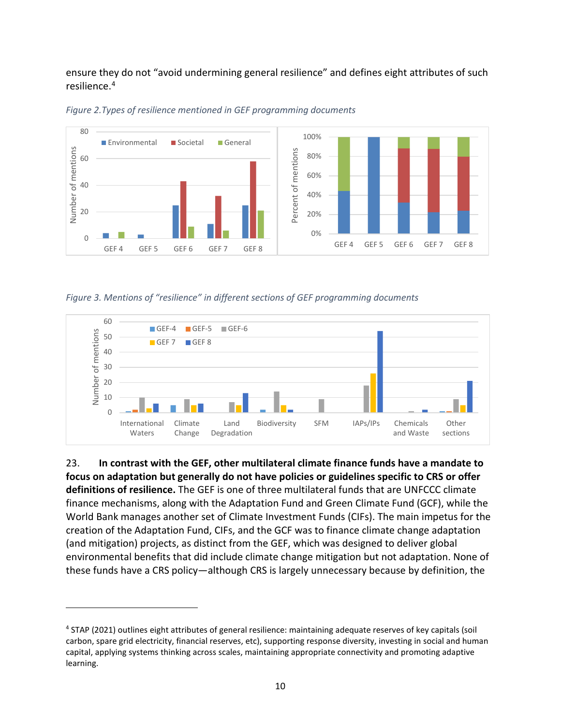ensure they do not "avoid undermining general resilience" and defines eight attributes of such resilience.[4](#page-17-2)



<span id="page-17-0"></span>

<span id="page-17-1"></span>*Figure 3. Mentions of "resilience" in different sections of GEF programming documents*



23. **In contrast with the GEF, other multilateral climate finance funds have a mandate to focus on adaptation but generally do not have policies or guidelines specific to CRS or offer definitions of resilience.** The GEF is one of three multilateral funds that are UNFCCC climate finance mechanisms, along with the Adaptation Fund and Green Climate Fund (GCF), while the World Bank manages another set of Climate Investment Funds (CIFs). The main impetus for the creation of the Adaptation Fund, CIFs, and the GCF was to finance climate change adaptation (and mitigation) projects, as distinct from the GEF, which was designed to deliver global environmental benefits that did include climate change mitigation but not adaptation. None of these funds have a CRS policy—although CRS is largely unnecessary because by definition, the

<span id="page-17-2"></span><sup>4</sup> STAP (2021) outlines eight attributes of general resilience: maintaining adequate reserves of key capitals (soil carbon, spare grid electricity, financial reserves, etc), supporting response diversity, investing in social and human capital, applying systems thinking across scales, maintaining appropriate connectivity and promoting adaptive learning.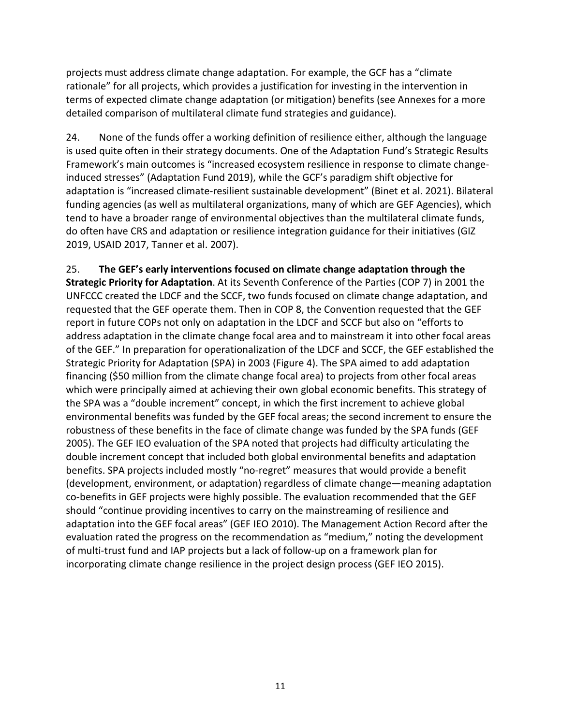projects must address climate change adaptation. For example, the GCF has a "climate rationale" for all projects, which provides a justification for investing in the intervention in terms of expected climate change adaptation (or mitigation) benefits (see Annexes for a more detailed comparison of multilateral climate fund strategies and guidance).

24. None of the funds offer a working definition of resilience either, although the language is used quite often in their strategy documents. One of the Adaptation Fund's Strategic Results Framework's main outcomes is "increased ecosystem resilience in response to climate changeinduced stresses" (Adaptation Fund 2019), while the GCF's paradigm shift objective for adaptation is "increased climate-resilient sustainable development" (Binet et al. 2021). Bilateral funding agencies (as well as multilateral organizations, many of which are GEF Agencies), which tend to have a broader range of environmental objectives than the multilateral climate funds, do often have CRS and adaptation or resilience integration guidance for their initiatives (GIZ 2019, USAID 2017, Tanner et al. 2007).

25. **The GEF's early interventions focused on climate change adaptation through the Strategic Priority for Adaptation**. At its Seventh Conference of the Parties (COP 7) in 2001 the UNFCCC created the LDCF and the SCCF, two funds focused on climate change adaptation, and requested that the GEF operate them. Then in COP 8, the Convention requested that the GEF report in future COPs not only on adaptation in the LDCF and SCCF but also on "efforts to address adaptation in the climate change focal area and to mainstream it into other focal areas of the GEF." In preparation for operationalization of the LDCF and SCCF, the GEF established the Strategic Priority for Adaptation (SPA) in 2003 [\(Figure 4\)](#page-19-0). The SPA aimed to add adaptation financing (\$50 million from the climate change focal area) to projects from other focal areas which were principally aimed at achieving their own global economic benefits. This strategy of the SPA was a "double increment" concept, in which the first increment to achieve global environmental benefits was funded by the GEF focal areas; the second increment to ensure the robustness of these benefits in the face of climate change was funded by the SPA funds (GEF 2005). The GEF IEO evaluation of the SPA noted that projects had difficulty articulating the double increment concept that included both global environmental benefits and adaptation benefits. SPA projects included mostly "no-regret" measures that would provide a benefit (development, environment, or adaptation) regardless of climate change—meaning adaptation co-benefits in GEF projects were highly possible. The evaluation recommended that the GEF should "continue providing incentives to carry on the mainstreaming of resilience and adaptation into the GEF focal areas" (GEF IEO 2010). The Management Action Record after the evaluation rated the progress on the recommendation as "medium," noting the development of multi-trust fund and IAP projects but a lack of follow-up on a framework plan for incorporating climate change resilience in the project design process (GEF IEO 2015).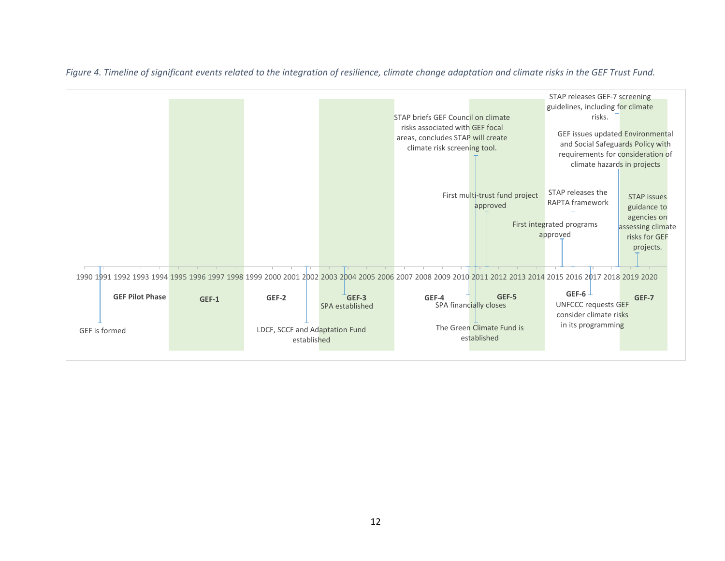<span id="page-19-0"></span>

*Figure 4. Timeline of significant events related to the integration of resilience, climate change adaptation and climate risks in the GEF Trust Fund.*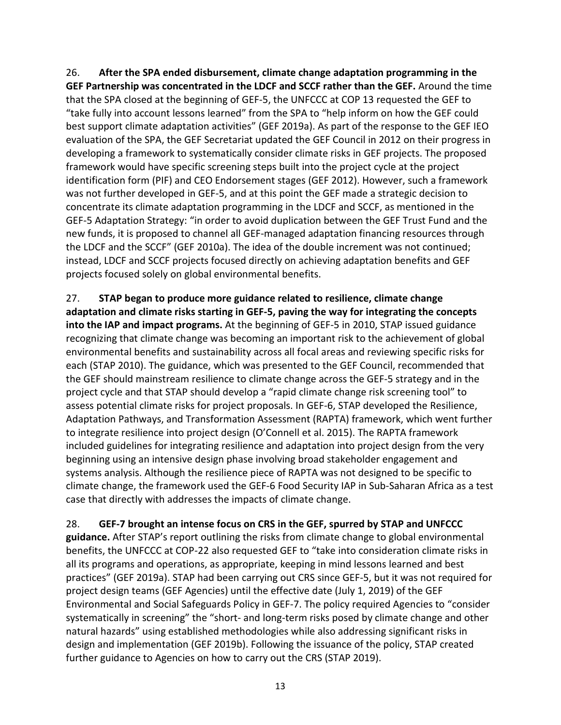26. **After the SPA ended disbursement, climate change adaptation programming in the GEF Partnership was concentrated in the LDCF and SCCF rather than the GEF.** Around the time that the SPA closed at the beginning of GEF-5, the UNFCCC at COP 13 requested the GEF to "take fully into account lessons learned" from the SPA to "help inform on how the GEF could best support climate adaptation activities" (GEF 2019a). As part of the response to the GEF IEO evaluation of the SPA, the GEF Secretariat updated the GEF Council in 2012 on their progress in developing a framework to systematically consider climate risks in GEF projects. The proposed framework would have specific screening steps built into the project cycle at the project identification form (PIF) and CEO Endorsement stages (GEF 2012). However, such a framework was not further developed in GEF-5, and at this point the GEF made a strategic decision to concentrate its climate adaptation programming in the LDCF and SCCF, as mentioned in the GEF-5 Adaptation Strategy: "in order to avoid duplication between the GEF Trust Fund and the new funds, it is proposed to channel all GEF-managed adaptation financing resources through the LDCF and the SCCF" (GEF 2010a). The idea of the double increment was not continued; instead, LDCF and SCCF projects focused directly on achieving adaptation benefits and GEF projects focused solely on global environmental benefits.

27. **STAP began to produce more guidance related to resilience, climate change adaptation and climate risks starting in GEF-5, paving the way for integrating the concepts into the IAP and impact programs.** At the beginning of GEF-5 in 2010, STAP issued guidance recognizing that climate change was becoming an important risk to the achievement of global environmental benefits and sustainability across all focal areas and reviewing specific risks for each (STAP 2010). The guidance, which was presented to the GEF Council, recommended that the GEF should mainstream resilience to climate change across the GEF-5 strategy and in the project cycle and that STAP should develop a "rapid climate change risk screening tool" to assess potential climate risks for project proposals. In GEF-6, STAP developed the Resilience, Adaptation Pathways, and Transformation Assessment (RAPTA) framework, which went further to integrate resilience into project design (O'Connell et al. 2015). The RAPTA framework included guidelines for integrating resilience and adaptation into project design from the very beginning using an intensive design phase involving broad stakeholder engagement and systems analysis. Although the resilience piece of RAPTA was not designed to be specific to climate change, the framework used the GEF-6 Food Security IAP in Sub-Saharan Africa as a test case that directly with addresses the impacts of climate change.

<span id="page-20-0"></span>28. **GEF-7 brought an intense focus on CRS in the GEF, spurred by STAP and UNFCCC guidance.** After STAP's report outlining the risks from climate change to global environmental benefits, the UNFCCC at COP-22 also requested GEF to "take into consideration climate risks in all its programs and operations, as appropriate, keeping in mind lessons learned and best practices" (GEF 2019a). STAP had been carrying out CRS since GEF-5, but it was not required for project design teams (GEF Agencies) until the effective date (July 1, 2019) of the GEF Environmental and Social Safeguards Policy in GEF-7. The policy required Agencies to "consider systematically in screening" the "short- and long-term risks posed by climate change and other natural hazards" using established methodologies while also addressing significant risks in design and implementation (GEF 2019b). Following the issuance of the policy, STAP created further guidance to Agencies on how to carry out the CRS (STAP 2019).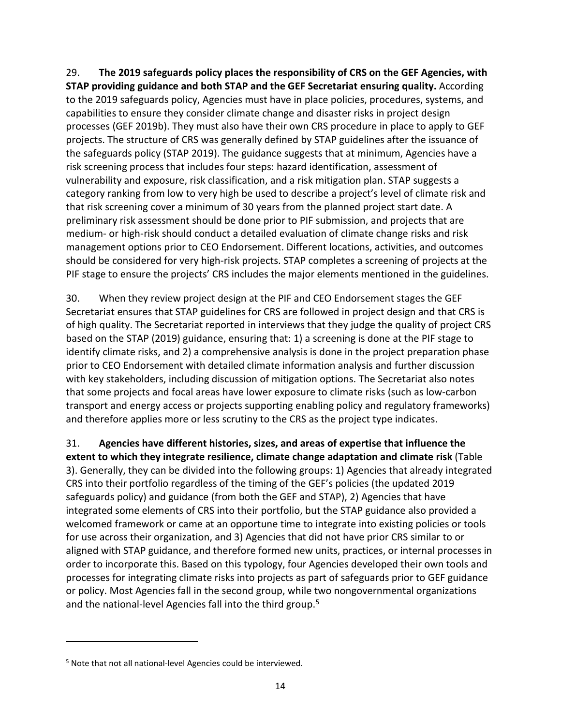29. **The 2019 safeguards policy places the responsibility of CRS on the GEF Agencies, with STAP providing guidance and both STAP and the GEF Secretariat ensuring quality.** According to the 2019 safeguards policy, Agencies must have in place policies, procedures, systems, and capabilities to ensure they consider climate change and disaster risks in project design processes (GEF 2019b). They must also have their own CRS procedure in place to apply to GEF projects. The structure of CRS was generally defined by STAP guidelines after the issuance of the safeguards policy (STAP 2019). The guidance suggests that at minimum, Agencies have a risk screening process that includes four steps: hazard identification, assessment of vulnerability and exposure, risk classification, and a risk mitigation plan. STAP suggests a category ranking from low to very high be used to describe a project's level of climate risk and that risk screening cover a minimum of 30 years from the planned project start date. A preliminary risk assessment should be done prior to PIF submission, and projects that are medium- or high-risk should conduct a detailed evaluation of climate change risks and risk management options prior to CEO Endorsement. Different locations, activities, and outcomes should be considered for very high-risk projects. STAP completes a screening of projects at the PIF stage to ensure the projects' CRS includes the major elements mentioned in the guidelines.

30. When they review project design at the PIF and CEO Endorsement stages the GEF Secretariat ensures that STAP guidelines for CRS are followed in project design and that CRS is of high quality. The Secretariat reported in interviews that they judge the quality of project CRS based on the STAP (2019) guidance, ensuring that: 1) a screening is done at the PIF stage to identify climate risks, and 2) a comprehensive analysis is done in the project preparation phase prior to CEO Endorsement with detailed climate information analysis and further discussion with key stakeholders, including discussion of mitigation options. The Secretariat also notes that some projects and focal areas have lower exposure to climate risks (such as low-carbon transport and energy access or projects supporting enabling policy and regulatory frameworks) and therefore applies more or less scrutiny to the CRS as the project type indicates.

31. **Agencies have different histories, sizes, and areas of expertise that influence the extent to which they integrate resilience, climate change adaptation and climate risk** [\(Table](#page-22-0)  [3\)](#page-22-0). Generally, they can be divided into the following groups: 1) Agencies that already integrated CRS into their portfolio regardless of the timing of the GEF's policies (the updated 2019 safeguards policy) and guidance (from both the GEF and STAP), 2) Agencies that have integrated some elements of CRS into their portfolio, but the STAP guidance also provided a welcomed framework or came at an opportune time to integrate into existing policies or tools for use across their organization, and 3) Agencies that did not have prior CRS similar to or aligned with STAP guidance, and therefore formed new units, practices, or internal processes in order to incorporate this. Based on this typology, four Agencies developed their own tools and processes for integrating climate risks into projects as part of safeguards prior to GEF guidance or policy. Most Agencies fall in the second group, while two nongovernmental organizations and the national-level Agencies fall into the third group.<sup>[5](#page-21-0)</sup>

<span id="page-21-0"></span><sup>5</sup> Note that not all national-level Agencies could be interviewed.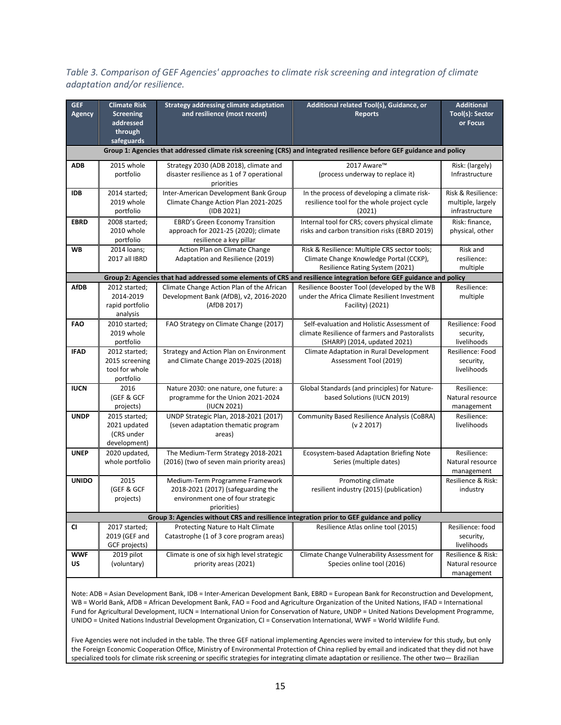<span id="page-22-0"></span>*Table 3. Comparison of GEF Agencies' approaches to climate risk screening and integration of climate adaptation and/or resilience.*

| <b>GEF</b><br>Agency | <b>Climate Risk</b><br><b>Screening</b><br>addressed | <b>Strategy addressing climate adaptation</b><br>and resilience (most recent)             | Additional related Tool(s), Guidance, or<br><b>Reports</b>                                                             | <b>Additional</b><br>Tool(s): Sector<br>or Focus |
|----------------------|------------------------------------------------------|-------------------------------------------------------------------------------------------|------------------------------------------------------------------------------------------------------------------------|--------------------------------------------------|
|                      | through                                              |                                                                                           |                                                                                                                        |                                                  |
|                      | safeguards                                           |                                                                                           | Group 1: Agencies that addressed climate risk screening (CRS) and integrated resilience before GEF guidance and policy |                                                  |
| ADB                  | 2015 whole                                           | Strategy 2030 (ADB 2018), climate and                                                     | 2017 Aware™                                                                                                            | Risk: (largely)                                  |
|                      | portfolio                                            | disaster resilience as 1 of 7 operational<br>priorities                                   | (process underway to replace it)                                                                                       | Infrastructure                                   |
| <b>IDB</b>           | 2014 started;<br>2019 whole                          | Inter-American Development Bank Group<br>Climate Change Action Plan 2021-2025             | In the process of developing a climate risk-<br>resilience tool for the whole project cycle                            | Risk & Resilience:<br>multiple, largely          |
|                      | portfolio                                            | (IDB 2021)                                                                                | (2021)                                                                                                                 | infrastructure                                   |
| <b>EBRD</b>          | 2008 started;                                        | <b>EBRD's Green Economy Transition</b>                                                    | Internal tool for CRS; covers physical climate                                                                         | Risk: finance,                                   |
|                      | 2010 whole<br>portfolio                              | approach for 2021-25 (2020); climate<br>resilience a key pillar                           | risks and carbon transition risks (EBRD 2019)                                                                          | physical, other                                  |
| WB                   | 2014 loans;                                          | Action Plan on Climate Change                                                             | Risk & Resilience: Multiple CRS sector tools;                                                                          | Risk and                                         |
|                      | 2017 all IBRD                                        | Adaptation and Resilience (2019)                                                          | Climate Change Knowledge Portal (CCKP),<br>Resilience Rating System (2021)                                             | resilience:<br>multiple                          |
|                      |                                                      |                                                                                           | Group 2: Agencies that had addressed some elements of CRS and resilience integration before GEF guidance and policy    |                                                  |
| <b>AfDB</b>          | 2012 started;                                        | Climate Change Action Plan of the African                                                 | Resilience Booster Tool (developed by the WB                                                                           | Resilience:                                      |
|                      | 2014-2019                                            | Development Bank (AfDB), v2, 2016-2020                                                    | under the Africa Climate Resilient Investment                                                                          | multiple                                         |
|                      | rapid portfolio                                      | (AfDB 2017)                                                                               | Facility) (2021)                                                                                                       |                                                  |
|                      | analysis                                             |                                                                                           |                                                                                                                        |                                                  |
| FAO                  | 2010 started;<br>2019 whole                          | FAO Strategy on Climate Change (2017)                                                     | Self-evaluation and Holistic Assessment of<br>climate Resilience of farmers and Pastoralists                           | Resilience: Food                                 |
|                      | portfolio                                            |                                                                                           | (SHARP) (2014, updated 2021)                                                                                           | security,<br>livelihoods                         |
| <b>IFAD</b>          | 2012 started:                                        | Strategy and Action Plan on Environment                                                   | Climate Adaptation in Rural Development                                                                                | Resilience: Food                                 |
|                      | 2015 screening                                       | and Climate Change 2019-2025 (2018)                                                       | Assessment Tool (2019)                                                                                                 | security,                                        |
|                      | tool for whole                                       |                                                                                           |                                                                                                                        | livelihoods                                      |
|                      | portfolio                                            |                                                                                           |                                                                                                                        |                                                  |
| <b>IUCN</b>          | 2016                                                 | Nature 2030: one nature, one future: a                                                    | Global Standards (and principles) for Nature-                                                                          | Resilience:                                      |
|                      | (GEF & GCF<br>projects)                              | programme for the Union 2021-2024<br>(IUCN 2021)                                          | based Solutions (IUCN 2019)                                                                                            | Natural resource<br>management                   |
| <b>UNDP</b>          | 2015 started;                                        | UNDP Strategic Plan, 2018-2021 (2017)                                                     | Community Based Resilience Analysis (CoBRA)                                                                            | Resilience:                                      |
|                      | 2021 updated                                         | (seven adaptation thematic program                                                        | (v 2 2017)                                                                                                             | livelihoods                                      |
|                      | (CRS under                                           | areas)                                                                                    |                                                                                                                        |                                                  |
|                      | development)                                         |                                                                                           |                                                                                                                        |                                                  |
| <b>UNEP</b>          | 2020 updated,                                        | The Medium-Term Strategy 2018-2021                                                        | Ecosystem-based Adaptation Briefing Note                                                                               | Resilience:                                      |
|                      | whole portfolio                                      | (2016) (two of seven main priority areas)                                                 | Series (multiple dates)                                                                                                | Natural resource<br>management                   |
| <b>UNIDO</b>         | 2015                                                 | Medium-Term Programme Framework                                                           | Promoting climate                                                                                                      | Resilience & Risk:                               |
|                      | (GEF & GCF                                           | 2018-2021 (2017) (safeguarding the                                                        | resilient industry (2015) (publication)                                                                                | industry                                         |
|                      | projects)                                            | environment one of four strategic                                                         |                                                                                                                        |                                                  |
|                      |                                                      | priorities)                                                                               |                                                                                                                        |                                                  |
|                      |                                                      | Group 3: Agencies without CRS and resilience integration prior to GEF guidance and policy |                                                                                                                        |                                                  |
| <b>CI</b>            | 2017 started;<br>2019 (GEF and                       | Protecting Nature to Halt Climate<br>Catastrophe (1 of 3 core program areas)              | Resilience Atlas online tool (2015)                                                                                    | Resilience: food<br>security,                    |
|                      | GCF projects)                                        |                                                                                           |                                                                                                                        | livelihoods                                      |
| <b>WWF</b>           | 2019 pilot                                           | Climate is one of six high level strategic                                                | Climate Change Vulnerability Assessment for                                                                            | Resilience & Risk:                               |
| US                   | (voluntary)                                          | priority areas (2021)                                                                     | Species online tool (2016)                                                                                             | Natural resource                                 |
|                      |                                                      |                                                                                           |                                                                                                                        | management                                       |

Note: ADB = Asian Development Bank, IDB = Inter-American Development Bank, EBRD = European Bank for Reconstruction and Development, WB = World Bank, AfDB = African Development Bank, FAO = Food and Agriculture Organization of the United Nations, IFAD = International Fund for Agricultural Development, IUCN = International Union for Conservation of Nature, UNDP = United Nations Development Programme, UNIDO = United Nations Industrial Development Organization, CI = Conservation International, WWF = World Wildlife Fund.

Five Agencies were not included in the table. The three GEF national implementing Agencies were invited to interview for this study, but only the Foreign Economic Cooperation Office, Ministry of Environmental Protection of China replied by email and indicated that they did not have specialized tools for climate risk screening or specific strategies for integrating climate adaptation or resilience. The other two— Brazilian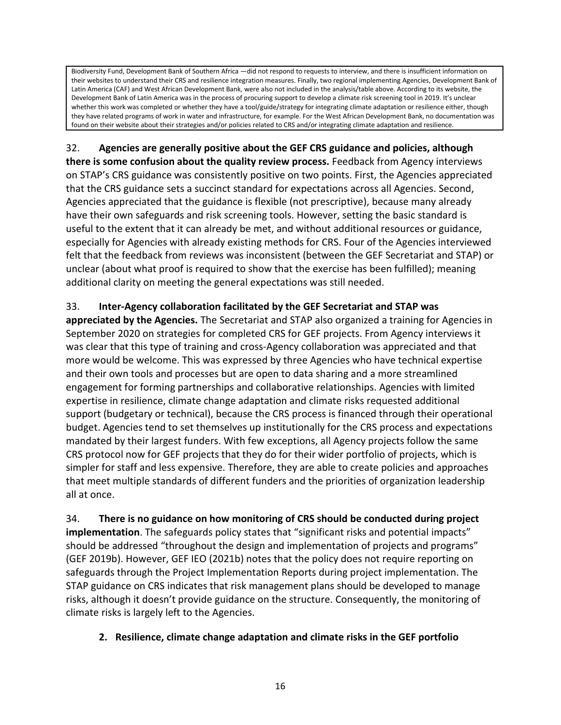Biodiversity Fund, Development Bank of Southern Africa —did not respond to requests to interview, and there is insufficient information on their websites to understand their CRS and resilience integration measures. Finally, two regional implementing Agencies, Development Bank of Latin America (CAF) and West African Development Bank, were also not included in the analysis/table above. According to its website, the Development Bank of Latin America was in the process of procuring support to develop a climate risk screening tool in 2019. It's unclear whether this work was completed or whether they have a tool/guide/strategy for integrating climate adaptation or resilience either, though they have related programs of work in water and infrastructure, for example. For the West African Development Bank, no documentation was found on their website about their strategies and/or policies related to CRS and/or integrating climate adaptation and resilience.

32. **Agencies are generally positive about the GEF CRS guidance and policies, although there is some confusion about the quality review process.** Feedback from Agency interviews on STAP's CRS guidance was consistently positive on two points. First, the Agencies appreciated that the CRS guidance sets a succinct standard for expectations across all Agencies. Second, Agencies appreciated that the guidance is flexible (not prescriptive), because many already have their own safeguards and risk screening tools. However, setting the basic standard is useful to the extent that it can already be met, and without additional resources or guidance, especially for Agencies with already existing methods for CRS. Four of the Agencies interviewed felt that the feedback from reviews was inconsistent (between the GEF Secretariat and STAP) or unclear (about what proof is required to show that the exercise has been fulfilled); meaning additional clarity on meeting the general expectations was still needed.

### 33. **Inter-Agency collaboration facilitated by the GEF Secretariat and STAP was**

**appreciated by the Agencies.** The Secretariat and STAP also organized a training for Agencies in September 2020 on strategies for completed CRS for GEF projects. From Agency interviews it was clear that this type of training and cross-Agency collaboration was appreciated and that more would be welcome. This was expressed by three Agencies who have technical expertise and their own tools and processes but are open to data sharing and a more streamlined engagement for forming partnerships and collaborative relationships. Agencies with limited expertise in resilience, climate change adaptation and climate risks requested additional support (budgetary or technical), because the CRS process is financed through their operational budget. Agencies tend to set themselves up institutionally for the CRS process and expectations mandated by their largest funders. With few exceptions, all Agency projects follow the same CRS protocol now for GEF projects that they do for their wider portfolio of projects, which is simpler for staff and less expensive. Therefore, they are able to create policies and approaches that meet multiple standards of different funders and the priorities of organization leadership all at once.

<span id="page-23-1"></span>34. **There is no guidance on how monitoring of CRS should be conducted during project implementation**. The safeguards policy states that "significant risks and potential impacts" should be addressed "throughout the design and implementation of projects and programs" (GEF 2019b). However, GEF IEO (2021b) notes that the policy does not require reporting on safeguards through the Project Implementation Reports during project implementation. The STAP guidance on CRS indicates that risk management plans should be developed to manage risks, although it doesn't provide guidance on the structure. Consequently, the monitoring of climate risks is largely left to the Agencies.

### <span id="page-23-0"></span>**2. Resilience, climate change adaptation and climate risks in the GEF portfolio**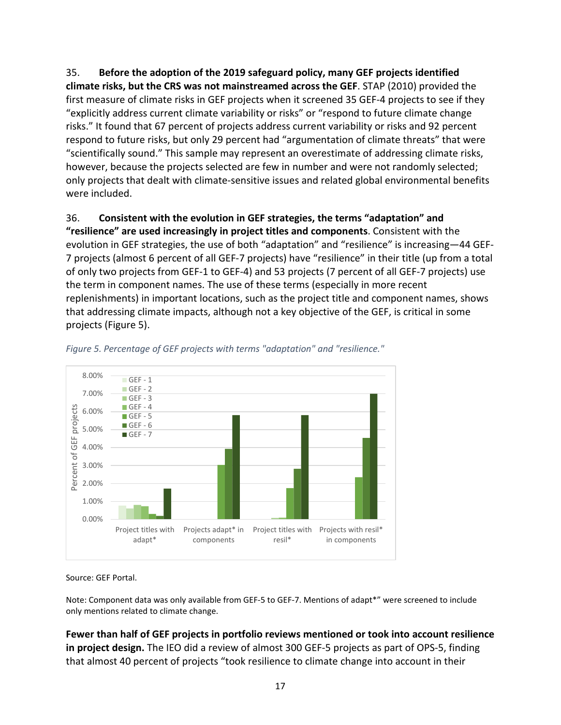35. **Before the adoption of the 2019 safeguard policy, many GEF projects identified climate risks, but the CRS was not mainstreamed across the GEF**. STAP (2010) provided the first measure of climate risks in GEF projects when it screened 35 GEF-4 projects to see if they "explicitly address current climate variability or risks" or "respond to future climate change risks." It found that 67 percent of projects address current variability or risks and 92 percent respond to future risks, but only 29 percent had "argumentation of climate threats" that were "scientifically sound." This sample may represent an overestimate of addressing climate risks, however, because the projects selected are few in number and were not randomly selected; only projects that dealt with climate-sensitive issues and related global environmental benefits were included.

36. **Consistent with the evolution in GEF strategies, the terms "adaptation" and "resilience" are used increasingly in project titles and components**. Consistent with the evolution in GEF strategies, the use of both "adaptation" and "resilience" is increasing—44 GEF-7 projects (almost 6 percent of all GEF-7 projects) have "resilience" in their title (up from a total of only two projects from GEF-1 to GEF-4) and 53 projects (7 percent of all GEF-7 projects) use the term in component names. The use of these terms (especially in more recent replenishments) in important locations, such as the project title and component names, shows that addressing climate impacts, although not a key objective of the GEF, is critical in some projects [\(Figure 5\)](#page-24-0).



#### <span id="page-24-0"></span>*Figure 5. Percentage of GEF projects with terms "adaptation" and "resilience."*

Source: GEF Portal.

Note: Component data was only available from GEF-5 to GEF-7. Mentions of adapt\*" were screened to include only mentions related to climate change.

**Fewer than half of GEF projects in portfolio reviews mentioned or took into account resilience in project design.** The IEO did a review of almost 300 GEF-5 projects as part of OPS-5, finding that almost 40 percent of projects "took resilience to climate change into account in their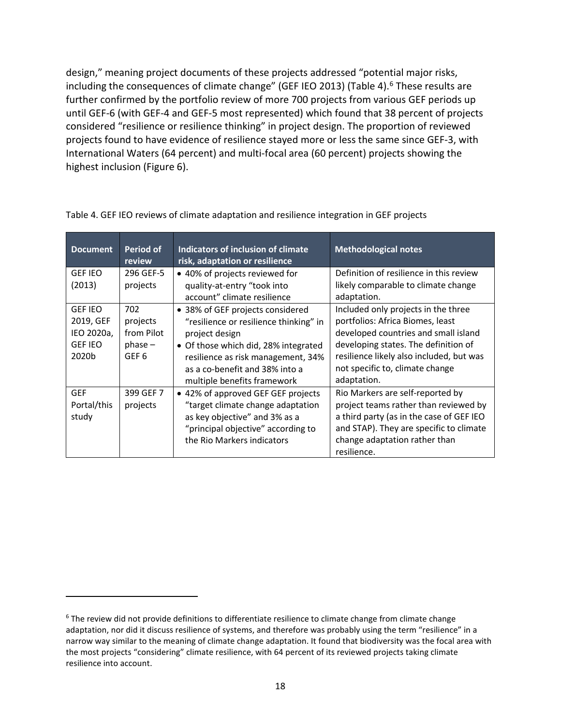design," meaning project documents of these projects addressed "potential major risks, including the consequences of climate change" (GEF IEO 2013) [\(Table 4\)](#page-25-0).<sup>6</sup> These results are further confirmed by the portfolio review of more 700 projects from various GEF periods up until GEF-6 (with GEF-4 and GEF-5 most represented) which found that 38 percent of projects considered "resilience or resilience thinking" in project design. The proportion of reviewed projects found to have evidence of resilience stayed more or less the same since GEF-3, with International Waters (64 percent) and multi-focal area (60 percent) projects showing the highest inclusion [\(Figure 6\)](#page-26-0).

| <b>Document</b>                                                      | Period of<br>review                                 | Indicators of inclusion of climate<br>risk, adaptation or resilience                                                                                                                                                                        | <b>Methodological notes</b>                                                                                                                                                                                                                           |
|----------------------------------------------------------------------|-----------------------------------------------------|---------------------------------------------------------------------------------------------------------------------------------------------------------------------------------------------------------------------------------------------|-------------------------------------------------------------------------------------------------------------------------------------------------------------------------------------------------------------------------------------------------------|
| <b>GEF IEO</b><br>(2013)                                             | 296 GEF-5<br>projects                               | • 40% of projects reviewed for<br>quality-at-entry "took into                                                                                                                                                                               | Definition of resilience in this review<br>likely comparable to climate change                                                                                                                                                                        |
|                                                                      |                                                     | account" climate resilience                                                                                                                                                                                                                 | adaptation.                                                                                                                                                                                                                                           |
| <b>GEF IEO</b><br>2019, GEF<br>IEO 2020a,<br><b>GEF IEO</b><br>2020b | 702<br>projects<br>from Pilot<br>$phase -$<br>GEF 6 | • 38% of GEF projects considered<br>"resilience or resilience thinking" in<br>project design<br>• Of those which did, 28% integrated<br>resilience as risk management, 34%<br>as a co-benefit and 38% into a<br>multiple benefits framework | Included only projects in the three<br>portfolios: Africa Biomes, least<br>developed countries and small island<br>developing states. The definition of<br>resilience likely also included, but was<br>not specific to, climate change<br>adaptation. |
| <b>GEF</b><br>Portal/this<br>study                                   | 399 GEF 7<br>projects                               | • 42% of approved GEF GEF projects<br>"target climate change adaptation<br>as key objective" and 3% as a<br>"principal objective" according to<br>the Rio Markers indicators                                                                | Rio Markers are self-reported by<br>project teams rather than reviewed by<br>a third party (as in the case of GEF IEO<br>and STAP). They are specific to climate<br>change adaptation rather than<br>resilience.                                      |

<span id="page-25-0"></span>Table 4. GEF IEO reviews of climate adaptation and resilience integration in GEF projects

<span id="page-25-1"></span> $6$  The review did not provide definitions to differentiate resilience to climate change from climate change adaptation, nor did it discuss resilience of systems, and therefore was probably using the term "resilience" in a narrow way similar to the meaning of climate change adaptation. It found that biodiversity was the focal area with the most projects "considering" climate resilience, with 64 percent of its reviewed projects taking climate resilience into account.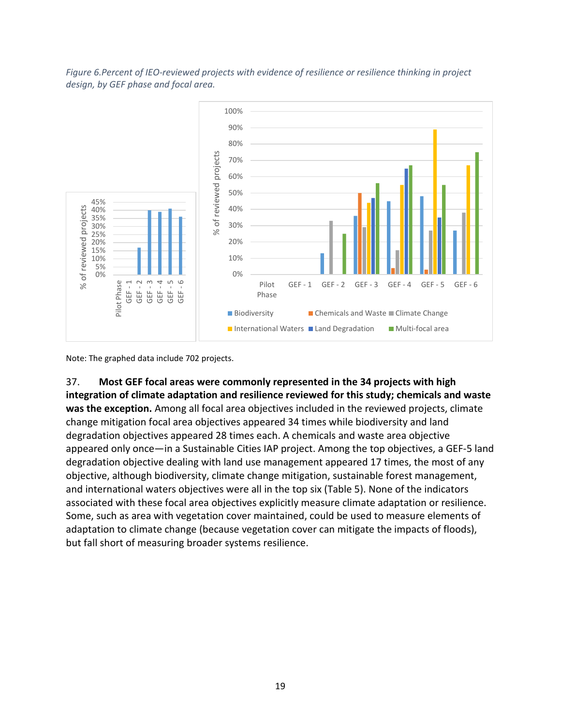<span id="page-26-0"></span>*Figure 6.Percent of IEO-reviewed projects with evidence of resilience or resilience thinking in project design, by GEF phase and focal area.*



Note: The graphed data include 702 projects.

37. **Most GEF focal areas were commonly represented in the 34 projects with high integration of climate adaptation and resilience reviewed for this study; chemicals and waste was the exception.** Among all focal area objectives included in the reviewed projects, climate change mitigation focal area objectives appeared 34 times while biodiversity and land degradation objectives appeared 28 times each. A chemicals and waste area objective appeared only once—in a Sustainable Cities IAP project. Among the top objectives, a GEF-5 land degradation objective dealing with land use management appeared 17 times, the most of any objective, although biodiversity, climate change mitigation, sustainable forest management, and international waters objectives were all in the top six [\(Table 5\)](#page-27-0). None of the indicators associated with these focal area objectives explicitly measure climate adaptation or resilience. Some, such as area with vegetation cover maintained, could be used to measure elements of adaptation to climate change (because vegetation cover can mitigate the impacts of floods), but fall short of measuring broader systems resilience.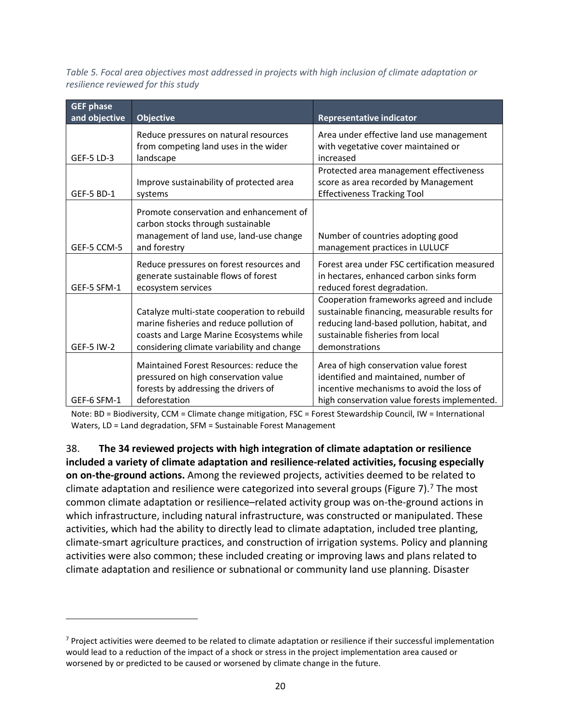<span id="page-27-0"></span>*Table 5. Focal area objectives most addressed in projects with high inclusion of climate adaptation or resilience reviewed for this study*

| <b>GEF phase</b>  |                                                                              |                                                                        |
|-------------------|------------------------------------------------------------------------------|------------------------------------------------------------------------|
| and objective     | <b>Objective</b>                                                             | <b>Representative indicator</b>                                        |
|                   | Reduce pressures on natural resources                                        | Area under effective land use management                               |
|                   | from competing land uses in the wider                                        | with vegetative cover maintained or                                    |
| <b>GEF-5 LD-3</b> | landscape                                                                    | increased                                                              |
|                   |                                                                              | Protected area management effectiveness                                |
|                   | Improve sustainability of protected area                                     | score as area recorded by Management                                   |
| <b>GEF-5 BD-1</b> | systems                                                                      | <b>Effectiveness Tracking Tool</b>                                     |
|                   | Promote conservation and enhancement of<br>carbon stocks through sustainable |                                                                        |
|                   | management of land use, land-use change                                      | Number of countries adopting good                                      |
| GEF-5 CCM-5       | and forestry                                                                 | management practices in LULUCF                                         |
|                   | Reduce pressures on forest resources and                                     | Forest area under FSC certification measured                           |
| GEF-5 SFM-1       | generate sustainable flows of forest<br>ecosystem services                   | in hectares, enhanced carbon sinks form<br>reduced forest degradation. |
|                   |                                                                              | Cooperation frameworks agreed and include                              |
|                   | Catalyze multi-state cooperation to rebuild                                  | sustainable financing, measurable results for                          |
|                   | marine fisheries and reduce pollution of                                     | reducing land-based pollution, habitat, and                            |
|                   | coasts and Large Marine Ecosystems while                                     | sustainable fisheries from local                                       |
| <b>GEF-5 IW-2</b> | considering climate variability and change                                   | demonstrations                                                         |
|                   | Maintained Forest Resources: reduce the                                      | Area of high conservation value forest                                 |
|                   | pressured on high conservation value                                         | identified and maintained, number of                                   |
|                   | forests by addressing the drivers of                                         | incentive mechanisms to avoid the loss of                              |
| GEF-6 SFM-1       | deforestation                                                                | high conservation value forests implemented.                           |

Note: BD = Biodiversity, CCM = Climate change mitigation, FSC = Forest Stewardship Council, IW = International Waters, LD = Land degradation, SFM = Sustainable Forest Management

38. **The 34 reviewed projects with high integration of climate adaptation or resilience included a variety of climate adaptation and resilience-related activities, focusing especially on on-the-ground actions.** Among the reviewed projects, activities deemed to be related to climate adaptation and resilience were categorized into several groups [\(Figure 7\)](#page-28-0).<sup>[7](#page-27-1)</sup> The most common climate adaptation or resilience–related activity group was on-the-ground actions in which infrastructure, including natural infrastructure, was constructed or manipulated. These activities, which had the ability to directly lead to climate adaptation, included tree planting, climate-smart agriculture practices, and construction of irrigation systems. Policy and planning activities were also common; these included creating or improving laws and plans related to climate adaptation and resilience or subnational or community land use planning. Disaster

<span id="page-27-1"></span> $7$  Project activities were deemed to be related to climate adaptation or resilience if their successful implementation would lead to a reduction of the impact of a shock or stress in the project implementation area caused or worsened by or predicted to be caused or worsened by climate change in the future.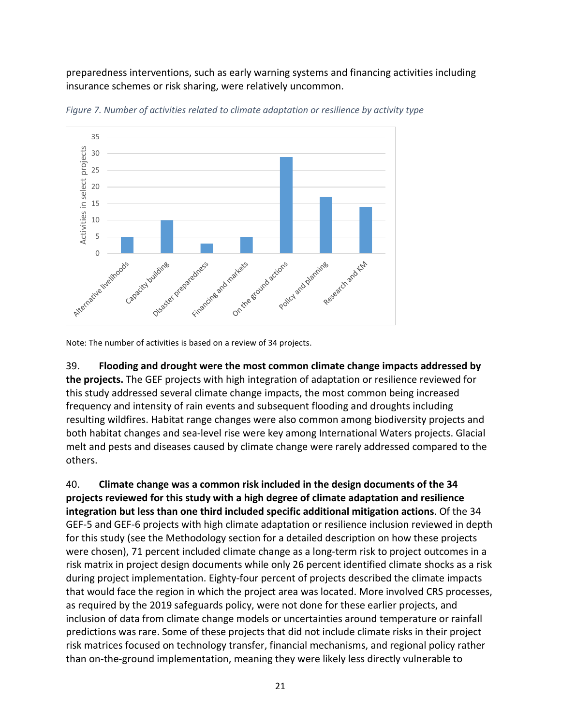preparedness interventions, such as early warning systems and financing activities including insurance schemes or risk sharing, were relatively uncommon.



<span id="page-28-0"></span>*Figure 7. Number of activities related to climate adaptation or resilience by activity type*

Note: The number of activities is based on a review of 34 projects.

39. **Flooding and drought were the most common climate change impacts addressed by the projects.** The GEF projects with high integration of adaptation or resilience reviewed for this study addressed several climate change impacts, the most common being increased frequency and intensity of rain events and subsequent flooding and droughts including resulting wildfires. Habitat range changes were also common among biodiversity projects and both habitat changes and sea-level rise were key among International Waters projects. Glacial melt and pests and diseases caused by climate change were rarely addressed compared to the others.

<span id="page-28-1"></span>40. **Climate change was a common risk included in the design documents of the 34 projects reviewed for this study with a high degree of climate adaptation and resilience integration but less than one third included specific additional mitigation actions**. Of the 34 GEF-5 and GEF-6 projects with high climate adaptation or resilience inclusion reviewed in depth for this study (see the Methodology section for a detailed description on how these projects were chosen), 71 percent included climate change as a long-term risk to project outcomes in a risk matrix in project design documents while only 26 percent identified climate shocks as a risk during project implementation. Eighty-four percent of projects described the climate impacts that would face the region in which the project area was located. More involved CRS processes, as required by the 2019 safeguards policy, were not done for these earlier projects, and inclusion of data from climate change models or uncertainties around temperature or rainfall predictions was rare. Some of these projects that did not include climate risks in their project risk matrices focused on technology transfer, financial mechanisms, and regional policy rather than on-the-ground implementation, meaning they were likely less directly vulnerable to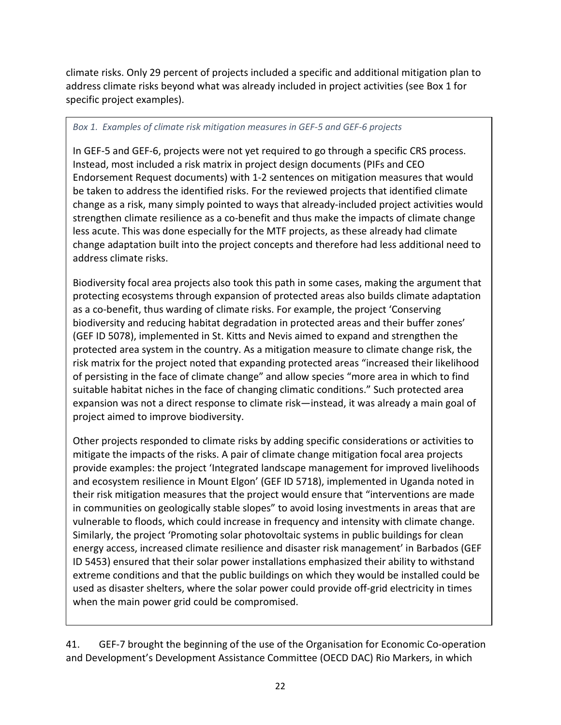climate risks. Only 29 percent of projects included a specific and additional mitigation plan to address climate risks beyond what was already included in project activities (see Box 1 for specific project examples).

#### *Box 1. Examples of climate risk mitigation measures in GEF-5 and GEF-6 projects*

In GEF-5 and GEF-6, projects were not yet required to go through a specific CRS process. Instead, most included a risk matrix in project design documents (PIFs and CEO Endorsement Request documents) with 1-2 sentences on mitigation measures that would be taken to address the identified risks. For the reviewed projects that identified climate change as a risk, many simply pointed to ways that already-included project activities would strengthen climate resilience as a co-benefit and thus make the impacts of climate change less acute. This was done especially for the MTF projects, as these already had climate change adaptation built into the project concepts and therefore had less additional need to address climate risks.

Biodiversity focal area projects also took this path in some cases, making the argument that protecting ecosystems through expansion of protected areas also builds climate adaptation as a co-benefit, thus warding of climate risks. For example, the project 'Conserving biodiversity and reducing habitat degradation in protected areas and their buffer zones' (GEF ID 5078), implemented in St. Kitts and Nevis aimed to expand and strengthen the protected area system in the country. As a mitigation measure to climate change risk, the risk matrix for the project noted that expanding protected areas "increased their likelihood of persisting in the face of climate change" and allow species "more area in which to find suitable habitat niches in the face of changing climatic conditions." Such protected area expansion was not a direct response to climate risk—instead, it was already a main goal of project aimed to improve biodiversity.

Other projects responded to climate risks by adding specific considerations or activities to mitigate the impacts of the risks. A pair of climate change mitigation focal area projects provide examples: the project 'Integrated landscape management for improved livelihoods and ecosystem resilience in Mount Elgon' (GEF ID 5718), implemented in Uganda noted in their risk mitigation measures that the project would ensure that "interventions are made in communities on geologically stable slopes" to avoid losing investments in areas that are vulnerable to floods, which could increase in frequency and intensity with climate change. Similarly, the project 'Promoting solar photovoltaic systems in public buildings for clean energy access, increased climate resilience and disaster risk management' in Barbados (GEF ID 5453) ensured that their solar power installations emphasized their ability to withstand extreme conditions and that the public buildings on which they would be installed could be used as disaster shelters, where the solar power could provide off-grid electricity in times when the main power grid could be compromised.

41. GEF-7 brought the beginning of the use of the Organisation for Economic Co-operation and Development's Development Assistance Committee (OECD DAC) Rio Markers, in which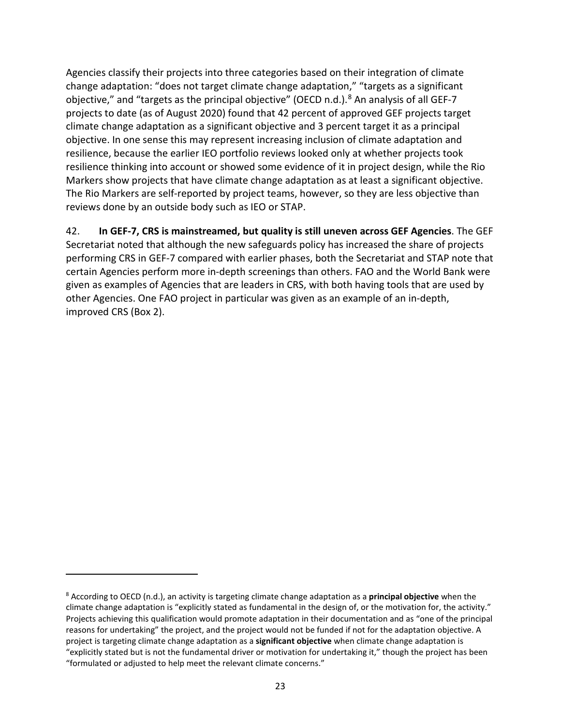Agencies classify their projects into three categories based on their integration of climate change adaptation: "does not target climate change adaptation," "targets as a significant objective," and "targets as the principal objective" (OECD n.d.).<sup>[8](#page-30-0)</sup> An analysis of all GEF-7 projects to date (as of August 2020) found that 42 percent of approved GEF projects target climate change adaptation as a significant objective and 3 percent target it as a principal objective. In one sense this may represent increasing inclusion of climate adaptation and resilience, because the earlier IEO portfolio reviews looked only at whether projects took resilience thinking into account or showed some evidence of it in project design, while the Rio Markers show projects that have climate change adaptation as at least a significant objective. The Rio Markers are self-reported by project teams, however, so they are less objective than reviews done by an outside body such as IEO or STAP.

42. **In GEF-7, CRS is mainstreamed, but quality is still uneven across GEF Agencies**. The GEF Secretariat noted that although the new safeguards policy has increased the share of projects performing CRS in GEF-7 compared with earlier phases, both the Secretariat and STAP note that certain Agencies perform more in-depth screenings than others. FAO and the World Bank were given as examples of Agencies that are leaders in CRS, with both having tools that are used by other Agencies. One FAO project in particular was given as an example of an in-depth, improved CRS (Box 2).

<span id="page-30-0"></span><sup>8</sup> According to OECD (n.d.), an activity is targeting climate change adaptation as a **principal objective** when the climate change adaptation is "explicitly stated as fundamental in the design of, or the motivation for, the activity." Projects achieving this qualification would promote adaptation in their documentation and as "one of the principal reasons for undertaking" the project, and the project would not be funded if not for the adaptation objective. A project is targeting climate change adaptation as a **significant objective** when climate change adaptation is "explicitly stated but is not the fundamental driver or motivation for undertaking it," though the project has been "formulated or adjusted to help meet the relevant climate concerns."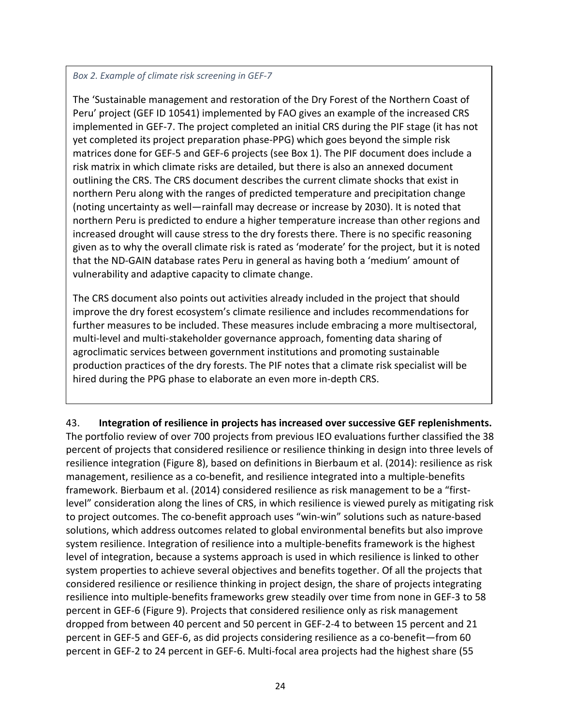#### *Box 2. Example of climate risk screening in GEF-7*

The 'Sustainable management and restoration of the Dry Forest of the Northern Coast of Peru' project (GEF ID 10541) implemented by FAO gives an example of the increased CRS implemented in GEF-7. The project completed an initial CRS during the PIF stage (it has not yet completed its project preparation phase-PPG) which goes beyond the simple risk matrices done for GEF-5 and GEF-6 projects (see Box 1). The PIF document does include a risk matrix in which climate risks are detailed, but there is also an annexed document outlining the CRS. The CRS document describes the current climate shocks that exist in northern Peru along with the ranges of predicted temperature and precipitation change (noting uncertainty as well—rainfall may decrease or increase by 2030). It is noted that northern Peru is predicted to endure a higher temperature increase than other regions and increased drought will cause stress to the dry forests there. There is no specific reasoning given as to why the overall climate risk is rated as 'moderate' for the project, but it is noted that the ND-GAIN database rates Peru in general as having both a 'medium' amount of vulnerability and adaptive capacity to climate change.

The CRS document also points out activities already included in the project that should improve the dry forest ecosystem's climate resilience and includes recommendations for further measures to be included. These measures include embracing a more multisectoral, multi-level and multi-stakeholder governance approach, fomenting data sharing of agroclimatic services between government institutions and promoting sustainable production practices of the dry forests. The PIF notes that a climate risk specialist will be hired during the PPG phase to elaborate an even more in-depth CRS.

43. **Integration of resilience in projects has increased over successive GEF replenishments.** The portfolio review of over 700 projects from previous IEO evaluations further classified the 38 percent of projects that considered resilience or resilience thinking in design into three levels of resilience integration [\(Figure 8\)](#page-32-0), based on definitions in Bierbaum et al. (2014): resilience as risk management, resilience as a co-benefit, and resilience integrated into a multiple-benefits framework. Bierbaum et al. (2014) considered resilience as risk management to be a "firstlevel" consideration along the lines of CRS, in which resilience is viewed purely as mitigating risk to project outcomes. The co-benefit approach uses "win-win" solutions such as nature-based solutions, which address outcomes related to global environmental benefits but also improve system resilience. Integration of resilience into a multiple-benefits framework is the highest level of integration, because a systems approach is used in which resilience is linked to other system properties to achieve several objectives and benefits together. Of all the projects that considered resilience or resilience thinking in project design, the share of projects integrating resilience into multiple-benefits frameworks grew steadily over time from none in GEF-3 to 58 percent in GEF-6 [\(Figure 9\)](#page-32-1). Projects that considered resilience only as risk management dropped from between 40 percent and 50 percent in GEF-2-4 to between 15 percent and 21 percent in GEF-5 and GEF-6, as did projects considering resilience as a co-benefit—from 60 percent in GEF-2 to 24 percent in GEF-6. Multi-focal area projects had the highest share (55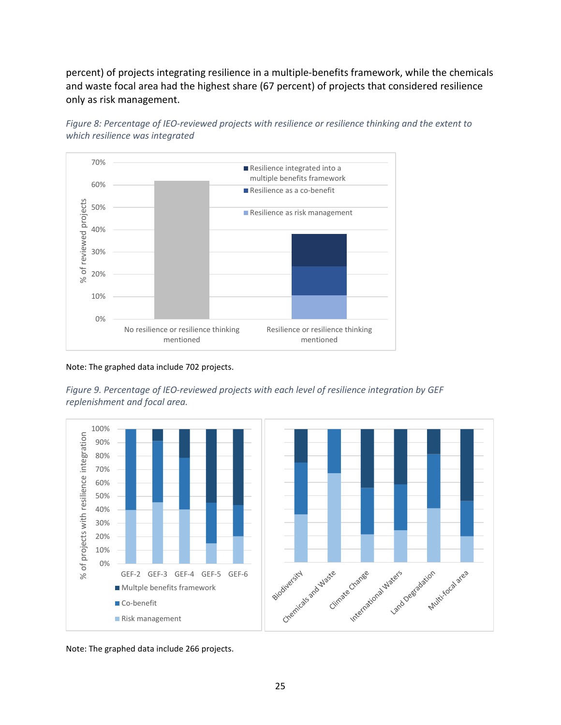percent) of projects integrating resilience in a multiple-benefits framework, while the chemicals and waste focal area had the highest share (67 percent) of projects that considered resilience only as risk management.



<span id="page-32-0"></span>*Figure 8: Percentage of IEO-reviewed projects with resilience or resilience thinking and the extent to which resilience was integrated*

Note: The graphed data include 702 projects.

<span id="page-32-1"></span>



Note: The graphed data include 266 projects.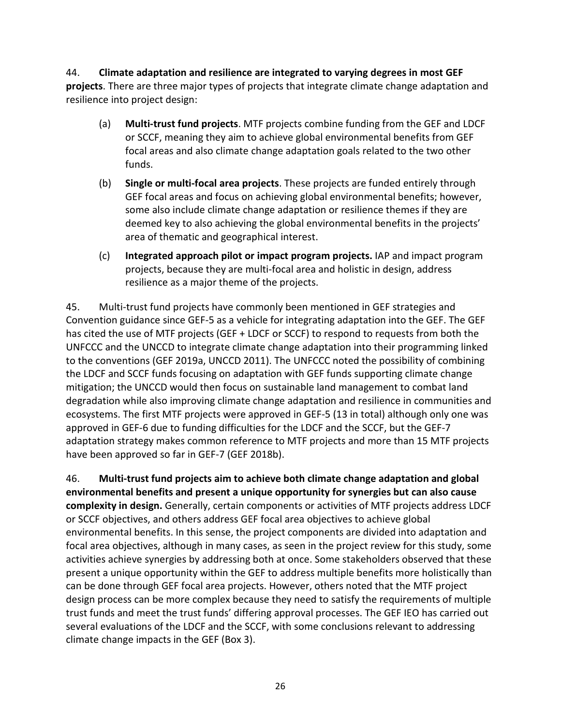### 44. **Climate adaptation and resilience are integrated to varying degrees in most GEF**

**projects**. There are three major types of projects that integrate climate change adaptation and resilience into project design:

- (a) **Multi-trust fund projects**. MTF projects combine funding from the GEF and LDCF or SCCF, meaning they aim to achieve global environmental benefits from GEF focal areas and also climate change adaptation goals related to the two other funds.
- (b) **Single or multi-focal area projects**. These projects are funded entirely through GEF focal areas and focus on achieving global environmental benefits; however, some also include climate change adaptation or resilience themes if they are deemed key to also achieving the global environmental benefits in the projects' area of thematic and geographical interest.
- (c) **Integrated approach pilot or impact program projects.** IAP and impact program projects, because they are multi-focal area and holistic in design, address resilience as a major theme of the projects.

45. Multi-trust fund projects have commonly been mentioned in GEF strategies and Convention guidance since GEF-5 as a vehicle for integrating adaptation into the GEF. The GEF has cited the use of MTF projects (GEF + LDCF or SCCF) to respond to requests from both the UNFCCC and the UNCCD to integrate climate change adaptation into their programming linked to the conventions (GEF 2019a, UNCCD 2011). The UNFCCC noted the possibility of combining the LDCF and SCCF funds focusing on adaptation with GEF funds supporting climate change mitigation; the UNCCD would then focus on sustainable land management to combat land degradation while also improving climate change adaptation and resilience in communities and ecosystems. The first MTF projects were approved in GEF-5 (13 in total) although only one was approved in GEF-6 due to funding difficulties for the LDCF and the SCCF, but the GEF-7 adaptation strategy makes common reference to MTF projects and more than 15 MTF projects have been approved so far in GEF-7 (GEF 2018b).

46. **Multi-trust fund projects aim to achieve both climate change adaptation and global environmental benefits and present a unique opportunity for synergies but can also cause complexity in design.** Generally, certain components or activities of MTF projects address LDCF or SCCF objectives, and others address GEF focal area objectives to achieve global environmental benefits. In this sense, the project components are divided into adaptation and focal area objectives, although in many cases, as seen in the project review for this study, some activities achieve synergies by addressing both at once. Some stakeholders observed that these present a unique opportunity within the GEF to address multiple benefits more holistically than can be done through GEF focal area projects. However, others noted that the MTF project design process can be more complex because they need to satisfy the requirements of multiple trust funds and meet the trust funds' differing approval processes. The GEF IEO has carried out several evaluations of the LDCF and the SCCF, with some conclusions relevant to addressing climate change impacts in the GEF (Box 3).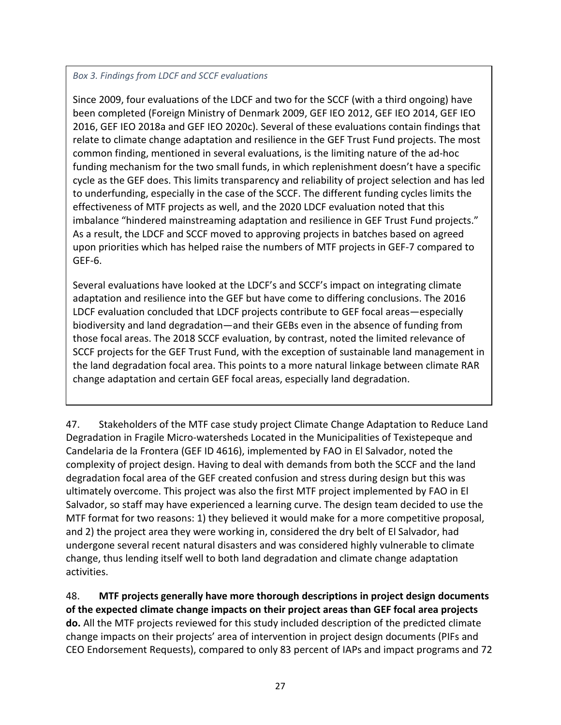#### *Box 3. Findings from LDCF and SCCF evaluations*

Since 2009, four evaluations of the LDCF and two for the SCCF (with a third ongoing) have been completed (Foreign Ministry of Denmark 2009, GEF IEO 2012, GEF IEO 2014, GEF IEO 2016, GEF IEO 2018a and GEF IEO 2020c). Several of these evaluations contain findings that relate to climate change adaptation and resilience in the GEF Trust Fund projects. The most common finding, mentioned in several evaluations, is the limiting nature of the ad-hoc funding mechanism for the two small funds, in which replenishment doesn't have a specific cycle as the GEF does. This limits transparency and reliability of project selection and has led to underfunding, especially in the case of the SCCF. The different funding cycles limits the effectiveness of MTF projects as well, and the 2020 LDCF evaluation noted that this imbalance "hindered mainstreaming adaptation and resilience in GEF Trust Fund projects." As a result, the LDCF and SCCF moved to approving projects in batches based on agreed upon priorities which has helped raise the numbers of MTF projects in GEF-7 compared to GEF-6.

Several evaluations have looked at the LDCF's and SCCF's impact on integrating climate adaptation and resilience into the GEF but have come to differing conclusions. The 2016 LDCF evaluation concluded that LDCF projects contribute to GEF focal areas—especially biodiversity and land degradation—and their GEBs even in the absence of funding from those focal areas. The 2018 SCCF evaluation, by contrast, noted the limited relevance of SCCF projects for the GEF Trust Fund, with the exception of sustainable land management in the land degradation focal area. This points to a more natural linkage between climate RAR change adaptation and certain GEF focal areas, especially land degradation.

47. Stakeholders of the MTF case study project Climate Change Adaptation to Reduce Land Degradation in Fragile Micro-watersheds Located in the Municipalities of Texistepeque and Candelaria de la Frontera (GEF ID 4616), implemented by FAO in El Salvador, noted the complexity of project design. Having to deal with demands from both the SCCF and the land degradation focal area of the GEF created confusion and stress during design but this was ultimately overcome. This project was also the first MTF project implemented by FAO in El Salvador, so staff may have experienced a learning curve. The design team decided to use the MTF format for two reasons: 1) they believed it would make for a more competitive proposal, and 2) the project area they were working in, considered the dry belt of El Salvador, had undergone several recent natural disasters and was considered highly vulnerable to climate change, thus lending itself well to both land degradation and climate change adaptation activities.

48. **MTF projects generally have more thorough descriptions in project design documents of the expected climate change impacts on their project areas than GEF focal area projects do.** All the MTF projects reviewed for this study included description of the predicted climate change impacts on their projects' area of intervention in project design documents (PIFs and CEO Endorsement Requests), compared to only 83 percent of IAPs and impact programs and 72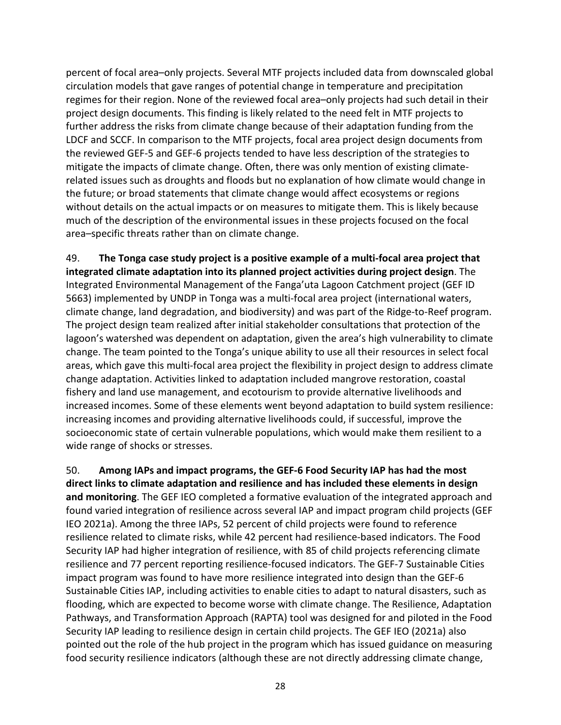percent of focal area–only projects. Several MTF projects included data from downscaled global circulation models that gave ranges of potential change in temperature and precipitation regimes for their region. None of the reviewed focal area–only projects had such detail in their project design documents. This finding is likely related to the need felt in MTF projects to further address the risks from climate change because of their adaptation funding from the LDCF and SCCF. In comparison to the MTF projects, focal area project design documents from the reviewed GEF-5 and GEF-6 projects tended to have less description of the strategies to mitigate the impacts of climate change. Often, there was only mention of existing climaterelated issues such as droughts and floods but no explanation of how climate would change in the future; or broad statements that climate change would affect ecosystems or regions without details on the actual impacts or on measures to mitigate them. This is likely because much of the description of the environmental issues in these projects focused on the focal area–specific threats rather than on climate change.

49. **The Tonga case study project is a positive example of a multi-focal area project that integrated climate adaptation into its planned project activities during project design**. The Integrated Environmental Management of the Fanga'uta Lagoon Catchment project (GEF ID 5663) implemented by UNDP in Tonga was a multi-focal area project (international waters, climate change, land degradation, and biodiversity) and was part of the Ridge-to-Reef program. The project design team realized after initial stakeholder consultations that protection of the lagoon's watershed was dependent on adaptation, given the area's high vulnerability to climate change. The team pointed to the Tonga's unique ability to use all their resources in select focal areas, which gave this multi-focal area project the flexibility in project design to address climate change adaptation. Activities linked to adaptation included mangrove restoration, coastal fishery and land use management, and ecotourism to provide alternative livelihoods and increased incomes. Some of these elements went beyond adaptation to build system resilience: increasing incomes and providing alternative livelihoods could, if successful, improve the socioeconomic state of certain vulnerable populations, which would make them resilient to a wide range of shocks or stresses.

<span id="page-35-0"></span>50. **Among IAPs and impact programs, the GEF-6 Food Security IAP has had the most direct links to climate adaptation and resilience and has included these elements in design and monitoring**. The GEF IEO completed a formative evaluation of the integrated approach and found varied integration of resilience across several IAP and impact program child projects (GEF IEO 2021a). Among the three IAPs, 52 percent of child projects were found to reference resilience related to climate risks, while 42 percent had resilience-based indicators. The Food Security IAP had higher integration of resilience, with 85 of child projects referencing climate resilience and 77 percent reporting resilience-focused indicators. The GEF-7 Sustainable Cities impact program was found to have more resilience integrated into design than the GEF-6 Sustainable Cities IAP, including activities to enable cities to adapt to natural disasters, such as flooding, which are expected to become worse with climate change. The Resilience, Adaptation Pathways, and Transformation Approach (RAPTA) tool was designed for and piloted in the Food Security IAP leading to resilience design in certain child projects. The GEF IEO (2021a) also pointed out the role of the hub project in the program which has issued guidance on measuring food security resilience indicators (although these are not directly addressing climate change,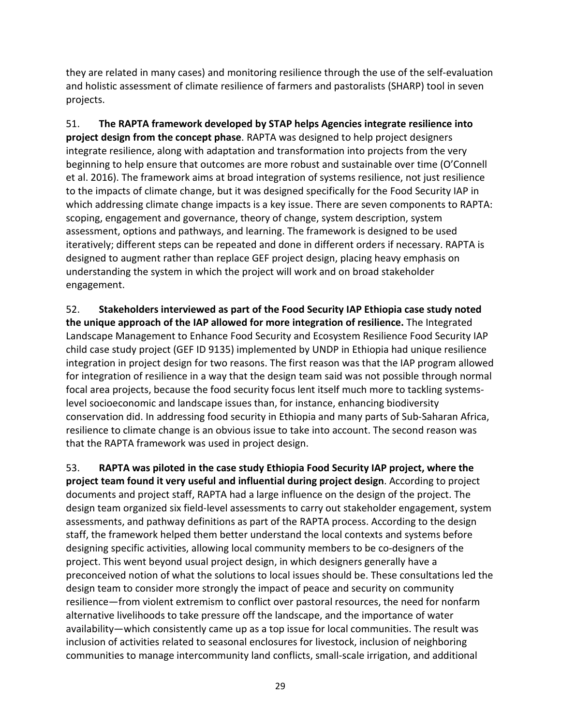they are related in many cases) and monitoring resilience through the use of the self-evaluation and holistic assessment of climate resilience of farmers and pastoralists (SHARP) tool in seven projects.

51. **The RAPTA framework developed by STAP helps Agencies integrate resilience into project design from the concept phase**. RAPTA was designed to help project designers integrate resilience, along with adaptation and transformation into projects from the very beginning to help ensure that outcomes are more robust and sustainable over time (O'Connell et al. 2016). The framework aims at broad integration of systems resilience, not just resilience to the impacts of climate change, but it was designed specifically for the Food Security IAP in which addressing climate change impacts is a key issue. There are seven components to RAPTA: scoping, engagement and governance, theory of change, system description, system assessment, options and pathways, and learning. The framework is designed to be used iteratively; different steps can be repeated and done in different orders if necessary. RAPTA is designed to augment rather than replace GEF project design, placing heavy emphasis on understanding the system in which the project will work and on broad stakeholder engagement.

52. **Stakeholders interviewed as part of the Food Security IAP Ethiopia case study noted the unique approach of the IAP allowed for more integration of resilience.** The Integrated Landscape Management to Enhance Food Security and Ecosystem Resilience Food Security IAP child case study project (GEF ID 9135) implemented by UNDP in Ethiopia had unique resilience integration in project design for two reasons. The first reason was that the IAP program allowed for integration of resilience in a way that the design team said was not possible through normal focal area projects, because the food security focus lent itself much more to tackling systemslevel socioeconomic and landscape issues than, for instance, enhancing biodiversity conservation did. In addressing food security in Ethiopia and many parts of Sub-Saharan Africa, resilience to climate change is an obvious issue to take into account. The second reason was that the RAPTA framework was used in project design.

53. **RAPTA was piloted in the case study Ethiopia Food Security IAP project, where the project team found it very useful and influential during project design**. According to project documents and project staff, RAPTA had a large influence on the design of the project. The design team organized six field-level assessments to carry out stakeholder engagement, system assessments, and pathway definitions as part of the RAPTA process. According to the design staff, the framework helped them better understand the local contexts and systems before designing specific activities, allowing local community members to be co-designers of the project. This went beyond usual project design, in which designers generally have a preconceived notion of what the solutions to local issues should be. These consultations led the design team to consider more strongly the impact of peace and security on community resilience—from violent extremism to conflict over pastoral resources, the need for nonfarm alternative livelihoods to take pressure off the landscape, and the importance of water availability—which consistently came up as a top issue for local communities. The result was inclusion of activities related to seasonal enclosures for livestock, inclusion of neighboring communities to manage intercommunity land conflicts, small-scale irrigation, and additional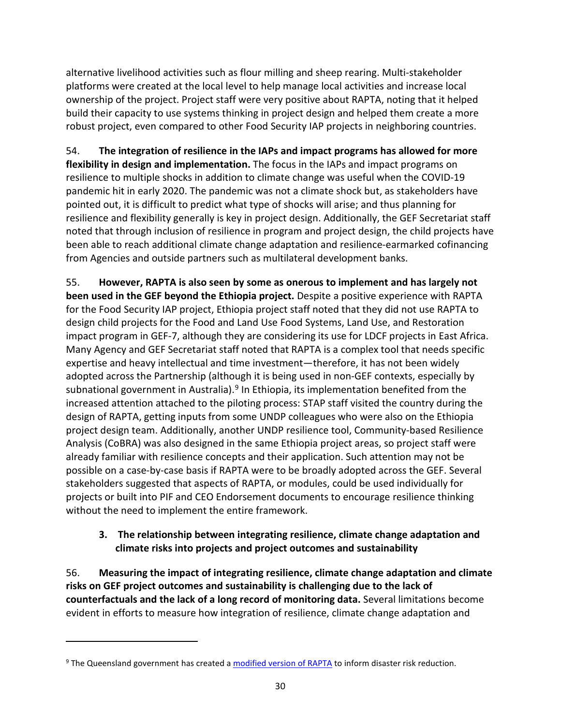alternative livelihood activities such as flour milling and sheep rearing. Multi-stakeholder platforms were created at the local level to help manage local activities and increase local ownership of the project. Project staff were very positive about RAPTA, noting that it helped build their capacity to use systems thinking in project design and helped them create a more robust project, even compared to other Food Security IAP projects in neighboring countries.

54. **The integration of resilience in the IAPs and impact programs has allowed for more flexibility in design and implementation.** The focus in the IAPs and impact programs on resilience to multiple shocks in addition to climate change was useful when the COVID-19 pandemic hit in early 2020. The pandemic was not a climate shock but, as stakeholders have pointed out, it is difficult to predict what type of shocks will arise; and thus planning for resilience and flexibility generally is key in project design. Additionally, the GEF Secretariat staff noted that through inclusion of resilience in program and project design, the child projects have been able to reach additional climate change adaptation and resilience-earmarked cofinancing from Agencies and outside partners such as multilateral development banks.

55. **However, RAPTA is also seen by some as onerous to implement and has largely not been used in the GEF beyond the Ethiopia project.** Despite a positive experience with RAPTA for the Food Security IAP project, Ethiopia project staff noted that they did not use RAPTA to design child projects for the Food and Land Use Food Systems, Land Use, and Restoration impact program in GEF-7, although they are considering its use for LDCF projects in East Africa. Many Agency and GEF Secretariat staff noted that RAPTA is a complex tool that needs specific expertise and heavy intellectual and time investment—therefore, it has not been widely adopted across the Partnership (although it is being used in non-GEF contexts, especially by subnational government in Australia).<sup>[9](#page-37-2)</sup> In Ethiopia, its implementation benefited from the increased attention attached to the piloting process: STAP staff visited the country during the design of RAPTA, getting inputs from some UNDP colleagues who were also on the Ethiopia project design team. Additionally, another UNDP resilience tool, Community-based Resilience Analysis (CoBRA) was also designed in the same Ethiopia project areas, so project staff were already familiar with resilience concepts and their application. Such attention may not be possible on a case-by-case basis if RAPTA were to be broadly adopted across the GEF. Several stakeholders suggested that aspects of RAPTA, or modules, could be used individually for projects or built into PIF and CEO Endorsement documents to encourage resilience thinking without the need to implement the entire framework.

## <span id="page-37-0"></span>**3. The relationship between integrating resilience, climate change adaptation and climate risks into projects and project outcomes and sustainability**

<span id="page-37-1"></span>56. **Measuring the impact of integrating resilience, climate change adaptation and climate risks on GEF project outcomes and sustainability is challenging due to the lack of counterfactuals and the lack of a long record of monitoring data.** Several limitations become evident in efforts to measure how integration of resilience, climate change adaptation and

<span id="page-37-2"></span><sup>&</sup>lt;sup>9</sup> The Queensland government has created [a modified version of RAPTA](https://www.qra.qld.gov.au/resilient-queensland/queensland-resilience-adaptation-pathways-and-transformation-approach-project) to inform disaster risk reduction.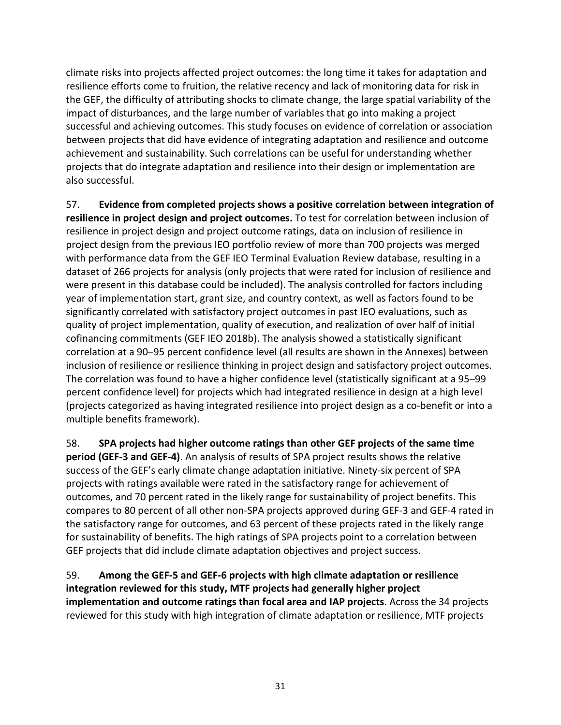climate risks into projects affected project outcomes: the long time it takes for adaptation and resilience efforts come to fruition, the relative recency and lack of monitoring data for risk in the GEF, the difficulty of attributing shocks to climate change, the large spatial variability of the impact of disturbances, and the large number of variables that go into making a project successful and achieving outcomes. This study focuses on evidence of correlation or association between projects that did have evidence of integrating adaptation and resilience and outcome achievement and sustainability. Such correlations can be useful for understanding whether projects that do integrate adaptation and resilience into their design or implementation are also successful.

57. **Evidence from completed projects shows a positive correlation between integration of resilience in project design and project outcomes.** To test for correlation between inclusion of resilience in project design and project outcome ratings, data on inclusion of resilience in project design from the previous IEO portfolio review of more than 700 projects was merged with performance data from the GEF IEO Terminal Evaluation Review database, resulting in a dataset of 266 projects for analysis (only projects that were rated for inclusion of resilience and were present in this database could be included). The analysis controlled for factors including year of implementation start, grant size, and country context, as well as factors found to be significantly correlated with satisfactory project outcomes in past IEO evaluations, such as quality of project implementation, quality of execution, and realization of over half of initial cofinancing commitments (GEF IEO 2018b). The analysis showed a statistically significant correlation at a 90–95 percent confidence level (all results are shown in the Annexes) between inclusion of resilience or resilience thinking in project design and satisfactory project outcomes. The correlation was found to have a higher confidence level (statistically significant at a 95–99 percent confidence level) for projects which had integrated resilience in design at a high level (projects categorized as having integrated resilience into project design as a co-benefit or into a multiple benefits framework).

58. **SPA projects had higher outcome ratings than other GEF projects of the same time period (GEF-3 and GEF-4)**. An analysis of results of SPA project results shows the relative success of the GEF's early climate change adaptation initiative. Ninety-six percent of SPA projects with ratings available were rated in the satisfactory range for achievement of outcomes, and 70 percent rated in the likely range for sustainability of project benefits. This compares to 80 percent of all other non-SPA projects approved during GEF-3 and GEF-4 rated in the satisfactory range for outcomes, and 63 percent of these projects rated in the likely range for sustainability of benefits. The high ratings of SPA projects point to a correlation between GEF projects that did include climate adaptation objectives and project success.

59. **Among the GEF-5 and GEF-6 projects with high climate adaptation or resilience integration reviewed for this study, MTF projects had generally higher project implementation and outcome ratings than focal area and IAP projects**. Across the 34 projects reviewed for this study with high integration of climate adaptation or resilience, MTF projects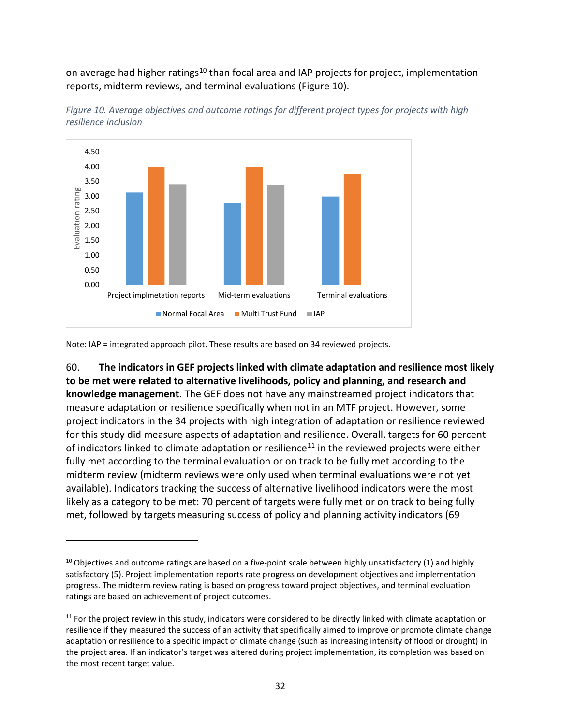on average had higher ratings<sup>[10](#page-39-1)</sup> than focal area and IAP projects for project, implementation reports, midterm reviews, and terminal evaluations [\(Figure 10\)](#page-39-0).



<span id="page-39-0"></span>

Note: IAP = integrated approach pilot. These results are based on 34 reviewed projects.

60. **The indicators in GEF projects linked with climate adaptation and resilience most likely to be met were related to alternative livelihoods, policy and planning, and research and knowledge management**. The GEF does not have any mainstreamed project indicators that measure adaptation or resilience specifically when not in an MTF project. However, some project indicators in the 34 projects with high integration of adaptation or resilience reviewed for this study did measure aspects of adaptation and resilience. Overall, targets for 60 percent of indicators linked to climate adaptation or resilience<sup>[11](#page-39-2)</sup> in the reviewed projects were either fully met according to the terminal evaluation or on track to be fully met according to the midterm review (midterm reviews were only used when terminal evaluations were not yet available). Indicators tracking the success of alternative livelihood indicators were the most likely as a category to be met: 70 percent of targets were fully met or on track to being fully met, followed by targets measuring success of policy and planning activity indicators (69

<span id="page-39-1"></span> $10$  Objectives and outcome ratings are based on a five-point scale between highly unsatisfactory (1) and highly satisfactory (5). Project implementation reports rate progress on development objectives and implementation progress. The midterm review rating is based on progress toward project objectives, and terminal evaluation ratings are based on achievement of project outcomes.

<span id="page-39-2"></span> $11$  For the project review in this study, indicators were considered to be directly linked with climate adaptation or resilience if they measured the success of an activity that specifically aimed to improve or promote climate change adaptation or resilience to a specific impact of climate change (such as increasing intensity of flood or drought) in the project area. If an indicator's target was altered during project implementation, its completion was based on the most recent target value.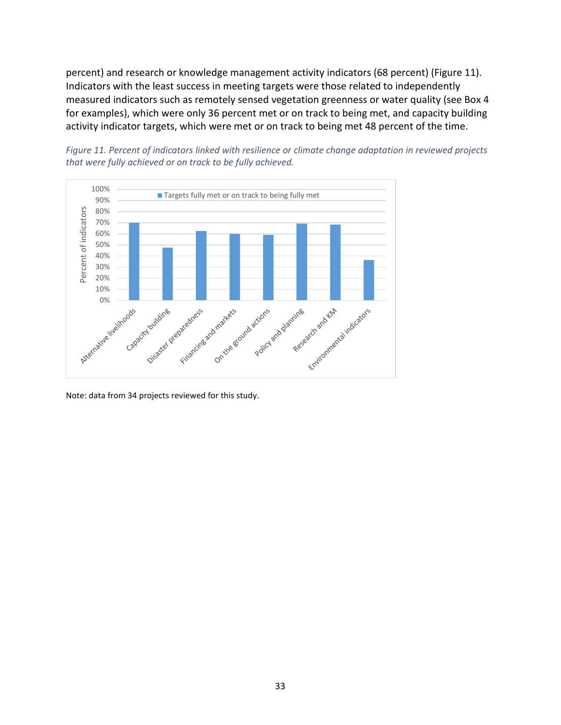percent) and research or knowledge management activity indicators (68 percent) [\(Figure 11\)](#page-40-0). Indicators with the least success in meeting targets were those related to independently measured indicators such as remotely sensed vegetation greenness or water quality (see Box 4 for examples), which were only 36 percent met or on track to being met, and capacity building activity indicator targets, which were met or on track to being met 48 percent of the time.

<span id="page-40-0"></span>



Note: data from 34 projects reviewed for this study.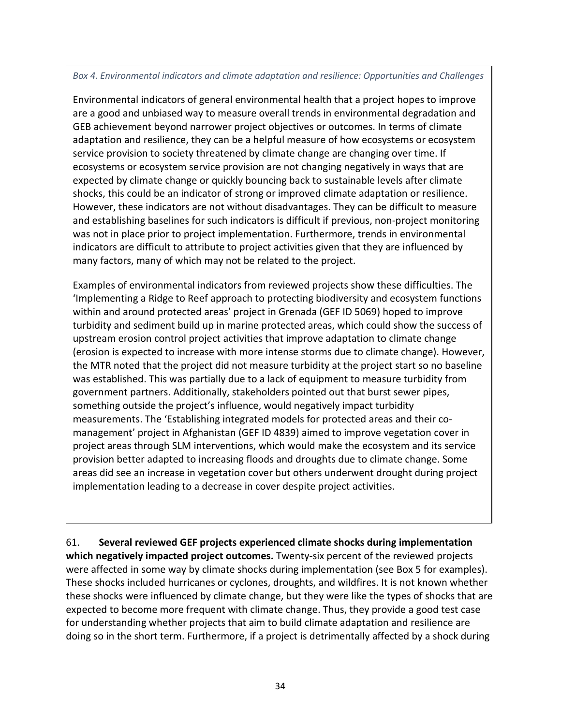#### *Box 4. Environmental indicators and climate adaptation and resilience: Opportunities and Challenges*

Environmental indicators of general environmental health that a project hopes to improve are a good and unbiased way to measure overall trends in environmental degradation and GEB achievement beyond narrower project objectives or outcomes. In terms of climate adaptation and resilience, they can be a helpful measure of how ecosystems or ecosystem service provision to society threatened by climate change are changing over time. If ecosystems or ecosystem service provision are not changing negatively in ways that are expected by climate change or quickly bouncing back to sustainable levels after climate shocks, this could be an indicator of strong or improved climate adaptation or resilience. However, these indicators are not without disadvantages. They can be difficult to measure and establishing baselines for such indicators is difficult if previous, non-project monitoring was not in place prior to project implementation. Furthermore, trends in environmental indicators are difficult to attribute to project activities given that they are influenced by many factors, many of which may not be related to the project.

Examples of environmental indicators from reviewed projects show these difficulties. The 'Implementing a Ridge to Reef approach to protecting biodiversity and ecosystem functions within and around protected areas' project in Grenada (GEF ID 5069) hoped to improve turbidity and sediment build up in marine protected areas, which could show the success of upstream erosion control project activities that improve adaptation to climate change (erosion is expected to increase with more intense storms due to climate change). However, the MTR noted that the project did not measure turbidity at the project start so no baseline was established. This was partially due to a lack of equipment to measure turbidity from government partners. Additionally, stakeholders pointed out that burst sewer pipes, something outside the project's influence, would negatively impact turbidity measurements. The 'Establishing integrated models for protected areas and their comanagement' project in Afghanistan (GEF ID 4839) aimed to improve vegetation cover in project areas through SLM interventions, which would make the ecosystem and its service provision better adapted to increasing floods and droughts due to climate change. Some areas did see an increase in vegetation cover but others underwent drought during project implementation leading to a decrease in cover despite project activities.

61. **Several reviewed GEF projects experienced climate shocks during implementation which negatively impacted project outcomes.** Twenty-six percent of the reviewed projects were affected in some way by climate shocks during implementation (see Box 5 for examples). These shocks included hurricanes or cyclones, droughts, and wildfires. It is not known whether these shocks were influenced by climate change, but they were like the types of shocks that are expected to become more frequent with climate change. Thus, they provide a good test case for understanding whether projects that aim to build climate adaptation and resilience are doing so in the short term. Furthermore, if a project is detrimentally affected by a shock during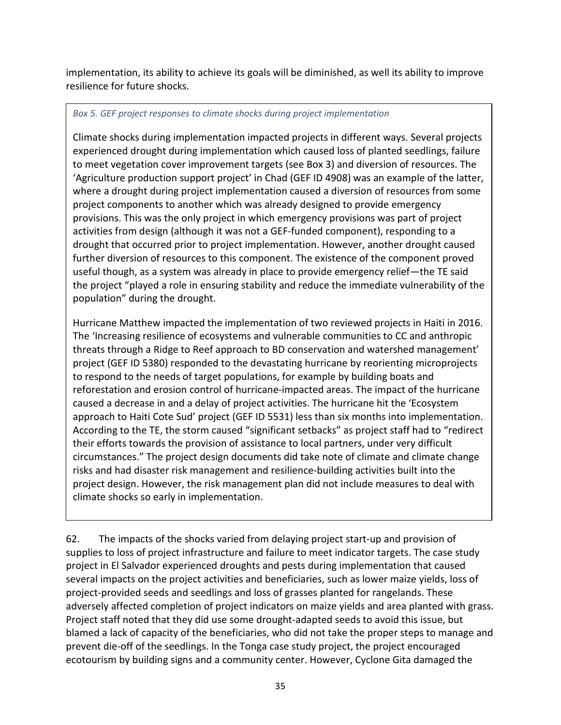implementation, its ability to achieve its goals will be diminished, as well its ability to improve resilience for future shocks.

### *Box 5. GEF project responses to climate shocks during project implementation*

Climate shocks during implementation impacted projects in different ways. Several projects experienced drought during implementation which caused loss of planted seedlings, failure to meet vegetation cover improvement targets (see Box 3) and diversion of resources. The 'Agriculture production support project' in Chad (GEF ID 4908) was an example of the latter, where a drought during project implementation caused a diversion of resources from some project components to another which was already designed to provide emergency provisions. This was the only project in which emergency provisions was part of project activities from design (although it was not a GEF-funded component), responding to a drought that occurred prior to project implementation. However, another drought caused further diversion of resources to this component. The existence of the component proved useful though, as a system was already in place to provide emergency relief—the TE said the project "played a role in ensuring stability and reduce the immediate vulnerability of the population" during the drought.

Hurricane Matthew impacted the implementation of two reviewed projects in Haiti in 2016. The 'Increasing resilience of ecosystems and vulnerable communities to CC and anthropic threats through a Ridge to Reef approach to BD conservation and watershed management' project (GEF ID 5380) responded to the devastating hurricane by reorienting microprojects to respond to the needs of target populations, for example by building boats and reforestation and erosion control of hurricane-impacted areas. The impact of the hurricane caused a decrease in and a delay of project activities. The hurricane hit the 'Ecosystem approach to Haiti Cote Sud' project (GEF ID 5531) less than six months into implementation. According to the TE, the storm caused "significant setbacks" as project staff had to "redirect their efforts towards the provision of assistance to local partners, under very difficult circumstances." The project design documents did take note of climate and climate change risks and had disaster risk management and resilience-building activities built into the project design. However, the risk management plan did not include measures to deal with climate shocks so early in implementation.

62. The impacts of the shocks varied from delaying project start-up and provision of supplies to loss of project infrastructure and failure to meet indicator targets. The case study project in El Salvador experienced droughts and pests during implementation that caused several impacts on the project activities and beneficiaries, such as lower maize yields, loss of project-provided seeds and seedlings and loss of grasses planted for rangelands. These adversely affected completion of project indicators on maize yields and area planted with grass. Project staff noted that they did use some drought-adapted seeds to avoid this issue, but blamed a lack of capacity of the beneficiaries, who did not take the proper steps to manage and prevent die-off of the seedlings. In the Tonga case study project, the project encouraged ecotourism by building signs and a community center. However, Cyclone Gita damaged the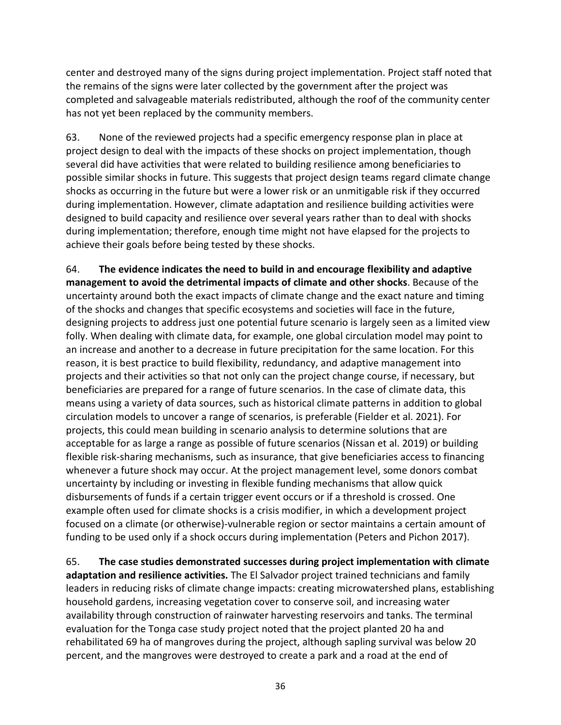center and destroyed many of the signs during project implementation. Project staff noted that the remains of the signs were later collected by the government after the project was completed and salvageable materials redistributed, although the roof of the community center has not yet been replaced by the community members.

63. None of the reviewed projects had a specific emergency response plan in place at project design to deal with the impacts of these shocks on project implementation, though several did have activities that were related to building resilience among beneficiaries to possible similar shocks in future. This suggests that project design teams regard climate change shocks as occurring in the future but were a lower risk or an unmitigable risk if they occurred during implementation. However, climate adaptation and resilience building activities were designed to build capacity and resilience over several years rather than to deal with shocks during implementation; therefore, enough time might not have elapsed for the projects to achieve their goals before being tested by these shocks.

64. **The evidence indicates the need to build in and encourage flexibility and adaptive management to avoid the detrimental impacts of climate and other shocks**. Because of the uncertainty around both the exact impacts of climate change and the exact nature and timing of the shocks and changes that specific ecosystems and societies will face in the future, designing projects to address just one potential future scenario is largely seen as a limited view folly. When dealing with climate data, for example, one global circulation model may point to an increase and another to a decrease in future precipitation for the same location. For this reason, it is best practice to build flexibility, redundancy, and adaptive management into projects and their activities so that not only can the project change course, if necessary, but beneficiaries are prepared for a range of future scenarios. In the case of climate data, this means using a variety of data sources, such as historical climate patterns in addition to global circulation models to uncover a range of scenarios, is preferable (Fielder et al. 2021). For projects, this could mean building in scenario analysis to determine solutions that are acceptable for as large a range as possible of future scenarios (Nissan et al. 2019) or building flexible risk-sharing mechanisms, such as insurance, that give beneficiaries access to financing whenever a future shock may occur. At the project management level, some donors combat uncertainty by including or investing in flexible funding mechanisms that allow quick disbursements of funds if a certain trigger event occurs or if a threshold is crossed. One example often used for climate shocks is a crisis modifier, in which a development project focused on a climate (or otherwise)-vulnerable region or sector maintains a certain amount of funding to be used only if a shock occurs during implementation (Peters and Pichon 2017).

65. **The case studies demonstrated successes during project implementation with climate adaptation and resilience activities.** The El Salvador project trained technicians and family leaders in reducing risks of climate change impacts: creating microwatershed plans, establishing household gardens, increasing vegetation cover to conserve soil, and increasing water availability through construction of rainwater harvesting reservoirs and tanks. The terminal evaluation for the Tonga case study project noted that the project planted 20 ha and rehabilitated 69 ha of mangroves during the project, although sapling survival was below 20 percent, and the mangroves were destroyed to create a park and a road at the end of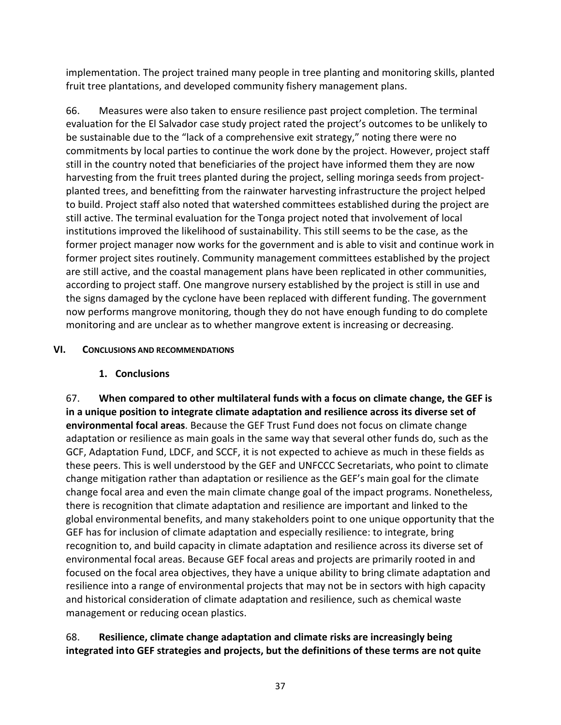implementation. The project trained many people in tree planting and monitoring skills, planted fruit tree plantations, and developed community fishery management plans.

66. Measures were also taken to ensure resilience past project completion. The terminal evaluation for the El Salvador case study project rated the project's outcomes to be unlikely to be sustainable due to the "lack of a comprehensive exit strategy," noting there were no commitments by local parties to continue the work done by the project. However, project staff still in the country noted that beneficiaries of the project have informed them they are now harvesting from the fruit trees planted during the project, selling moringa seeds from projectplanted trees, and benefitting from the rainwater harvesting infrastructure the project helped to build. Project staff also noted that watershed committees established during the project are still active. The terminal evaluation for the Tonga project noted that involvement of local institutions improved the likelihood of sustainability. This still seems to be the case, as the former project manager now works for the government and is able to visit and continue work in former project sites routinely. Community management committees established by the project are still active, and the coastal management plans have been replicated in other communities, according to project staff. One mangrove nursery established by the project is still in use and the signs damaged by the cyclone have been replaced with different funding. The government now performs mangrove monitoring, though they do not have enough funding to do complete monitoring and are unclear as to whether mangrove extent is increasing or decreasing.

### <span id="page-44-0"></span>**VI. CONCLUSIONS AND RECOMMENDATIONS**

## **1. Conclusions**

<span id="page-44-1"></span>67. **When compared to other multilateral funds with a focus on climate change, the GEF is in a unique position to integrate climate adaptation and resilience across its diverse set of environmental focal areas**. Because the GEF Trust Fund does not focus on climate change adaptation or resilience as main goals in the same way that several other funds do, such as the GCF, Adaptation Fund, LDCF, and SCCF, it is not expected to achieve as much in these fields as these peers. This is well understood by the GEF and UNFCCC Secretariats, who point to climate change mitigation rather than adaptation or resilience as the GEF's main goal for the climate change focal area and even the main climate change goal of the impact programs. Nonetheless, there is recognition that climate adaptation and resilience are important and linked to the global environmental benefits, and many stakeholders point to one unique opportunity that the GEF has for inclusion of climate adaptation and especially resilience: to integrate, bring recognition to, and build capacity in climate adaptation and resilience across its diverse set of environmental focal areas. Because GEF focal areas and projects are primarily rooted in and focused on the focal area objectives, they have a unique ability to bring climate adaptation and resilience into a range of environmental projects that may not be in sectors with high capacity and historical consideration of climate adaptation and resilience, such as chemical waste management or reducing ocean plastics.

## 68. **Resilience, climate change adaptation and climate risks are increasingly being integrated into GEF strategies and projects, but the definitions of these terms are not quite**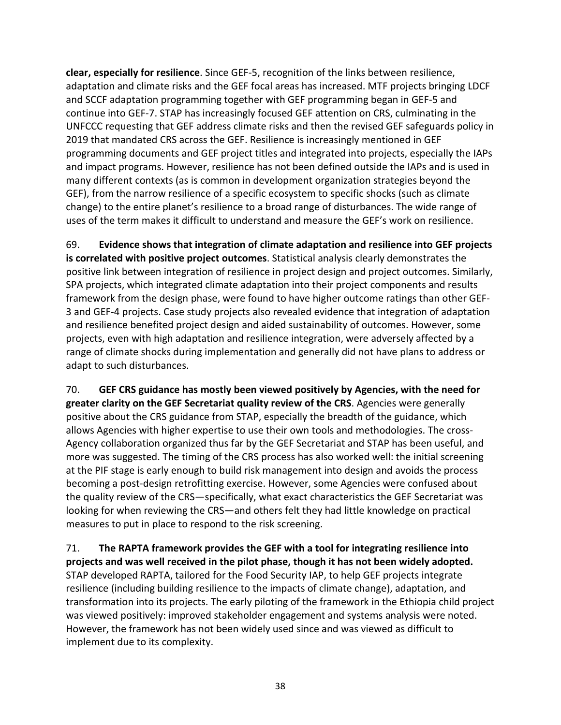**clear, especially for resilience**. Since GEF-5, recognition of the links between resilience, adaptation and climate risks and the GEF focal areas has increased. MTF projects bringing LDCF and SCCF adaptation programming together with GEF programming began in GEF-5 and continue into GEF-7. STAP has increasingly focused GEF attention on CRS, culminating in the UNFCCC requesting that GEF address climate risks and then the revised GEF safeguards policy in 2019 that mandated CRS across the GEF. Resilience is increasingly mentioned in GEF programming documents and GEF project titles and integrated into projects, especially the IAPs and impact programs. However, resilience has not been defined outside the IAPs and is used in many different contexts (as is common in development organization strategies beyond the GEF), from the narrow resilience of a specific ecosystem to specific shocks (such as climate change) to the entire planet's resilience to a broad range of disturbances. The wide range of uses of the term makes it difficult to understand and measure the GEF's work on resilience.

69. **Evidence shows that integration of climate adaptation and resilience into GEF projects is correlated with positive project outcomes**. Statistical analysis clearly demonstrates the positive link between integration of resilience in project design and project outcomes. Similarly, SPA projects, which integrated climate adaptation into their project components and results framework from the design phase, were found to have higher outcome ratings than other GEF-3 and GEF-4 projects. Case study projects also revealed evidence that integration of adaptation and resilience benefited project design and aided sustainability of outcomes. However, some projects, even with high adaptation and resilience integration, were adversely affected by a range of climate shocks during implementation and generally did not have plans to address or adapt to such disturbances.

70. **GEF CRS guidance has mostly been viewed positively by Agencies, with the need for greater clarity on the GEF Secretariat quality review of the CRS**. Agencies were generally positive about the CRS guidance from STAP, especially the breadth of the guidance, which allows Agencies with higher expertise to use their own tools and methodologies. The cross-Agency collaboration organized thus far by the GEF Secretariat and STAP has been useful, and more was suggested. The timing of the CRS process has also worked well: the initial screening at the PIF stage is early enough to build risk management into design and avoids the process becoming a post-design retrofitting exercise. However, some Agencies were confused about the quality review of the CRS—specifically, what exact characteristics the GEF Secretariat was looking for when reviewing the CRS—and others felt they had little knowledge on practical measures to put in place to respond to the risk screening.

71. **The RAPTA framework provides the GEF with a tool for integrating resilience into projects and was well received in the pilot phase, though it has not been widely adopted.** STAP developed RAPTA, tailored for the Food Security IAP, to help GEF projects integrate resilience (including building resilience to the impacts of climate change), adaptation, and transformation into its projects. The early piloting of the framework in the Ethiopia child project was viewed positively: improved stakeholder engagement and systems analysis were noted. However, the framework has not been widely used since and was viewed as difficult to implement due to its complexity.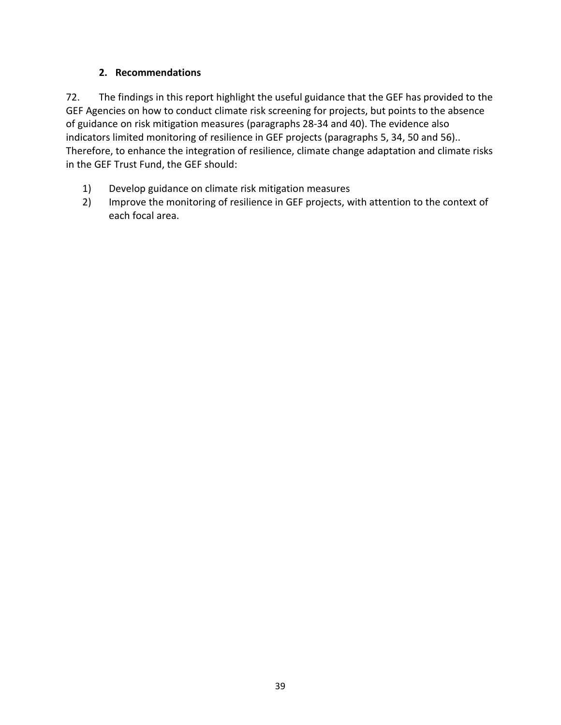## **2. Recommendations**

<span id="page-46-0"></span>72. The findings in this report highlight the useful guidance that the GEF has provided to the GEF Agencies on how to conduct climate risk screening for projects, but points to the absence of guidance on risk mitigation measures (paragraphs [28-](#page-20-0)[34](#page-23-1) and [40\)](#page-28-1). The evidence also indicators limited monitoring of resilience in GEF projects (paragraphs [5,](#page-6-0) [34,](#page-23-1) [50](#page-35-0) and [56\)](#page-37-1).. Therefore, to enhance the integration of resilience, climate change adaptation and climate risks in the GEF Trust Fund, the GEF should:

- 1) Develop guidance on climate risk mitigation measures
- 2) Improve the monitoring of resilience in GEF projects, with attention to the context of each focal area.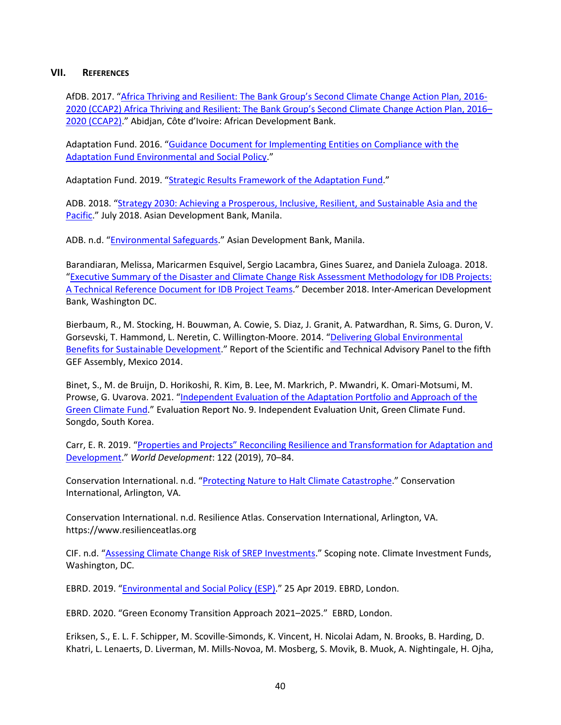#### <span id="page-47-0"></span>**VII. REFERENCES**

AfDB. 2017. ["Africa Thriving and Resilient: The Bank Group's Second Climate Change Action Plan, 2016-](https://www.afdb.org/fileadmin/uploads/afdb/Documents/Publications/AfricanDevelopmentBankClimateChangeActionPlan2016-2020.pdf) 2020 (CCAP2) [Africa Thriving and Resilient: The Bank Group's Second Climate Change Action Plan, 2016–](https://www.afdb.org/fileadmin/uploads/afdb/Documents/Publications/AfricanDevelopmentBankClimateChangeActionPlan2016-2020.pdf) [2020 \(CCAP2\).](https://www.afdb.org/fileadmin/uploads/afdb/Documents/Publications/AfricanDevelopmentBankClimateChangeActionPlan2016-2020.pdf)" Abidjan, Côte d'Ivoire: African Development Bank.

Adaptation Fund. 2016. ["Guidance Document for Implementing Entities on Compliance with the](https://www.adaptation-fund.org/document/guidance-document-implementing-entities-compliance-adaptation-fund-environmental-social-policy/)  [Adaptation Fund Environmental and Social Policy.](https://www.adaptation-fund.org/document/guidance-document-implementing-entities-compliance-adaptation-fund-environmental-social-policy/)"

Adaptation Fund. 2019. ["Strategic Results Framework of the Adaptation Fund.](https://www.adaptation-fund.org/document/strategic-results-framework-of-the-adaptation-fund-amended-in-march-2019/)"

ADB. 2018. ["Strategy 2030: Achieving a Prosperous, Inclusive, Resilient, and Sustainable Asia and the](https://www.adb.org/documents/strategy-2030-prosperous-inclusive-resilient-sustainable-asia-pacific)  [Pacific.](https://www.adb.org/documents/strategy-2030-prosperous-inclusive-resilient-sustainable-asia-pacific)" July 2018. Asian Development Bank, Manila.

ADB. n.d. ["Environmental Safeguards.](https://www.adb.org/site/safeguards/environment)" Asian Development Bank, Manila.

Barandiaran, Melissa, Maricarmen Esquivel, Sergio Lacambra, Gines Suarez, and Daniela Zuloaga. 2018. ["Executive Summary of the Disaster and Climate Change Risk Assessment Methodology for IDB Projects:](https://publications.iadb.org/en/disaster-and-climate-change-risk-assessment-methodology-idb-projects-technical-reference-document)  [A Technical Reference Document for IDB Project Teams.](https://publications.iadb.org/en/disaster-and-climate-change-risk-assessment-methodology-idb-projects-technical-reference-document)" December 2018. Inter-American Development Bank, Washington DC.

Bierbaum, R., M. Stocking, H. Bouwman, A. Cowie, S. Diaz, J. Granit, A. Patwardhan, R. Sims, G. Duron, V. Gorsevski, T. Hammond, L. Neretin, C. Willington-Moore. 2014. ["Delivering Global Environmental](https://www.thegef.org/sites/default/files/publications/STAP-GEF-Delivering-Global-Env_web-LoRes_0.pdf)  [Benefits for Sustainable Development.](https://www.thegef.org/sites/default/files/publications/STAP-GEF-Delivering-Global-Env_web-LoRes_0.pdf)" Report of the Scientific and Technical Advisory Panel to the fifth GEF Assembly, Mexico 2014.

Binet, S., M. de Bruijn, D. Horikoshi, R. Kim, B. Lee, M. Markrich, P. Mwandri, K. Omari-Motsumi, M. Prowse, G. Uvarova. 2021. "Independent Evaluation of the Adaptation Portfolio and Approach of the [Green Climate Fund.](https://ieu.greenclimate.fund/evaluation/adapt2021)" Evaluation Report No. 9. Independent Evaluation Unit, Green Climate Fund. Songdo, South Korea.

Carr, E. R. 2019. ["Properties and Projects" Reconciling Resilience and Transformation for Adaptation and](https://www.sciencedirect.com/science/article/pii/S0305750X19301251)  [Development.](https://www.sciencedirect.com/science/article/pii/S0305750X19301251)" *World Development*: 122 (2019), 70–84.

Conservation International. n.d. ["Protecting Nature to Halt Climate Catastrophe.](https://www.conservation.org/priorities/protecting-nature-to-halt-climate-catastrophe)" Conservation International, Arlington, VA.

Conservation International. n.d. Resilience Atlas. Conservation International, Arlington, VA. https://www.resilienceatlas.org

CIF. n.d. ["Assessing Climate Change Risk of SREP Investments.](https://www.climateinvestmentfunds.org/sites/cif_enc/files/Assessing%20climate%20change%20risk%20of%20SREP%20investments%20final_0.pdf)" Scoping note. Climate Investment Funds, Washington, DC.

EBRD. 2019. ["Environmental and Social Policy \(ESP\).](https://www.ebrd.com/news/publications/policies/environmental-and-social-policy-esp.html)" 25 Apr 2019. EBRD, London.

EBRD. 2020. "Green Economy Transition Approach 2021–2025." EBRD, London.

Eriksen, S., E. L. F. Schipper, M. Scoville-Simonds, K. Vincent, H. Nicolai Adam, N. Brooks, B. Harding, D. Khatri, L. Lenaerts, D. Liverman, M. Mills-Novoa, M. Mosberg, S. Movik, B. Muok, A. Nightingale, H. Ojha,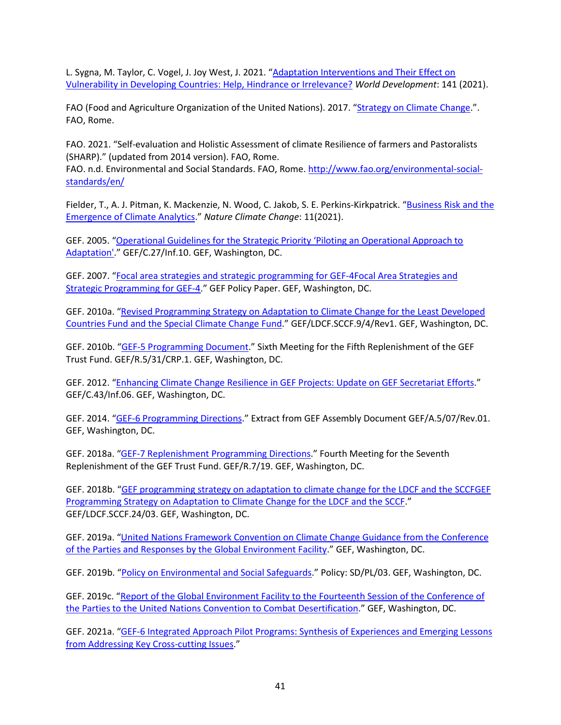L. Sygna, M. Taylor, C. Vogel, J. Joy West, J. 2021. "Adaptation Interventions and Their Effect on [Vulnerability in Developing Countries: Help, Hindrance or Irrelevance?](https://www.sciencedirect.com/science/article/pii/S0305750X20305118) *World Development*: 141 (2021).

FAO (Food and Agriculture Organization of the United Nations). 2017. ["Strategy on Climate Change.](http://www.fao.org/3/i7175e/i7175e.pdf)". FAO, Rome.

FAO. 2021. "Self-evaluation and Holistic Assessment of climate Resilience of farmers and Pastoralists (SHARP)." (updated from 2014 version). FAO, Rome.

FAO. n.d. Environmental and Social Standards. FAO, Rome[. http://www.fao.org/environmental-social](http://www.fao.org/environmental-social-standards/en/)[standards/en/](http://www.fao.org/environmental-social-standards/en/)

Fielder, T., A. J. Pitman, K. Mackenzie, N. Wood, C. Jakob, S. E. Perkins-Kirkpatrick. "Business Risk and the [Emergence of Climate Analytics.](https://www.nature.com/articles/s41558-020-00984-6)" *Nature Climate Change*: 11(2021).

GEF. 2005. ["Operational Guidelines for the Strategic Priority 'Piloting an Operational Approach to](https://www.thegef.org/council-meeting-documents/operational-guidelines-strategic-priority-%E2%80%9Cpiloting-operational-approach)  [Adaptation'.](https://www.thegef.org/council-meeting-documents/operational-guidelines-strategic-priority-%E2%80%9Cpiloting-operational-approach)" GEF/C.27/Inf.10. GEF, Washington, DC.

GEF. 2007. ["Focal area strategies and strategic programming for GEF-4Focal Area Strategies and](https://www.thegef.org/council-meeting-documents/gef-4-focal-area-strategies-and-strategic-programming)  [Strategic Programming for GEF-4.](https://www.thegef.org/council-meeting-documents/gef-4-focal-area-strategies-and-strategic-programming)" GEF Policy Paper. GEF, Washington, DC.

GEF. 2010a. ["Revised Programming Strategy on Adaptation to Climate Change for the Least Developed](https://www.thegef.org/sites/default/files/council-meeting-documents/Program_strategy_V.2_4.pdf)  [Countries Fund and the Special Climate Change Fund.](https://www.thegef.org/sites/default/files/council-meeting-documents/Program_strategy_V.2_4.pdf)" GEF/LDCF.SCCF.9/4/Rev1. GEF, Washington, DC.

GEF. 2010b. ["GEF-5 Programming Document.](https://www.thegef.org/council-meeting-documents/final-gef-5-programming-document)" Sixth Meeting for the Fifth Replenishment of the GEF Trust Fund. GEF/R.5/31/CRP.1. GEF, Washington, DC.

GEF. 2012. ["Enhancing Climate Change Resilience in GEF Projects: Update on GEF Secretariat Efforts.](https://www.thegef.org/council-meeting-documents/enhancing-climate-change-resilience-gef-projects-update-gef-secretariat)" GEF/C.43/Inf.06. GEF, Washington, DC.

GEF. 2014. ["GEF-6 Programming Directions.](https://www.thegef.org/documents/gef-6-programming-directions)" Extract from GEF Assembly Document GEF/A.5/07/Rev.01. GEF, Washington, DC.

GEF. 2018a. ["GEF-7 Replenishment Programming Directions.](https://www.thegef.org/council-meeting-documents/gef-7-programming-directions)" Fourth Meeting for the Seventh Replenishment of the GEF Trust Fund. GEF/R.7/19. GEF, Washington, DC.

GEF. 2018b. ["GEF programming strategy on adaptation to climate change for the LDCF and the SCCFGEF](https://www.thegef.org/documents/gef-programming-strategy-adaptation-climate-change-ldcf-and-sccf-and-operational)  [Programming Strategy on Adaptation to Climate Change for the LDCF and the SCCF.](https://www.thegef.org/documents/gef-programming-strategy-adaptation-climate-change-ldcf-and-sccf-and-operational)" GEF/LDCF.SCCF.24/03. GEF, Washington, DC.

GEF. 2019a. ["United Nations Framework Convention on Climate Change Guidance from the Conference](https://www.thegef.org/sites/default/files/publications/GEF_UNFCCC%20COP%20Guidance2018_CRA.pdf)  [of the Parties and Responses by the Global Environment Facility.](https://www.thegef.org/sites/default/files/publications/GEF_UNFCCC%20COP%20Guidance2018_CRA.pdf)" GEF, Washington, DC.

GEF. 2019b. ["Policy on Environmental and Social Safeguards.](https://www.thegef.org/documents/environmental-and-social-safeguard-standards)" Policy: SD/PL/03. GEF, Washington, DC.

GEF. 2019c. ["Report of the Global Environment Facility to the Fourteenth Session of the Conference of](https://www.thegef.org/sites/default/files/documents/gef_report_unccd_cop14_en.pdf)  [the Parties to the United Nations Convention to Combat Desertification.](https://www.thegef.org/sites/default/files/documents/gef_report_unccd_cop14_en.pdf)" GEF, Washington, DC.

GEF. 2021a. ["GEF-6 Integrated Approach Pilot Programs: Synthesis of Experiences and Emerging Lessons](https://www.thegef.org/publications/gef-6-iap-programs-synthesis-experiences-and-emerging-lessons-addressing-key-cross)  [from Addressing Key Cross-cutting Issues.](https://www.thegef.org/publications/gef-6-iap-programs-synthesis-experiences-and-emerging-lessons-addressing-key-cross)"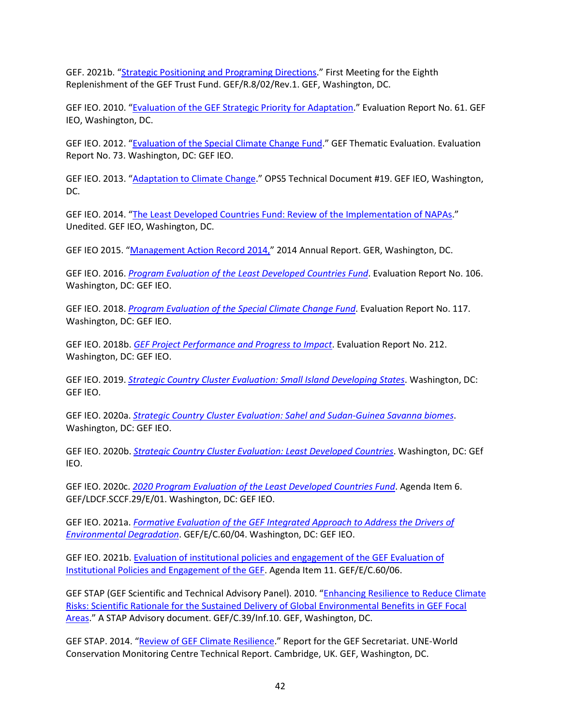GEF. 2021b. ["Strategic Positioning and Programing Directions.](https://www.thegef.org/council-meeting-documents/strategic-positioning-and-programming-directions)" First Meeting for the Eighth Replenishment of the GEF Trust Fund. GEF/R.8/02/Rev.1. GEF, Washington, DC.

GEF IEO. 2010. ["Evaluation of the GEF Strategic Priority for Adaptation.](https://www.thegef.org/council-meeting-documents/evaluation-gef-strategic-priority-adaptation)" Evaluation Report No. 61. GEF IEO, Washington, DC.

GEF IEO. 2012. ["Evaluation of the Special Climate Change Fund.](https://www.thegef.org/council-meeting-documents/evaluation-special-climate-change-fund)" GEF Thematic Evaluation. Evaluation Report No. 73. Washington, DC: GEF IEO.

GEF IEO. 2013. ["Adaptation to Climate Change.](https://www.gefieo.org/sites/default/files/documents/ops5-td19-adaptation-cc.pdf)" OPS5 Technical Document #19. GEF IEO, Washington, DC.

GEF IEO. 2014. "The Least Developed Countries [Fund: Review of the Implementation of NAPAs.](https://www.gefieo.org/evaluations/ldcf-2014-napa)" Unedited. GEF IEO, Washington, DC.

GEF IEO 2015. ["Management Action Record 2014,](https://www.gefieo.org/documents/apr-2014-report-management-action-record-mar)" 2014 Annual Report. GER, Washington, DC.

GEF IEO. 2016. *[Program Evaluation of the Least Developed Countries Fund](https://www.gefieo.org/evaluations/ldcf-2016)*. Evaluation Report No. 106. Washington, DC: GEF IEO.

GEF IEO. 2018. *[Program Evaluation of the Special Climate Change Fund](https://www.gefieo.org/evaluations/sccf-2017)*. Evaluation Report No. 117. Washington, DC: GEF IEO.

GEF IEO. 2018b. *[GEF Project Performance and Progress to Impact](https://www.gefieo.org/evaluations/apr-2016)*. Evaluation Report No. 212. Washington, DC: GEF IEO.

GEF IEO. 2019. *[Strategic Country Cluster Evaluation: Small Island Developing States](https://www.gefieo.org/evaluations/scce-sids)*. Washington, DC: GEF IEO.

GEF IEO. 2020a. *[Strategic Country Cluster Evaluation: Sahel and Sudan-Guinea Savanna biomes](https://www.gefieo.org/evaluations/scce-biomes)*. Washington, DC: GEF IEO.

GEF IEO. 2020b. *[Strategic Country Cluster Evaluation: Least Developed Countries](https://www.gefieo.org/evaluations/scce-ldc)*. Washington, DC: GEf IEO.

GEF IEO. 2020c. *[2020 Program Evaluation of the Least Developed Countries Fund](https://www.gefieo.org/evaluations/ldcf-2020)*. Agenda Item 6. GEF/LDCF.SCCF.29/E/01. Washington, DC: GEF IEO.

GEF IEO. 2021a. *[Formative Evaluation of the GEF Integrated Approach to Address the Drivers of](https://www.gefieo.org/evaluations/environmental-degradation)  [Environmental Degradation](https://www.gefieo.org/evaluations/environmental-degradation)*. GEF/E/C.60/04. Washington, DC: GEF IEO.

GEF IEO. 2021b. [Evaluation of institutional policies and engagement of the GEF](https://www.gefieo.org/evaluations/gef-policies-2020) Evaluation of [Institutional Policies and Engagement of the GEF.](https://www.gefieo.org/evaluations/gef-policies-2020) Agenda Item 11. GEF/E/C.60/06.

GEF STAP (GEF Scientific and Technical Advisory Panel). 2010. "Enhancing Resilience to Reduce Climate [Risks: Scientific Rationale for the Sustained Delivery of Global Environmental Benefits in GEF Focal](https://www.thegef.org/council-meeting-documents/enhancing-resilience-reduce-climate-risks-scientific-rationale-sustained)  [Areas.](https://www.thegef.org/council-meeting-documents/enhancing-resilience-reduce-climate-risks-scientific-rationale-sustained)" A STAP Advisory document. GEF/C.39/Inf.10. GEF, Washington, DC.

GEF STAP. 2014. ["Review of GEF Climate Resilience.](https://www.stapgef.org/resources/report/review-gef-climate-resilience)" Report for the GEF Secretariat. UNE-World Conservation Monitoring Centre Technical Report. Cambridge, UK. GEF, Washington, DC.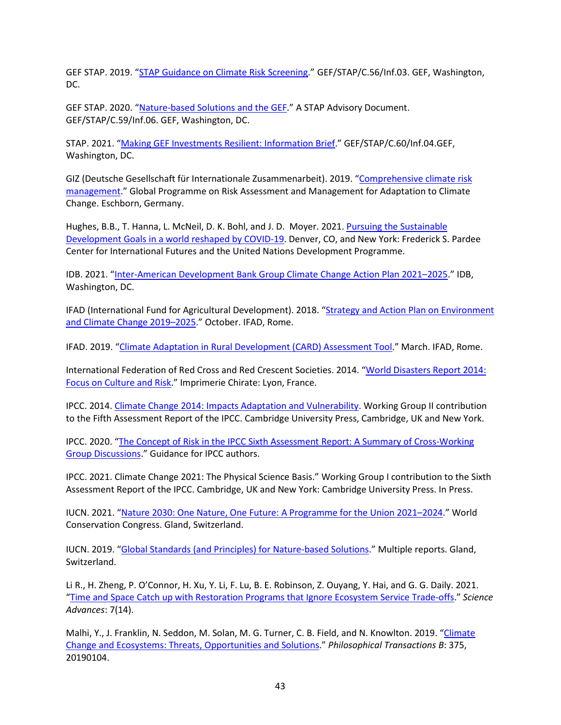GEF STAP. 2019. ["STAP Guidance on Climate Risk Screening.](https://stapgef.org/sites/default/files/publications/Climate%20Risk%20Screening%20web%20posting.pdf)" GEF/STAP/C.56/Inf.03. GEF, Washington, DC.

GEF STAP. 2020. ["Nature-based Solutions and the GEF.](https://www.thegef.org/sites/default/files/council-meeting-documents/EN_GEF.C.59.STAP_.Inf_.06_Natured_Based_Solution_GEF.pdf)" A STAP Advisory Document. GEF/STAP/C.59/Inf.06. GEF, Washington, DC.

STAP. 2021. ["Making GEF Investments Resilient: Information Brief.](https://www.thegef.org/sites/default/files/council-meeting-documents/EN_GEF.STAP_.C.60.Inf_.04_Making_GEF_Investments_Resilient.pdf)" GEF/STAP/C.60/Inf.04.GEF, Washington, DC.

GIZ (Deutsche Gesellschaft für Internationale Zusammenarbeit). 2019. ["Comprehensive climate risk](https://www.giz.de/en/downloads/giz2020-en-comprehensive-climate-risk-management.pdf)  [management.](https://www.giz.de/en/downloads/giz2020-en-comprehensive-climate-risk-management.pdf)" Global Programme on Risk Assessment and Management for Adaptation to Climate Change. Eschborn, Germany.

Hughes, B.B., T. Hanna, L. McNeil, D. K. Bohl, and J. D. Moyer. 2021. Pursuing the Sustainable [Development Goals in a world reshaped by COVID-19.](https://sdgintegration.undp.org/sites/default/files/Foundational_research_report.pdf) Denver, CO, and New York: Frederick S. Pardee Center for International Futures and the United Nations Development Programme.

IDB. 2021. ["Inter-American Development Bank Group Climate Change Action Plan 2021–2025.](https://publications.iadb.org/en/inter-american-development-bank-group-climate-change-action-plan-2021-2025#:%7E:text=Inter%2DAmerican%20Development%20Bank%20Group%20Climate%20Change%20Action%20Plan%202021%2D2025,-Author&text=The%20Climate%20Change%20Action%20Plan,ambition%20continuously%20in%20the%20region.)" IDB, Washington, DC.

IFAD (International Fund for Agricultural Development). 2018. ["Strategy and Action Plan on Environment](https://www.ifad.org/en/-/ifad-strategy-and-action-plan-on-environment-and-climate-change-2019-2025)  [and Climate Change 2019–2025.](https://www.ifad.org/en/-/ifad-strategy-and-action-plan-on-environment-and-climate-change-2019-2025)" October. IFAD, Rome.

IFAD. 2019. ["Climate Adaptation in Rural Development \(CARD\) Assessment](https://www.ifad.org/en/web/knowledge/-/publication/climate-adaptation-in-rural-development-card-assessment-tool) Tool." March. IFAD, Rome.

International Federation of Red Cross and Red Crescent Societies. 2014. ["World Disasters Report 2014:](https://www.ifrc.org/world-disasters-report-2014)  [Focus on Culture and Risk.](https://www.ifrc.org/world-disasters-report-2014)" Imprimerie Chirate: Lyon, France.

IPCC. 2014. [Climate Change 2014: Impacts Adaptation and Vulnerability.](https://www.ipcc.ch/report/ar5/wg2/) Working Group II contribution to the Fifth Assessment Report of the IPCC. Cambridge University Press, Cambridge, UK and New York.

IPCC. 2020. ["The Concept of Risk in the IPCC Sixth Assessment Report: A Summary of Cross-Working](https://www.ipcc.ch/site/assets/uploads/2021/01/The-concept-of-risk-in-the-IPCC-Sixth-Assessment-Report.pdf)  [Group Discussions.](https://www.ipcc.ch/site/assets/uploads/2021/01/The-concept-of-risk-in-the-IPCC-Sixth-Assessment-Report.pdf)" Guidance for IPCC authors.

IPCC. 2021. Climate Change 2021: The Physical Science Basis." Working Group I contribution to the Sixth Assessment Report of the IPCC. Cambridge, UK and New York: Cambridge University Press. In Press.

IUCN. 2021. ["Nature 2030: One Nature, One Future: A Programme for the Union 2021–2024.](https://portals.iucn.org/library/node/49292)" World Conservation Congress. Gland, Switzerland.

IUCN. 2019. ["Global Standards \(and Principles\) for Nature-based Solutions.](https://www.iucn.org/theme/ecosystem-management/our-work/iucn-global-standard-nature-based-solutions)" Multiple reports. Gland, Switzerland.

Li R., H. Zheng, P. O'Connor, H. Xu, Y. Li, F. Lu, B. E. Robinson, Z. Ouyang, Y. Hai, and G. G. Daily. 2021. ["Time and Space Catch up with Restoration Programs that Ignore Ecosystem Service Trade-offs.](https://advances.sciencemag.org/content/7/14/eabf8650)" *Science Advances*: 7(14).

Malhi, Y., J. Franklin, N. Seddon, M. Solan, M. G. Turner, C. B. Field, and N. Knowlton. 2019. ["Climate](https://royalsocietypublishing.org/doi/10.1098/rstb.2019.0104)  [Change and Ecosystems: Threats, Opportunities and Solutions.](https://royalsocietypublishing.org/doi/10.1098/rstb.2019.0104)" *Philosophical Transactions B*: 375, 20190104.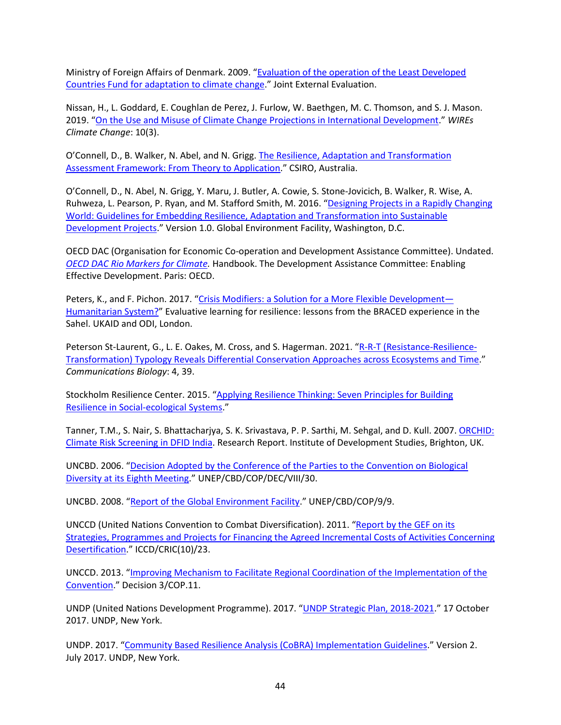Ministry of Foreign Affairs of Denmark. 2009. ["Evaluation of the operation of the Least Developed](https://www.gefieo.org/evaluations/ldcf-2009-climate-change)  [Countries Fund for adaptation to climate change.](https://www.gefieo.org/evaluations/ldcf-2009-climate-change)" Joint External Evaluation.

Nissan, H., L. Goddard, E. Coughlan de Perez, J. Furlow, W. Baethgen, M. C. Thomson, and S. J. Mason. 2019. ["On the Use and Misuse of Climate Change Projections in International Development.](https://onlinelibrary.wiley.com/doi/full/10.1002/wcc.579)" *WIREs Climate Change*: 10(3).

O'Connell, D., B. Walker, N. Abel, and N. Grigg[. The Resilience, Adaptation and Transformation](https://www.stapgef.org/sites/default/files/documents/CSIRO-STAP-Resilience-Adaptation-Transformation-Assessment-Framework-Report.pdf)  [Assessment Framework: From Theory to Application.](https://www.stapgef.org/sites/default/files/documents/CSIRO-STAP-Resilience-Adaptation-Transformation-Assessment-Framework-Report.pdf)" CSIRO, Australia.

O'Connell, D., N. Abel, N. Grigg, Y. Maru, J. Butler, A. Cowie, S. Stone-Jovicich, B. Walker, R. Wise, A. Ruhweza, L. Pearson, P. Ryan, and M. Stafford Smith, M. 2016. ["Designing Projects in a Rapidly Changing](https://www.thegef.org/sites/default/files/publications/RAPTA%20Guidelines%20-%20High%20Resolution.pdf)  [World: Guidelines for Embedding Resilience, Adaptation and Transformation into Sustainable](https://www.thegef.org/sites/default/files/publications/RAPTA%20Guidelines%20-%20High%20Resolution.pdf)  [Development Projects.](https://www.thegef.org/sites/default/files/publications/RAPTA%20Guidelines%20-%20High%20Resolution.pdf)" Version 1.0. Global Environment Facility, Washington, D.C.

OECD DAC (Organisation for Economic Co-operation and Development Assistance Committee). Undated. *[OECD DAC Rio Markers for Climate.](https://www.oecd.org/dac/environment-development/Revised%20climate%20marker%20handbook_FINAL.pdf)* Handbook. The Development Assistance Committee: Enabling Effective Development. Paris: OECD.

Peters, K., and F. Pichon. 2017. ["Crisis Modifiers: a Solution for a More Flexible Development—](https://odi.org/en/publications/crisis-modifiers-a-solution-for-a-more-flexible-development-humanitarian-system/) [Humanitarian System?"](https://odi.org/en/publications/crisis-modifiers-a-solution-for-a-more-flexible-development-humanitarian-system/) Evaluative learning for resilience: lessons from the BRACED experience in the Sahel. UKAID and ODI, London.

Peterson St-Laurent, G., L. E. Oakes, M. Cross, and S. Hagerman. 2021. ["R-R-T \(Resistance-Resilience-](https://www.nature.com/articles/s42003-020-01556-2)[Transformation\) Typology Reveals Differential Conservation Approaches across Ecosystems and Time.](https://www.nature.com/articles/s42003-020-01556-2)" *Communications Biology*: 4, 39.

Stockholm Resilience Center. 2015. ["Applying Resilience Thinking: Seven Principles for Building](https://stockholmresilience.org/download/18.10119fc11455d3c557d6928/1459560241272/SRC+Applying+Resilience+final.pdf))  [Resilience in Social-ecological Systems.](https://stockholmresilience.org/download/18.10119fc11455d3c557d6928/1459560241272/SRC+Applying+Resilience+final.pdf))"

Tanner, T.M., S. Nair, S. Bhattacharjya, S. K. Srivastava, P. P. Sarthi, M. Sehgal, and D. Kull. 2007. [ORCHID:](https://www.ids.ac.uk/download.php?file=files/dmfile/ORCHIDIndiaRR.pdf)  [Climate Risk Screening in DFID India.](https://www.ids.ac.uk/download.php?file=files/dmfile/ORCHIDIndiaRR.pdf) Research Report. Institute of Development Studies, Brighton, UK.

UNCBD. 2006. ["Decision Adopted by the Conference of the Parties to the Convention on Biological](https://www.cbd.int/decisions/cop/?m=cop-08)  [Diversity at its Eighth Meeting.](https://www.cbd.int/decisions/cop/?m=cop-08)" UNEP/CBD/COP/DEC/VIII/30.

UNCBD. 2008. ["Report of the Global Environment Facility.](http://cbd.int/kb/record/meetingDocument/47107?Subject=COOP)" UNEP/CBD/COP/9/9.

UNCCD (United Nations Convention to Combat Diversification). 2011. ["Report by the GEF on its](https://www.unccd.int/official-documents/cric-10-changwon-2011/iccdcric1023)  [Strategies, Programmes and Projects for Financing the Agreed Incremental Costs of Activities Concerning](https://www.unccd.int/official-documents/cric-10-changwon-2011/iccdcric1023)  [Desertification.](https://www.unccd.int/official-documents/cric-10-changwon-2011/iccdcric1023)" ICCD/CRIC(10)/23.

UNCCD. 2013. ["Improving Mechanism to Facilitate Regional Coordination of the Implementation of the](https://www.unccd.int/sites/default/files/sessions/documents/2019-08/3COP11_0.pdf)  [Convention.](https://www.unccd.int/sites/default/files/sessions/documents/2019-08/3COP11_0.pdf)" Decision 3/COP.11.

UNDP (United Nations Development Programme). 2017. ["UNDP Strategic Plan, 2018-2021.](http://web.undp.org/evaluation/evaluations/thematic/spe-2021.shtml)" 17 October 2017. UNDP, New York.

UNDP. 2017. ["Community Based Resilience Analysis \(CoBRA\) Implementation Guidelines.](https://www.undp.org/publications/cobra-implementation-guidelines)" Version 2. July 2017. UNDP, New York.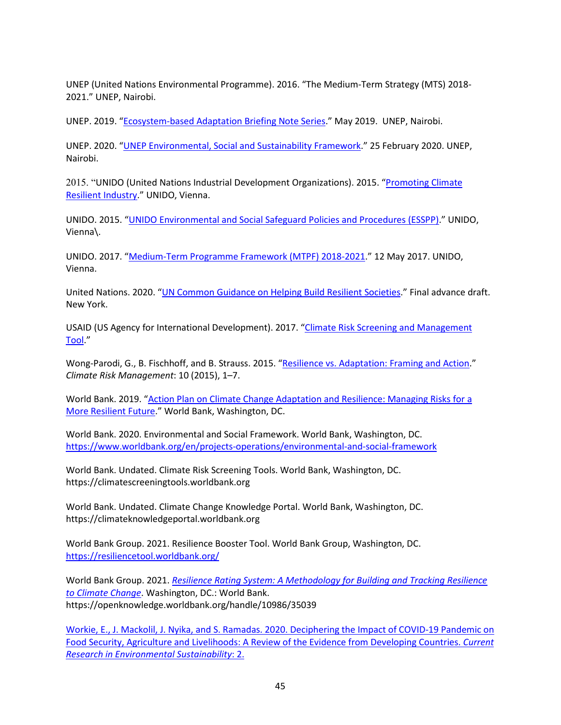UNEP (United Nations Environmental Programme). 2016. "The Medium-Term Strategy (MTS) 2018- 2021." UNEP, Nairobi.

UNEP. 2019. ["Ecosystem-based Adaptation Briefing Note Series.](https://www.unep.org/resources/factsheet/ecosystem-based-adaptation-briefing-note-series-unep-wcmc)" May 2019. UNEP, Nairobi.

UNEP. 2020. ["UNEP Environmental, Social and Sustainability Framework.](https://www.unep.org/resources/report/un-environments-environmental-social-and-economic-sustainability-framework)" 25 February 2020. UNEP, Nairobi.

2015. "UNIDO (United Nations Industrial Development Organizations). 2015. ["Promoting Climate](https://www.unido.org/sites/default/files/2015-12/01._UNIDO_Promoting_Climate_Resilient_Industry_0.pdf)  [Resilient Industry.](https://www.unido.org/sites/default/files/2015-12/01._UNIDO_Promoting_Climate_Resilient_Industry_0.pdf)" UNIDO, Vienna.

UNIDO. 2015. ["UNIDO Environmental and Social Safeguard Policies and Procedures \(ESSPP\).](https://www.unido.org/sites/default/files/files/2018-02/AI.2017.4_ESSPP_18July2017.pdf)" UNIDO, Vienna\.

UNIDO. 2017. ["Medium-Term Programme Framework \(MTPF\) 2018-2021.](https://www.unido.org/sites/default/files/files/2019-02/IDB.45_8_Add.2_2__E_Medium-term_programme_framework_2018-2021.pdf)" 12 May 2017. UNIDO, Vienna.

United Nations. 2020. ["UN Common Guidance on Helping Build Resilient Societies.](https://www.sparkblue.org/basic-page/un-common-guidance-helping-build-resilient-societies)" Final advance draft. New York.

USAID (US Agency for International Development). 2017. "Climate Risk Screening and Management [Tool.](https://www.climatelinks.org/sites/default/files/2017-05-24_USAID-CRM-Tool-Strategy.pdf)"

Wong-Parodi, G., B. Fischhoff, and B. Strauss. 2015. ["Resilience vs. Adaptation: Framing and Action.](https://www.sciencedirect.com/science/article/pii/S2212096315000273#:%7E:text=Resilience%20includes%20the%20ability%20to,Adaptation%20entails%20preserving%20existing%20resources.)" *Climate Risk Management*: 10 (2015), 1–7.

World Bank. 2019. ["Action Plan on Climate Change Adaptation and Resilience: Managing Risks for a](https://documents1.worldbank.org/curated/en/519821547481031999/The-World-Bank-Groups-Action-Plan-on-Climate-Change-Adaptation-and-Resilience-Managing-Risks-for-a-More-Resilient-Future.pdf)  [More Resilient Future.](https://documents1.worldbank.org/curated/en/519821547481031999/The-World-Bank-Groups-Action-Plan-on-Climate-Change-Adaptation-and-Resilience-Managing-Risks-for-a-More-Resilient-Future.pdf)" World Bank, Washington, DC.

World Bank. 2020. Environmental and Social Framework. World Bank, Washington, DC. <https://www.worldbank.org/en/projects-operations/environmental-and-social-framework>

World Bank. Undated. Climate Risk Screening Tools. World Bank, Washington, DC. https://climatescreeningtools.worldbank.org

World Bank. Undated. Climate Change Knowledge Portal. World Bank, Washington, DC. https://climateknowledgeportal.worldbank.org

World Bank Group. 2021. Resilience Booster Tool. World Bank Group, Washington, DC. <https://resiliencetool.worldbank.org/>

World Bank Group. 2021. *[Resilience Rating System: A Methodology for Building and Tracking Resilience](https://openknowledge.worldbank.org/handle/10986/35039)  [to Climate Change](https://openknowledge.worldbank.org/handle/10986/35039)*. Washington, DC.: World Bank. https://openknowledge.worldbank.org/handle/10986/35039

Workie, E., J. Mackolil, J. Nyika, and S. Ramadas. 2020[. Deciphering the Impact of COVID-19 Pandemic on](https://www.sciencedirect.com/science/article/pii/S266604902030027X)  [Food Security, Agriculture and Livelihoods: A Review of the Evidence from](https://www.sciencedirect.com/science/article/pii/S266604902030027X) Developing Countries. *Current Research in Environmental Sustainability*: 2.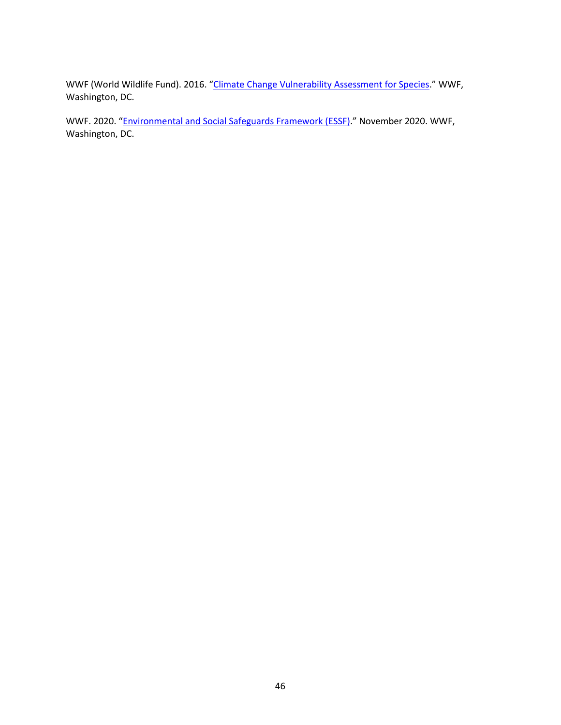WWF (World Wildlife Fund). 2016. ["Climate Change Vulnerability Assessment for Species.](https://www.worldwildlife.org/publications/climate-change-vulnerability-assessment-for-species--5)" WWF, Washington, DC.

WWF. 2020. ["Environmental and Social Safeguards Framework \(ESSF\).](https://www.worldwildlife.org/publications/environmental-and-social-safeguards-framework)" November 2020. WWF, Washington, DC.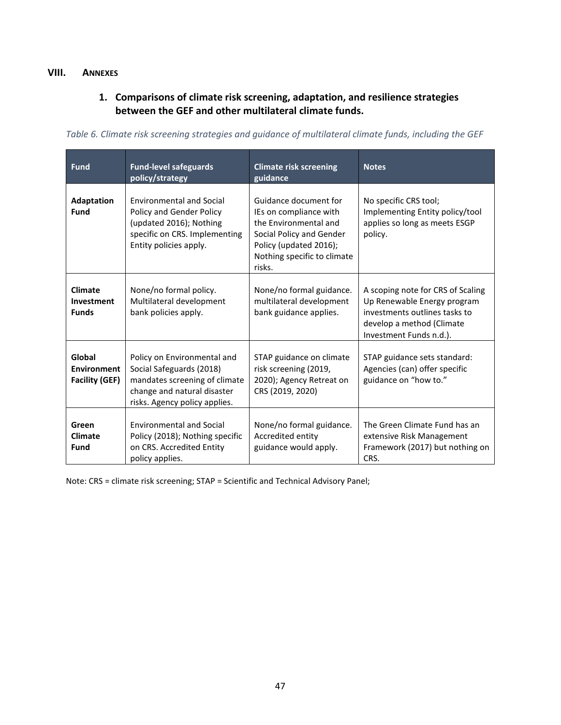### <span id="page-54-1"></span><span id="page-54-0"></span>**VIII. ANNEXES**

## **1. Comparisons of climate risk screening, adaptation, and resilience strategies between the GEF and other multilateral climate funds.**

| <b>Fund</b>                                           | <b>Fund-level safeguards</b><br>policy/strategy                                                                                                          | <b>Climate risk screening</b><br>guidance                                                                                                                               | <b>Notes</b>                                                                                                                                              |
|-------------------------------------------------------|----------------------------------------------------------------------------------------------------------------------------------------------------------|-------------------------------------------------------------------------------------------------------------------------------------------------------------------------|-----------------------------------------------------------------------------------------------------------------------------------------------------------|
| <b>Adaptation</b><br>Fund                             | <b>Environmental and Social</b><br>Policy and Gender Policy<br>(updated 2016); Nothing<br>specific on CRS. Implementing<br>Entity policies apply.        | Guidance document for<br>IEs on compliance with<br>the Environmental and<br>Social Policy and Gender<br>Policy (updated 2016);<br>Nothing specific to climate<br>risks. | No specific CRS tool;<br>Implementing Entity policy/tool<br>applies so long as meets ESGP<br>policy.                                                      |
| <b>Climate</b><br>Investment<br><b>Funds</b>          | None/no formal policy.<br>Multilateral development<br>bank policies apply.                                                                               | None/no formal guidance.<br>multilateral development<br>bank guidance applies.                                                                                          | A scoping note for CRS of Scaling<br>Up Renewable Energy program<br>investments outlines tasks to<br>develop a method (Climate<br>Investment Funds n.d.). |
| Global<br><b>Environment</b><br><b>Facility (GEF)</b> | Policy on Environmental and<br>Social Safeguards (2018)<br>mandates screening of climate<br>change and natural disaster<br>risks. Agency policy applies. | STAP guidance on climate<br>risk screening (2019,<br>2020); Agency Retreat on<br>CRS (2019, 2020)                                                                       | STAP guidance sets standard:<br>Agencies (can) offer specific<br>guidance on "how to."                                                                    |
| Green<br><b>Climate</b><br>Fund                       | <b>Environmental and Social</b><br>Policy (2018); Nothing specific<br>on CRS. Accredited Entity<br>policy applies.                                       | None/no formal guidance.<br>Accredited entity<br>guidance would apply.                                                                                                  | The Green Climate Fund has an<br>extensive Risk Management<br>Framework (2017) but nothing on<br>CRS.                                                     |

<span id="page-54-2"></span>*Table 6. Climate risk screening strategies and guidance of multilateral climate funds, including the GEF*

Note: CRS = climate risk screening; STAP = Scientific and Technical Advisory Panel;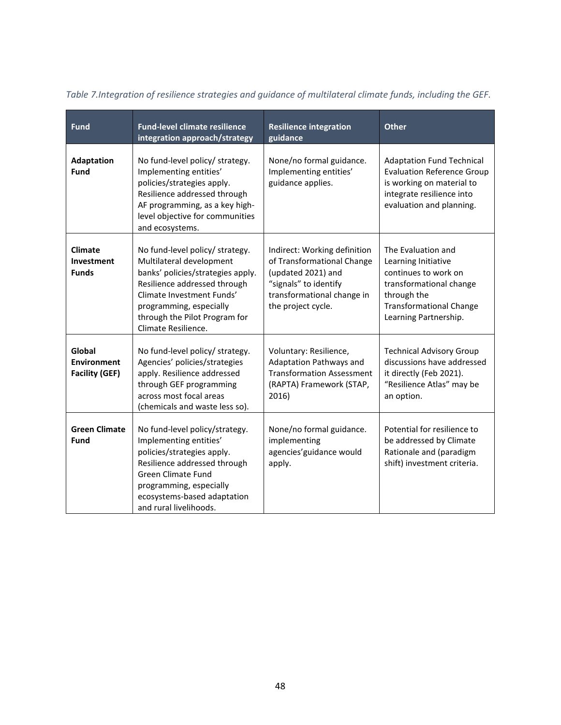| <b>Fund</b>                                           | <b>Fund-level climate resilience</b><br>integration approach/strategy                                                                                                                                                                            | <b>Resilience integration</b><br>guidance                                                                                                                     | Other                                                                                                                                                                  |
|-------------------------------------------------------|--------------------------------------------------------------------------------------------------------------------------------------------------------------------------------------------------------------------------------------------------|---------------------------------------------------------------------------------------------------------------------------------------------------------------|------------------------------------------------------------------------------------------------------------------------------------------------------------------------|
| Adaptation<br>Fund                                    | No fund-level policy/ strategy.<br>Implementing entities'<br>policies/strategies apply.<br>Resilience addressed through<br>AF programming, as a key high-<br>level objective for communities<br>and ecosystems.                                  | None/no formal guidance.<br>Implementing entities'<br>guidance applies.                                                                                       | <b>Adaptation Fund Technical</b><br><b>Evaluation Reference Group</b><br>is working on material to<br>integrate resilience into<br>evaluation and planning.            |
| <b>Climate</b><br>Investment<br><b>Funds</b>          | No fund-level policy/ strategy.<br>Multilateral development<br>banks' policies/strategies apply.<br>Resilience addressed through<br>Climate Investment Funds'<br>programming, especially<br>through the Pilot Program for<br>Climate Resilience. | Indirect: Working definition<br>of Transformational Change<br>(updated 2021) and<br>"signals" to identify<br>transformational change in<br>the project cycle. | The Evaluation and<br>Learning Initiative<br>continues to work on<br>transformational change<br>through the<br><b>Transformational Change</b><br>Learning Partnership. |
| Global<br><b>Environment</b><br><b>Facility (GEF)</b> | No fund-level policy/ strategy.<br>Agencies' policies/strategies<br>apply. Resilience addressed<br>through GEF programming<br>across most focal areas<br>(chemicals and waste less so).                                                          | Voluntary: Resilience,<br>Adaptation Pathways and<br><b>Transformation Assessment</b><br>(RAPTA) Framework (STAP,<br>2016)                                    | <b>Technical Advisory Group</b><br>discussions have addressed<br>it directly (Feb 2021).<br>"Resilience Atlas" may be<br>an option.                                    |
| <b>Green Climate</b><br>Fund                          | No fund-level policy/strategy.<br>Implementing entities'<br>policies/strategies apply.<br>Resilience addressed through<br><b>Green Climate Fund</b><br>programming, especially<br>ecosystems-based adaptation<br>and rural livelihoods.          | None/no formal guidance.<br>implementing<br>agencies' guidance would<br>apply.                                                                                | Potential for resilience to<br>be addressed by Climate<br>Rationale and (paradigm<br>shift) investment criteria.                                                       |

<span id="page-55-0"></span>*Table 7.Integration of resilience strategies and guidance of multilateral climate funds, including the GEF.*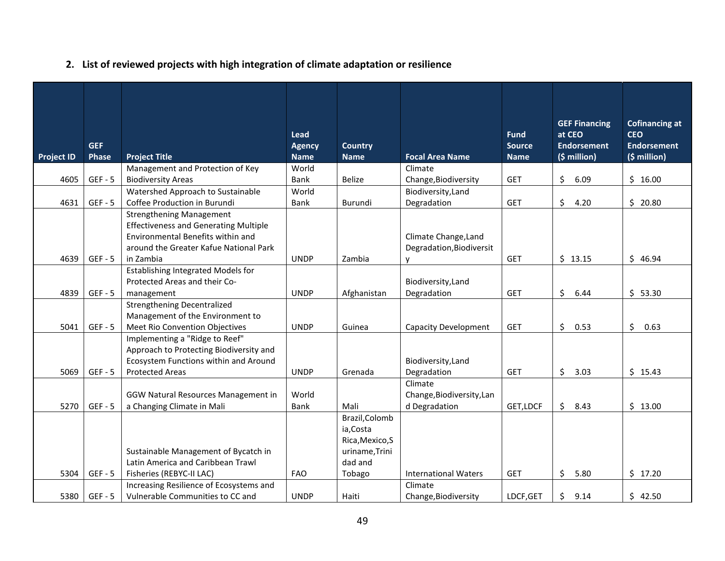# **2. List of reviewed projects with high integration of climate adaptation or resilience**

<span id="page-56-0"></span>

| Project ID | GEF<br>Phase | <b>Project Title</b>                                                                                                                                                        | Lead<br><b>Agency</b><br><b>Name</b> | <b>Country</b><br><b>Name</b>                                               | <b>Focal Area Name</b>                                | <b>Fund</b><br><b>Source</b><br><b>Name</b> | <b>GEF Financing</b><br>at CEO<br><b>Endorsement</b><br>(\$ million) | <b>Cofinancing at</b><br><b>CEO</b><br><b>Endorsement</b><br>(\$ million) |
|------------|--------------|-----------------------------------------------------------------------------------------------------------------------------------------------------------------------------|--------------------------------------|-----------------------------------------------------------------------------|-------------------------------------------------------|---------------------------------------------|----------------------------------------------------------------------|---------------------------------------------------------------------------|
|            |              | Management and Protection of Key                                                                                                                                            | World                                |                                                                             | Climate                                               |                                             |                                                                      |                                                                           |
| 4605       | $GEF - 5$    | <b>Biodiversity Areas</b>                                                                                                                                                   | <b>Bank</b>                          | Belize                                                                      | Change, Biodiversity                                  | <b>GET</b>                                  | \$<br>6.09                                                           | \$16.00                                                                   |
|            |              | Watershed Approach to Sustainable                                                                                                                                           | World                                |                                                                             | Biodiversity, Land                                    |                                             |                                                                      |                                                                           |
| 4631       | $GEF - 5$    | Coffee Production in Burundi                                                                                                                                                | <b>Bank</b>                          | Burundi                                                                     | Degradation                                           | GET                                         | \$<br>4.20                                                           | \$20.80                                                                   |
| 4639       | $GEF - 5$    | <b>Strengthening Management</b><br><b>Effectiveness and Generating Multiple</b><br>Environmental Benefits within and<br>around the Greater Kafue National Park<br>in Zambia | <b>UNDP</b>                          | Zambia                                                                      | Climate Change, Land<br>Degradation, Biodiversit<br>y | <b>GET</b>                                  | \$13.15                                                              | \$46.94                                                                   |
|            |              | <b>Establishing Integrated Models for</b>                                                                                                                                   |                                      |                                                                             |                                                       |                                             |                                                                      |                                                                           |
|            |              | Protected Areas and their Co-                                                                                                                                               |                                      |                                                                             | Biodiversity, Land                                    |                                             |                                                                      |                                                                           |
| 4839       | $GEF - 5$    | management                                                                                                                                                                  | <b>UNDP</b>                          | Afghanistan                                                                 | Degradation                                           | <b>GET</b>                                  | \$<br>6.44                                                           | \$53.30                                                                   |
| 5041       | $GEF - 5$    | <b>Strengthening Decentralized</b><br>Management of the Environment to<br>Meet Rio Convention Objectives                                                                    | <b>UNDP</b>                          | Guinea                                                                      | <b>Capacity Development</b>                           | <b>GET</b>                                  | \$<br>0.53                                                           | \$<br>0.63                                                                |
|            |              | Implementing a "Ridge to Reef"                                                                                                                                              |                                      |                                                                             |                                                       |                                             |                                                                      |                                                                           |
| 5069       | $GEF - 5$    | Approach to Protecting Biodiversity and<br>Ecosystem Functions within and Around<br><b>Protected Areas</b>                                                                  | <b>UNDP</b>                          | Grenada                                                                     | Biodiversity, Land<br>Degradation                     | GET                                         | \$<br>3.03                                                           | \$15.43                                                                   |
|            |              |                                                                                                                                                                             |                                      |                                                                             | Climate                                               |                                             |                                                                      |                                                                           |
|            |              | GGW Natural Resources Management in                                                                                                                                         | World                                |                                                                             | Change, Biodiversity, Lan                             |                                             |                                                                      |                                                                           |
| 5270       | $GEF - 5$    | a Changing Climate in Mali                                                                                                                                                  | Bank                                 | Mali                                                                        | d Degradation                                         | GET, LDCF                                   | \$<br>8.43                                                           | \$13.00                                                                   |
| 5304       | $GEF - 5$    | Sustainable Management of Bycatch in<br>Latin America and Caribbean Trawl<br>Fisheries (REBYC-II LAC)                                                                       | FAO                                  | Brazil, Colomb<br>ia, Costa<br>Rica, Mexico, S<br>uriname, Trini<br>dad and | <b>International Waters</b>                           | <b>GET</b>                                  | \$<br>5.80                                                           | \$17.20                                                                   |
|            |              | Increasing Resilience of Ecosystems and                                                                                                                                     |                                      | Tobago                                                                      | Climate                                               |                                             |                                                                      |                                                                           |
| 5380       | $GEF - 5$    | Vulnerable Communities to CC and                                                                                                                                            | <b>UNDP</b>                          | Haiti                                                                       | Change, Biodiversity                                  | LDCF, GET                                   | \$<br>9.14                                                           | \$42.50                                                                   |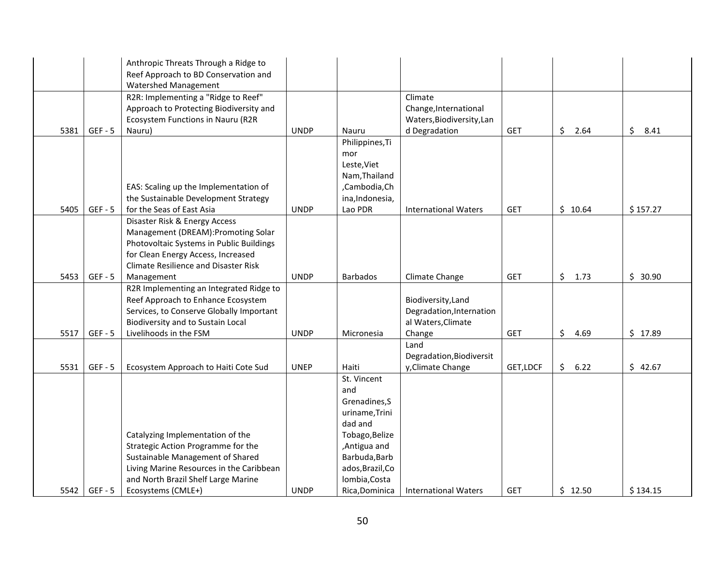|      |           | Anthropic Threats Through a Ridge to                                            |             |                  |                             |            |                 |            |
|------|-----------|---------------------------------------------------------------------------------|-------------|------------------|-----------------------------|------------|-----------------|------------|
|      |           | Reef Approach to BD Conservation and                                            |             |                  |                             |            |                 |            |
|      |           | Watershed Management                                                            |             |                  |                             |            |                 |            |
|      |           | R2R: Implementing a "Ridge to Reef"                                             |             |                  | Climate                     |            |                 |            |
|      |           | Approach to Protecting Biodiversity and                                         |             |                  | Change, International       |            |                 |            |
|      |           | Ecosystem Functions in Nauru (R2R                                               |             |                  | Waters, Biodiversity, Lan   |            |                 |            |
| 5381 | $GEF - 5$ | Nauru)                                                                          | <b>UNDP</b> | Nauru            | d Degradation               | <b>GET</b> | $\zeta$<br>2.64 | \$<br>8.41 |
|      |           |                                                                                 |             | Philippines, Ti  |                             |            |                 |            |
|      |           |                                                                                 |             | mor              |                             |            |                 |            |
|      |           |                                                                                 |             | Leste, Viet      |                             |            |                 |            |
|      |           |                                                                                 |             | Nam, Thailand    |                             |            |                 |            |
|      |           | EAS: Scaling up the Implementation of                                           |             | ,Cambodia,Ch     |                             |            |                 |            |
|      |           | the Sustainable Development Strategy                                            |             | ina, Indonesia,  |                             |            |                 |            |
| 5405 | $GEF - 5$ | for the Seas of East Asia                                                       | <b>UNDP</b> | Lao PDR          | <b>International Waters</b> | <b>GET</b> | \$10.64         | \$157.27   |
|      |           | Disaster Risk & Energy Access                                                   |             |                  |                             |            |                 |            |
|      |           | Management (DREAM): Promoting Solar<br>Photovoltaic Systems in Public Buildings |             |                  |                             |            |                 |            |
|      |           | for Clean Energy Access, Increased                                              |             |                  |                             |            |                 |            |
|      |           | <b>Climate Resilience and Disaster Risk</b>                                     |             |                  |                             |            |                 |            |
| 5453 | $GEF - 5$ | Management                                                                      | <b>UNDP</b> | <b>Barbados</b>  | Climate Change              | <b>GET</b> | \$1.73          | \$30.90    |
|      |           | R2R Implementing an Integrated Ridge to                                         |             |                  |                             |            |                 |            |
|      |           | Reef Approach to Enhance Ecosystem                                              |             |                  | Biodiversity, Land          |            |                 |            |
|      |           | Services, to Conserve Globally Important                                        |             |                  | Degradation, Internation    |            |                 |            |
|      |           | Biodiversity and to Sustain Local                                               |             |                  | al Waters, Climate          |            |                 |            |
| 5517 | $GEF - 5$ | Livelihoods in the FSM                                                          | <b>UNDP</b> | Micronesia       | Change                      | <b>GET</b> | \$<br>4.69      | \$17.89    |
|      |           |                                                                                 |             |                  | Land                        |            |                 |            |
|      |           |                                                                                 |             |                  | Degradation, Biodiversit    |            |                 |            |
| 5531 | $GEF - 5$ | Ecosystem Approach to Haiti Cote Sud                                            | <b>UNEP</b> | Haiti            | y, Climate Change           | GET, LDCF  | \$<br>6.22      | \$42.67    |
|      |           |                                                                                 |             | St. Vincent      |                             |            |                 |            |
|      |           |                                                                                 |             | and              |                             |            |                 |            |
|      |           |                                                                                 |             | Grenadines, S    |                             |            |                 |            |
|      |           |                                                                                 |             | uriname, Trini   |                             |            |                 |            |
|      |           |                                                                                 |             | dad and          |                             |            |                 |            |
|      |           | Catalyzing Implementation of the                                                |             | Tobago, Belize   |                             |            |                 |            |
|      |           | Strategic Action Programme for the                                              |             | ,Antigua and     |                             |            |                 |            |
|      |           | Sustainable Management of Shared                                                |             | Barbuda, Barb    |                             |            |                 |            |
|      |           | Living Marine Resources in the Caribbean                                        |             | ados, Brazil, Co |                             |            |                 |            |
|      |           | and North Brazil Shelf Large Marine                                             |             | lombia, Costa    |                             |            |                 |            |
| 5542 | $GEF - 5$ | Ecosystems (CMLE+)                                                              | <b>UNDP</b> | Rica, Dominica   | <b>International Waters</b> | <b>GET</b> | \$12.50         | \$134.15   |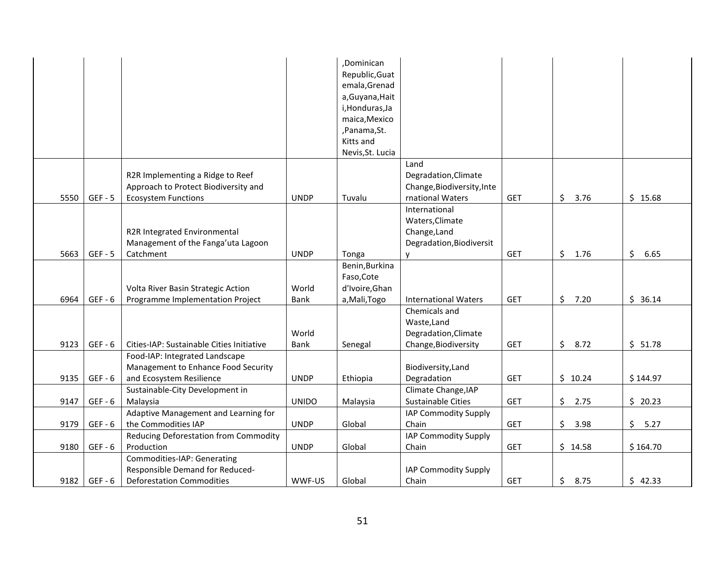|      |           |                                           |              | ,Dominican       |                             |            |                       |            |
|------|-----------|-------------------------------------------|--------------|------------------|-----------------------------|------------|-----------------------|------------|
|      |           |                                           |              | Republic, Guat   |                             |            |                       |            |
|      |           |                                           |              | emala, Grenad    |                             |            |                       |            |
|      |           |                                           |              | a, Guyana, Hait  |                             |            |                       |            |
|      |           |                                           |              | i, Honduras, Ja  |                             |            |                       |            |
|      |           |                                           |              | maica, Mexico    |                             |            |                       |            |
|      |           |                                           |              | ,Panama,St.      |                             |            |                       |            |
|      |           |                                           |              | Kitts and        |                             |            |                       |            |
|      |           |                                           |              | Nevis, St. Lucia |                             |            |                       |            |
|      |           |                                           |              |                  | Land                        |            |                       |            |
|      |           | R2R Implementing a Ridge to Reef          |              |                  | Degradation, Climate        |            |                       |            |
|      |           | Approach to Protect Biodiversity and      |              |                  | Change, Biodiversity, Inte  |            |                       |            |
| 5550 | $GEF - 5$ | <b>Ecosystem Functions</b>                | <b>UNDP</b>  | Tuvalu           | rnational Waters            | <b>GET</b> | \$3.76                | \$15.68    |
|      |           |                                           |              |                  | International               |            |                       |            |
|      |           |                                           |              |                  | Waters, Climate             |            |                       |            |
|      |           | R2R Integrated Environmental              |              |                  | Change, Land                |            |                       |            |
|      |           | Management of the Fanga'uta Lagoon        |              |                  | Degradation, Biodiversit    |            |                       |            |
| 5663 | $GEF - 5$ | Catchment                                 | <b>UNDP</b>  | Tonga            | $\mathsf{v}$                | <b>GET</b> | \$1.76                | \$<br>6.65 |
|      |           |                                           |              | Benin, Burkina   |                             |            |                       |            |
|      |           |                                           |              | Faso, Cote       |                             |            |                       |            |
|      |           | Volta River Basin Strategic Action        | World        | d'Ivoire, Ghan   |                             |            |                       |            |
| 6964 | $GEF - 6$ | Programme Implementation Project          | Bank         | a, Mali, Togo    | <b>International Waters</b> | <b>GET</b> | \$7.20                | \$36.14    |
|      |           |                                           |              |                  | Chemicals and               |            |                       |            |
|      |           |                                           |              |                  | Waste, Land                 |            |                       |            |
|      |           |                                           | World        |                  | Degradation, Climate        |            |                       |            |
| 9123 | $GEF - 6$ | Cities-IAP: Sustainable Cities Initiative | Bank         | Senegal          | Change, Biodiversity        | <b>GET</b> | \$8.72                | \$51.78    |
|      |           | Food-IAP: Integrated Landscape            |              |                  |                             |            |                       |            |
|      |           | Management to Enhance Food Security       |              |                  | Biodiversity, Land          |            |                       |            |
| 9135 | $GEF - 6$ | and Ecosystem Resilience                  | <b>UNDP</b>  | Ethiopia         | Degradation                 | <b>GET</b> | \$10.24               | \$144.97   |
|      |           | Sustainable-City Development in           |              |                  | Climate Change, IAP         |            |                       |            |
| 9147 | $GEF - 6$ | Malaysia                                  | <b>UNIDO</b> | Malaysia         | Sustainable Cities          | <b>GET</b> | \$2.75                | \$20.23    |
|      |           | Adaptive Management and Learning for      |              |                  | IAP Commodity Supply        |            |                       |            |
| 9179 | $GEF - 6$ | the Commodities IAP                       | <b>UNDP</b>  | Global           | Chain                       | <b>GET</b> | $\frac{1}{2}$<br>3.98 | \$<br>5.27 |
|      |           | Reducing Deforestation from Commodity     |              |                  | IAP Commodity Supply        |            |                       |            |
| 9180 | $GEF - 6$ | Production                                | <b>UNDP</b>  | Global           | Chain                       | <b>GET</b> | \$14.58               | \$164.70   |
|      |           | Commodities-IAP: Generating               |              |                  |                             |            |                       |            |
|      |           | Responsible Demand for Reduced-           |              |                  | IAP Commodity Supply        |            |                       |            |
| 9182 | $GEF - 6$ | <b>Deforestation Commodities</b>          | WWF-US       | Global           | Chain                       | <b>GET</b> | \$8.75                | \$42.33    |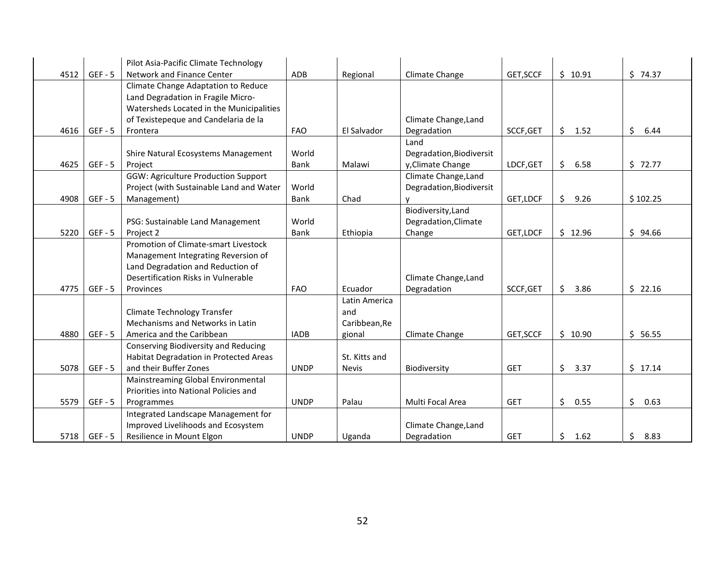| 4512 | $GEF - 5$ | Pilot Asia-Pacific Climate Technology<br>Network and Finance Center | ADB         | Regional      | Climate Change           | GET, SCCF  | \$10.91    | \$74.37    |
|------|-----------|---------------------------------------------------------------------|-------------|---------------|--------------------------|------------|------------|------------|
|      |           | Climate Change Adaptation to Reduce                                 |             |               |                          |            |            |            |
|      |           | Land Degradation in Fragile Micro-                                  |             |               |                          |            |            |            |
|      |           | Watersheds Located in the Municipalities                            |             |               |                          |            |            |            |
|      |           | of Texistepeque and Candelaria de la                                |             |               | Climate Change, Land     |            |            |            |
| 4616 | $GEF - 5$ | Frontera                                                            | <b>FAO</b>  | El Salvador   | Degradation              | SCCF, GET  | \$<br>1.52 | \$<br>6.44 |
|      |           |                                                                     |             |               | Land                     |            |            |            |
|      |           | Shire Natural Ecosystems Management                                 | World       |               | Degradation, Biodiversit |            |            |            |
| 4625 | $GEF - 5$ | Project                                                             | <b>Bank</b> | Malawi        | y, Climate Change        | LDCF, GET  | \$<br>6.58 | \$72.77    |
|      |           | <b>GGW: Agriculture Production Support</b>                          |             |               | Climate Change, Land     |            |            |            |
|      |           | Project (with Sustainable Land and Water                            | World       |               | Degradation, Biodiversit |            |            |            |
| 4908 | $GEF - 5$ | Management)                                                         | Bank        | Chad          |                          | GET, LDCF  | \$<br>9.26 | \$102.25   |
|      |           |                                                                     |             |               | Biodiversity, Land       |            |            |            |
|      |           | PSG: Sustainable Land Management                                    | World       |               | Degradation, Climate     |            |            |            |
| 5220 | $GEF - 5$ | Project 2                                                           | <b>Bank</b> | Ethiopia      | Change                   | GET, LDCF  | \$12.96    | \$94.66    |
|      |           | Promotion of Climate-smart Livestock                                |             |               |                          |            |            |            |
|      |           | Management Integrating Reversion of                                 |             |               |                          |            |            |            |
|      |           | Land Degradation and Reduction of                                   |             |               |                          |            |            |            |
|      |           | Desertification Risks in Vulnerable                                 |             |               | Climate Change, Land     |            |            |            |
| 4775 | $GEF - 5$ | Provinces                                                           | <b>FAO</b>  | Ecuador       | Degradation              | SCCF, GET  | \$<br>3.86 | \$22.16    |
|      |           |                                                                     |             | Latin America |                          |            |            |            |
|      |           | <b>Climate Technology Transfer</b>                                  |             | and           |                          |            |            |            |
|      |           | Mechanisms and Networks in Latin                                    |             | Caribbean, Re |                          |            |            |            |
| 4880 | $GEF - 5$ | America and the Caribbean                                           | <b>IADB</b> | gional        | Climate Change           | GET, SCCF  | \$10.90    | \$56.55    |
|      |           | Conserving Biodiversity and Reducing                                |             |               |                          |            |            |            |
|      |           | Habitat Degradation in Protected Areas                              |             | St. Kitts and |                          |            |            |            |
| 5078 | $GEF - 5$ | and their Buffer Zones                                              | <b>UNDP</b> | <b>Nevis</b>  | Biodiversity             | <b>GET</b> | \$<br>3.37 | \$17.14    |
|      |           | Mainstreaming Global Environmental                                  |             |               |                          |            |            |            |
|      |           | Priorities into National Policies and                               |             |               |                          |            |            |            |
| 5579 | $GEF - 5$ | Programmes                                                          | <b>UNDP</b> | Palau         | Multi Focal Area         | <b>GET</b> | \$<br>0.55 | \$<br>0.63 |
|      |           | Integrated Landscape Management for                                 |             |               |                          |            |            |            |
|      |           | Improved Livelihoods and Ecosystem                                  |             |               | Climate Change, Land     |            |            |            |
| 5718 | $GEF - 5$ | Resilience in Mount Elgon                                           | <b>UNDP</b> | Uganda        | Degradation              | <b>GET</b> | \$<br>1.62 | \$<br>8.83 |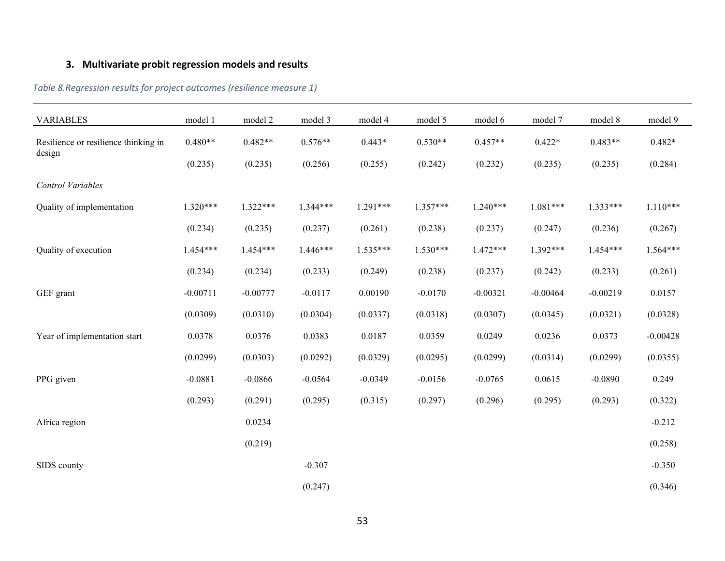# **3. Multivariate probit regression models and results**

<span id="page-60-1"></span><span id="page-60-0"></span>

| <b>VARIABLES</b>                               | model 1    | model 2    | model 3    | model 4    | model 5    | model 6    | model 7    | model 8    | model 9    |
|------------------------------------------------|------------|------------|------------|------------|------------|------------|------------|------------|------------|
|                                                |            |            |            |            |            |            |            |            |            |
| Resilience or resilience thinking in<br>design | $0.480**$  | $0.482**$  | $0.576**$  | $0.443*$   | $0.530**$  | $0.457**$  | $0.422*$   | $0.483**$  | $0.482*$   |
|                                                | (0.235)    | (0.235)    | (0.256)    | (0.255)    | (0.242)    | (0.232)    | (0.235)    | (0.235)    | (0.284)    |
| Control Variables                              |            |            |            |            |            |            |            |            |            |
| Quality of implementation                      | $1.320***$ | $1.322***$ | $1.344***$ | $1.291***$ | $1.357***$ | $1.240***$ | $1.081***$ | $1.333***$ | $1.110***$ |
|                                                | (0.234)    | (0.235)    | (0.237)    | (0.261)    | (0.238)    | (0.237)    | (0.247)    | (0.236)    | (0.267)    |
| Quality of execution                           | $1.454***$ | $1.454***$ | $1.446***$ | $1.535***$ | $1.530***$ | $1.472***$ | $1.392***$ | $1.454***$ | $1.564***$ |
|                                                | (0.234)    | (0.234)    | (0.233)    | (0.249)    | (0.238)    | (0.237)    | (0.242)    | (0.233)    | (0.261)    |
| GEF grant                                      | $-0.00711$ | $-0.00777$ | $-0.0117$  | 0.00190    | $-0.0170$  | $-0.00321$ | $-0.00464$ | $-0.00219$ | 0.0157     |
|                                                | (0.0309)   | (0.0310)   | (0.0304)   | (0.0337)   | (0.0318)   | (0.0307)   | (0.0345)   | (0.0321)   | (0.0328)   |
| Year of implementation start                   | 0.0378     | 0.0376     | 0.0383     | 0.0187     | 0.0359     | 0.0249     | 0.0236     | 0.0373     | $-0.00428$ |
|                                                | (0.0299)   | (0.0303)   | (0.0292)   | (0.0329)   | (0.0295)   | (0.0299)   | (0.0314)   | (0.0299)   | (0.0355)   |
| PPG given                                      | $-0.0881$  | $-0.0866$  | $-0.0564$  | $-0.0349$  | $-0.0156$  | $-0.0765$  | 0.0615     | $-0.0890$  | 0.249      |
|                                                | (0.293)    | (0.291)    | (0.295)    | (0.315)    | (0.297)    | (0.296)    | (0.295)    | (0.293)    | (0.322)    |
| Africa region                                  |            | 0.0234     |            |            |            |            |            |            | $-0.212$   |
|                                                |            | (0.219)    |            |            |            |            |            |            | (0.258)    |
| SIDS county                                    |            |            | $-0.307$   |            |            |            |            |            | $-0.350$   |
|                                                |            |            | (0.247)    |            |            |            |            |            | (0.346)    |

*Table 8.Regression results for project outcomes (resilience measure 1)*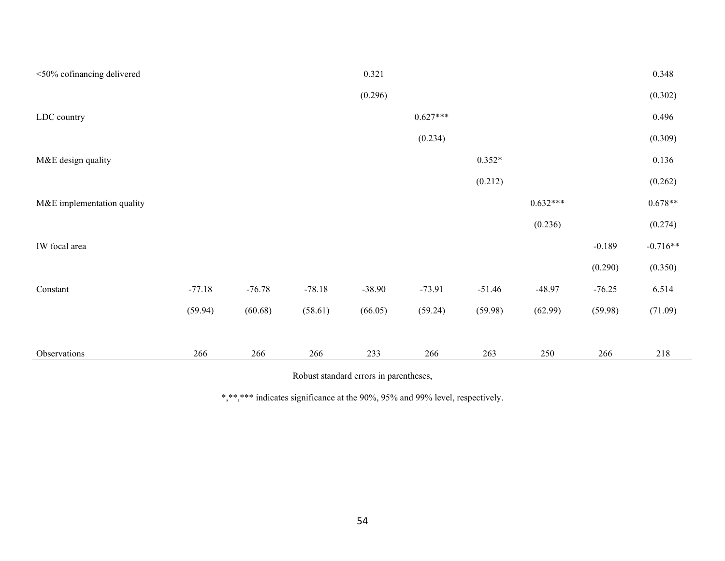| <50% cofinancing delivered |          |          |          | 0.321    |            |          |            |          | 0.348      |
|----------------------------|----------|----------|----------|----------|------------|----------|------------|----------|------------|
|                            |          |          |          | (0.296)  |            |          |            |          | (0.302)    |
| LDC country                |          |          |          |          | $0.627***$ |          |            |          | 0.496      |
|                            |          |          |          |          | (0.234)    |          |            |          | (0.309)    |
| M&E design quality         |          |          |          |          |            | $0.352*$ |            |          | 0.136      |
|                            |          |          |          |          |            | (0.212)  |            |          | (0.262)    |
| M&E implementation quality |          |          |          |          |            |          | $0.632***$ |          | $0.678**$  |
|                            |          |          |          |          |            |          | (0.236)    |          | (0.274)    |
| IW focal area              |          |          |          |          |            |          |            | $-0.189$ | $-0.716**$ |
|                            |          |          |          |          |            |          |            | (0.290)  | (0.350)    |
| Constant                   | $-77.18$ | $-76.78$ | $-78.18$ | $-38.90$ | $-73.91$   | $-51.46$ | $-48.97$   | $-76.25$ | 6.514      |
|                            | (59.94)  | (60.68)  | (58.61)  | (66.05)  | (59.24)    | (59.98)  | (62.99)    | (59.98)  | (71.09)    |
|                            |          |          |          |          |            |          |            |          |            |
| Observations               | 266      | 266      | 266      | 233      | 266        | 263      | 250        | 266      | 218        |

Robust standard errors in parentheses,

\*,\*\*,\*\*\* indicates significance at the 90%, 95% and 99% level, respectively.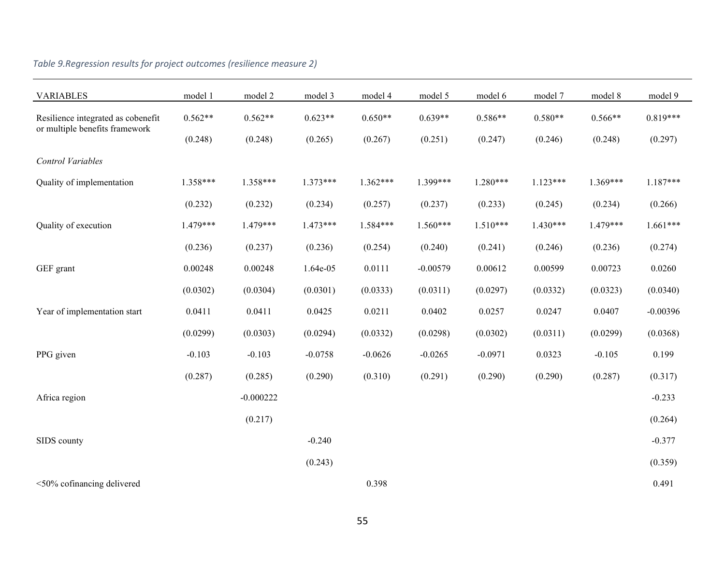<span id="page-62-0"></span>

| <b>VARIABLES</b>                   | model 1    | model 2     | model 3    | model 4    | model 5    | model 6    | model 7    | model 8    | model 9    |
|------------------------------------|------------|-------------|------------|------------|------------|------------|------------|------------|------------|
| Resilience integrated as cobenefit | $0.562**$  | $0.562**$   | $0.623**$  | $0.650**$  | $0.639**$  | $0.586**$  | $0.580**$  | $0.566**$  | $0.819***$ |
| or multiple benefits framework     | (0.248)    | (0.248)     | (0.265)    | (0.267)    | (0.251)    | (0.247)    | (0.246)    | (0.248)    | (0.297)    |
| Control Variables                  |            |             |            |            |            |            |            |            |            |
| Quality of implementation          | $1.358***$ | 1.358***    | $1.373***$ | $1.362***$ | 1.399***   | $1.280***$ | $1.123***$ | $1.369***$ | $1.187***$ |
|                                    | (0.232)    | (0.232)     | (0.234)    | (0.257)    | (0.237)    | (0.233)    | (0.245)    | (0.234)    | (0.266)    |
| Quality of execution               | $1.479***$ | 1.479***    | $1.473***$ | $1.584***$ | $1.560***$ | $1.510***$ | $1.430***$ | 1.479***   | $1.661***$ |
|                                    | (0.236)    | (0.237)     | (0.236)    | (0.254)    | (0.240)    | (0.241)    | (0.246)    | (0.236)    | (0.274)    |
| GEF grant                          | 0.00248    | 0.00248     | 1.64e-05   | 0.0111     | $-0.00579$ | 0.00612    | 0.00599    | 0.00723    | 0.0260     |
|                                    | (0.0302)   | (0.0304)    | (0.0301)   | (0.0333)   | (0.0311)   | (0.0297)   | (0.0332)   | (0.0323)   | (0.0340)   |
| Year of implementation start       | 0.0411     | 0.0411      | 0.0425     | 0.0211     | 0.0402     | 0.0257     | 0.0247     | 0.0407     | $-0.00396$ |
|                                    | (0.0299)   | (0.0303)    | (0.0294)   | (0.0332)   | (0.0298)   | (0.0302)   | (0.0311)   | (0.0299)   | (0.0368)   |
| PPG given                          | $-0.103$   | $-0.103$    | $-0.0758$  | $-0.0626$  | $-0.0265$  | $-0.0971$  | 0.0323     | $-0.105$   | 0.199      |
|                                    | (0.287)    | (0.285)     | (0.290)    | (0.310)    | (0.291)    | (0.290)    | (0.290)    | (0.287)    | (0.317)    |
| Africa region                      |            | $-0.000222$ |            |            |            |            |            |            | $-0.233$   |
|                                    |            | (0.217)     |            |            |            |            |            |            | (0.264)    |
| SIDS county                        |            |             | $-0.240$   |            |            |            |            |            | $-0.377$   |
|                                    |            |             | (0.243)    |            |            |            |            |            | (0.359)    |
| <50% cofinancing delivered         |            |             |            | 0.398      |            |            |            |            | 0.491      |

## *Table 9.Regression results for project outcomes (resilience measure 2)*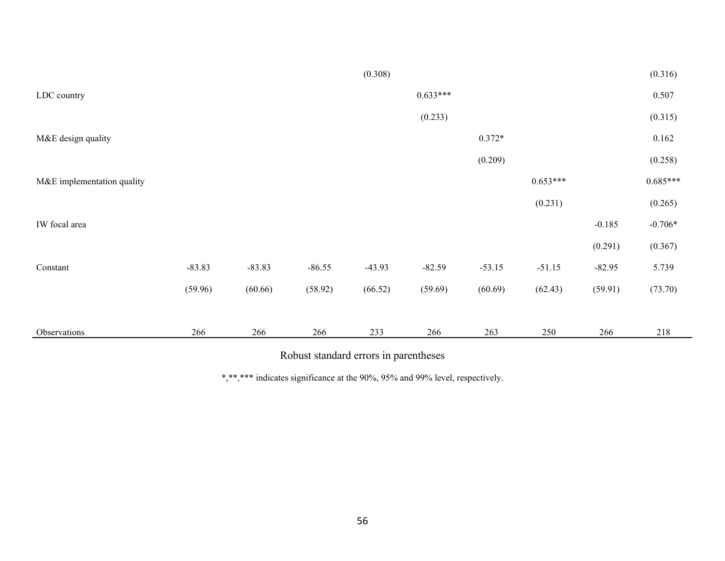|                            |          |          |          | (0.308)  |            |          |            |          | (0.316)    |
|----------------------------|----------|----------|----------|----------|------------|----------|------------|----------|------------|
| LDC country                |          |          |          |          | $0.633***$ |          |            |          | 0.507      |
|                            |          |          |          |          | (0.233)    |          |            |          | (0.315)    |
| M&E design quality         |          |          |          |          |            | $0.372*$ |            |          | 0.162      |
|                            |          |          |          |          |            | (0.209)  |            |          | (0.258)    |
| M&E implementation quality |          |          |          |          |            |          | $0.653***$ |          | $0.685***$ |
|                            |          |          |          |          |            |          | (0.231)    |          | (0.265)    |
| IW focal area              |          |          |          |          |            |          |            | $-0.185$ | $-0.706*$  |
|                            |          |          |          |          |            |          |            | (0.291)  | (0.367)    |
| Constant                   | $-83.83$ | $-83.83$ | $-86.55$ | $-43.93$ | $-82.59$   | $-53.15$ | $-51.15$   | $-82.95$ | 5.739      |
|                            | (59.96)  | (60.66)  | (58.92)  | (66.52)  | (59.69)    | (60.69)  | (62.43)    | (59.91)  | (73.70)    |
|                            |          |          |          |          |            |          |            |          |            |
| Observations               | 266      | 266      | 266      | 233      | 266        | 263      | 250        | 266      | 218        |

Robust standard errors in parentheses

\*,\*\*,\*\*\* indicates significance at the 90%, 95% and 99% level, respectively.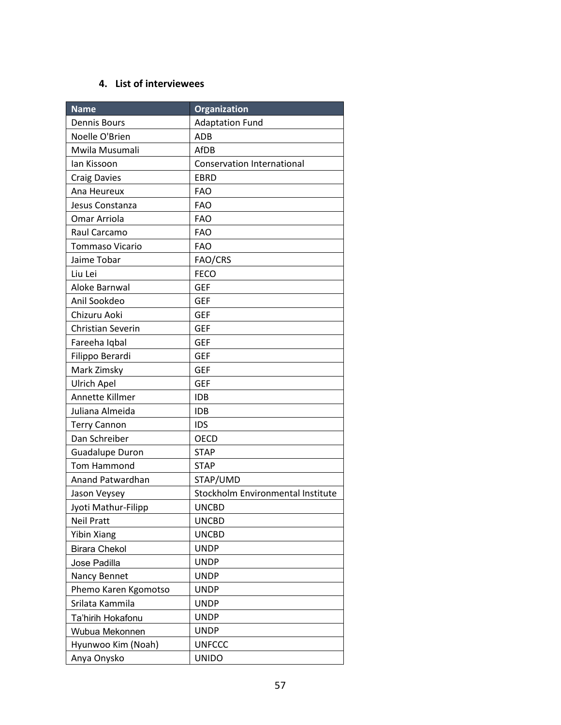### **4. List of interviewees**

<span id="page-64-0"></span>

| <b>Name</b>              | Organization                      |
|--------------------------|-----------------------------------|
| <b>Dennis Bours</b>      | <b>Adaptation Fund</b>            |
| Noelle O'Brien           | <b>ADB</b>                        |
| Mwila Musumali           | AfDB                              |
| lan Kissoon              | <b>Conservation International</b> |
| <b>Craig Davies</b>      | <b>EBRD</b>                       |
| Ana Heureux              | <b>FAO</b>                        |
| Jesus Constanza          | <b>FAO</b>                        |
| Omar Arriola             | <b>FAO</b>                        |
| Raul Carcamo             | <b>FAO</b>                        |
| Tommaso Vicario          | <b>FAO</b>                        |
| Jaime Tobar              | FAO/CRS                           |
| Liu Lei                  | <b>FECO</b>                       |
| Aloke Barnwal            | <b>GEF</b>                        |
| Anil Sookdeo             | <b>GEF</b>                        |
| Chizuru Aoki             | <b>GEF</b>                        |
| <b>Christian Severin</b> | <b>GEF</b>                        |
| Fareeha Iqbal            | <b>GEF</b>                        |
| Filippo Berardi          | <b>GEF</b>                        |
| Mark Zimsky              | <b>GEF</b>                        |
| <b>Ulrich Apel</b>       | <b>GEF</b>                        |
| Annette Killmer          | <b>IDB</b>                        |
| Juliana Almeida          | <b>IDB</b>                        |
| <b>Terry Cannon</b>      | <b>IDS</b>                        |
| Dan Schreiber            | <b>OECD</b>                       |
| <b>Guadalupe Duron</b>   | <b>STAP</b>                       |
| Tom Hammond              | <b>STAP</b>                       |
| Anand Patwardhan         | STAP/UMD                          |
| Jason Veysey             | Stockholm Environmental Institute |
| Jyoti Mathur-Filipp      | <b>UNCBD</b>                      |
| <b>Neil Pratt</b>        | <b>UNCBD</b>                      |
| <b>Yibin Xiang</b>       | <b>UNCBD</b>                      |
| <b>Birara Chekol</b>     | <b>UNDP</b>                       |
| Jose Padilla             | <b>UNDP</b>                       |
| Nancy Bennet             | <b>UNDP</b>                       |
| Phemo Karen Kgomotso     | <b>UNDP</b>                       |
| Srilata Kammila          | <b>UNDP</b>                       |
| Ta'hirih Hokafonu        | <b>UNDP</b>                       |
| Wubua Mekonnen           | <b>UNDP</b>                       |
| Hyunwoo Kim (Noah)       | <b>UNFCCC</b>                     |
| Anya Onysko              | <b>UNIDO</b>                      |